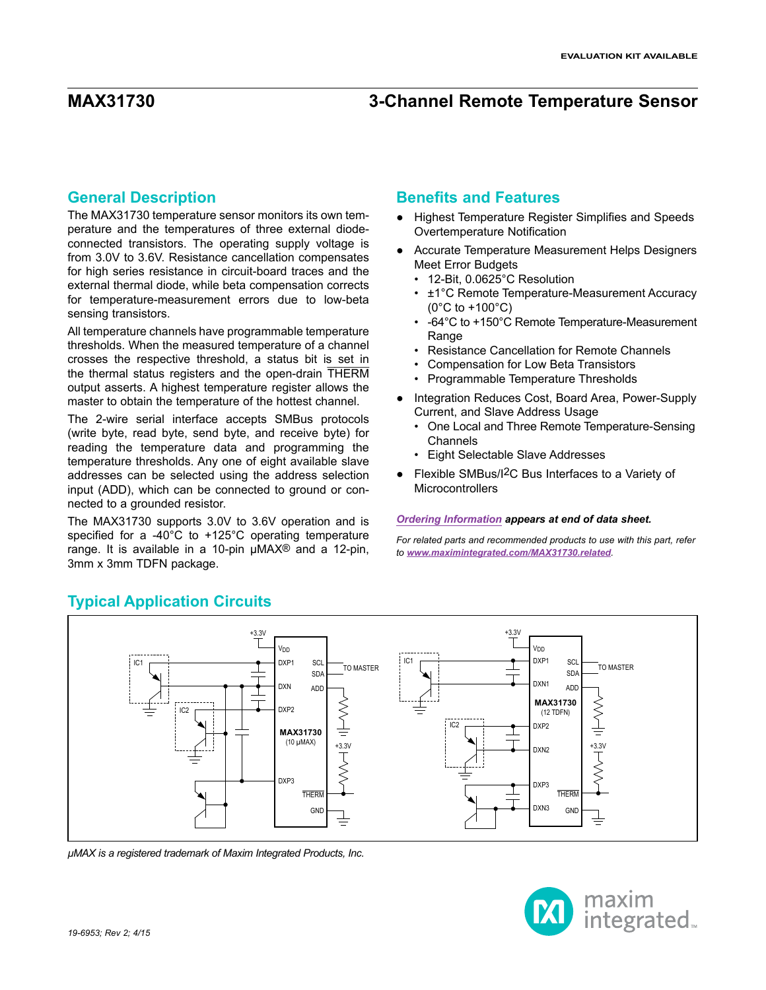#### **General Description**

The MAX31730 temperature sensor monitors its own temperature and the temperatures of three external diodeconnected transistors. The operating supply voltage is from 3.0V to 3.6V. Resistance cancellation compensates for high series resistance in circuit-board traces and the external thermal diode, while beta compensation corrects for temperature-measurement errors due to low-beta sensing transistors.

All temperature channels have programmable temperature thresholds. When the measured temperature of a channel crosses the respective threshold, a status bit is set in the thermal status registers and the open-drain THERM output asserts. A highest temperature register allows the master to obtain the temperature of the hottest channel.

The 2-wire serial interface accepts SMBus protocols (write byte, read byte, send byte, and receive byte) for reading the temperature data and programming the temperature thresholds. Any one of eight available slave addresses can be selected using the address selection input (ADD), which can be connected to ground or connected to a grounded resistor.

The MAX31730 supports 3.0V to 3.6V operation and is specified for a -40°C to +125°C operating temperature range. It is available in a 10-pin µMAX® and a 12-pin, 3mm x 3mm TDFN package.

### **Benefits and Features**

- ● Highest Temperature Register Simplifies and Speeds Overtemperature Notification
- ● Accurate Temperature Measurement Helps Designers Meet Error Budgets
	- 12-Bit, 0.0625°C Resolution
	- ±1°C Remote Temperature-Measurement Accuracy (0°C to +100°C)
	- -64°C to +150°C Remote Temperature-Measurement **Range**
	- Resistance Cancellation for Remote Channels
	- Compensation for Low Beta Transistors
	- Programmable Temperature Thresholds
- ● Integration Reduces Cost, Board Area, Power-Supply Current, and Slave Address Usage
	- One Local and Three Remote Temperature-Sensing **Channels**
	- Eight Selectable Slave Addresses
- ● Flexible SMBus/I2C Bus Interfaces to a Variety of **Microcontrollers**

#### *[Ordering Information](#page-46-0) appears at end of data sheet.*

*For related parts and recommended products to use with this part, refer to [www.maximintegrated.com/MAX31730.related](http://www.maximintegrated.com/MAX31730.related).*



<span id="page-0-0"></span>**Typical Application Circuits**

*µMAX is a registered trademark of Maxim Integrated Products, Inc.*

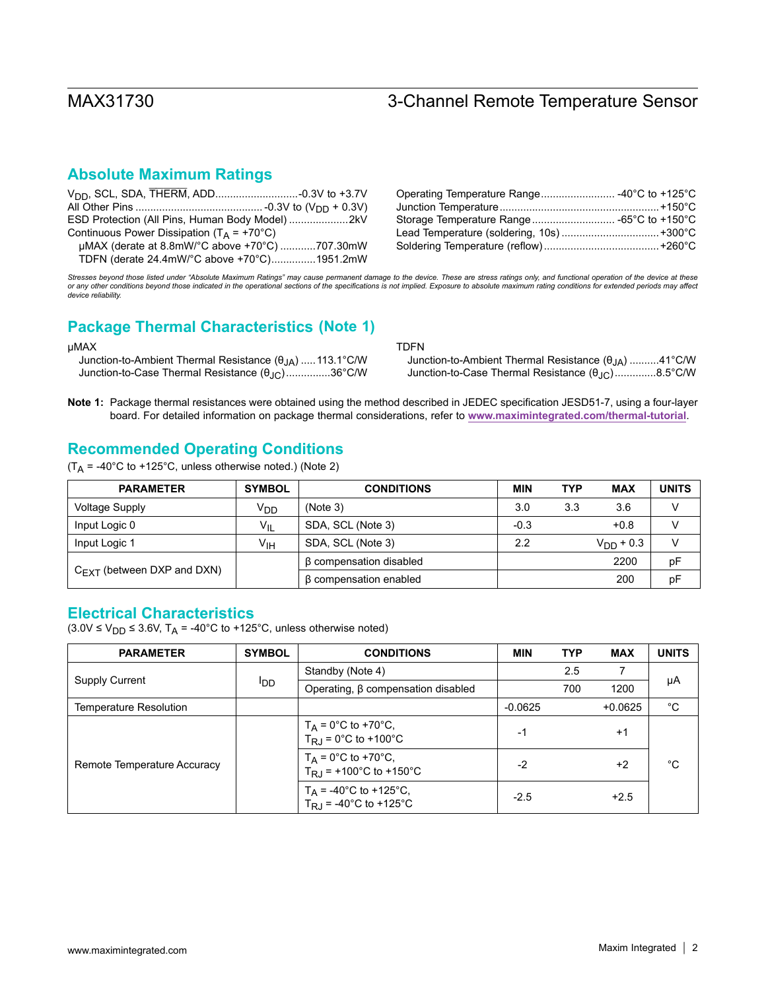### **Absolute Maximum Ratings**

|                                                     | Storage Temperature Range -65°C to +150°C |  |
|-----------------------------------------------------|-------------------------------------------|--|
| Continuous Power Dissipation ( $T_A$ = +70°C)       |                                           |  |
| $\mu$ MAX (derate at 8.8mW/°C above +70°C) 707.30mW |                                           |  |
| TDFN (derate 24.4mW/°C above +70°C)1951.2mW         |                                           |  |

Stresses beyond those listed under "Absolute Maximum Ratings" may cause permanent damage to the device. These are stress ratings only, and functional operation of the device at these *or any other conditions beyond those indicated in the operational sections of the specifications is not implied. Exposure to absolute maximum rating conditions for extended periods may affect device reliability.*

### **Package Thermal Characteristics (Note 1)**

#### µMAX

 Junction-to-Ambient Thermal Resistance (θJA) .....113.1°C/W Junction-to-Case Thermal Resistance (θJC)...............36°C/W TDFN

| Junction-to-Ambient Thermal Resistance (θ <sub>JA</sub> ) 41°C/W |  |
|------------------------------------------------------------------|--|
| Junction-to-Case Thermal Resistance (θ <sub>JC</sub> )8.5°C/W    |  |

**Note 1:** Package thermal resistances were obtained using the method described in JEDEC specification JESD51-7, using a four-layer board. For detailed information on package thermal considerations, refer to **[www.maximintegrated.com/thermal-tutorial](http://www.maximintegrated.com/thermal-tutorial)**.

### **Recommended Operating Conditions**

 $(T_A = -40^{\circ}$ C to +125°C, unless otherwise noted.) (Note 2)

| <b>PARAMETER</b>                       | <b>SYMBOL</b>   | <b>CONDITIONS</b>            | <b>MIN</b> | <b>TYP</b> | <b>MAX</b>            | <b>UNITS</b> |
|----------------------------------------|-----------------|------------------------------|------------|------------|-----------------------|--------------|
| <b>Voltage Supply</b>                  | V <sub>DD</sub> | (Note 3)                     | 3.0        | 3.3        | 3.6                   |              |
| Input Logic 0                          | $V_{IL}$        | SDA, SCL (Note 3)            | $-0.3$     |            | $+0.8$                |              |
| Input Logic 1                          | V <sub>IH</sub> | SDA, SCL (Note 3)            | 2.2        |            | $V_{\text{DD}} + 0.3$ |              |
|                                        |                 | β compensation disabled      |            |            | 2200                  | рF           |
| $C_{\text{FXT}}$ (between DXP and DXN) |                 | $\beta$ compensation enabled |            |            | 200                   | рF           |

### **Electrical Characteristics**

 $(3.0V \le V_{DD} \le 3.6V, T_A = -40^{\circ}C$  to +125°C, unless otherwise noted)

| <b>PARAMETER</b>              | <b>SYMBOL</b>   | <b>CONDITIONS</b>                                                       | <b>MIN</b> | <b>TYP</b> | <b>MAX</b> | <b>UNITS</b> |
|-------------------------------|-----------------|-------------------------------------------------------------------------|------------|------------|------------|--------------|
|                               |                 | Standby (Note 4)                                                        |            | 2.5        |            |              |
| <b>Supply Current</b>         | l <sub>DD</sub> | Operating, $\beta$ compensation disabled                                |            | 700        | 1200       | μA           |
| <b>Temperature Resolution</b> |                 |                                                                         | $-0.0625$  |            | $+0.0625$  | $^{\circ}C$  |
|                               |                 | $T_A = 0$ °C to +70°C,<br>$T_{R,1} = 0^{\circ}C$ to +100°C              | $-1$       |            | $+1$       |              |
| Remote Temperature Accuracy   |                 | $T_A = 0^{\circ}C$ to +70 $^{\circ}C$ ,<br>$T_{R,I}$ = +100°C to +150°C | -2         |            | $+2$       | °C           |
|                               |                 | $T_A$ = -40°C to +125°C,<br>$T_{RJ}$ = -40°C to +125°C                  | $-2.5$     |            | $+2.5$     |              |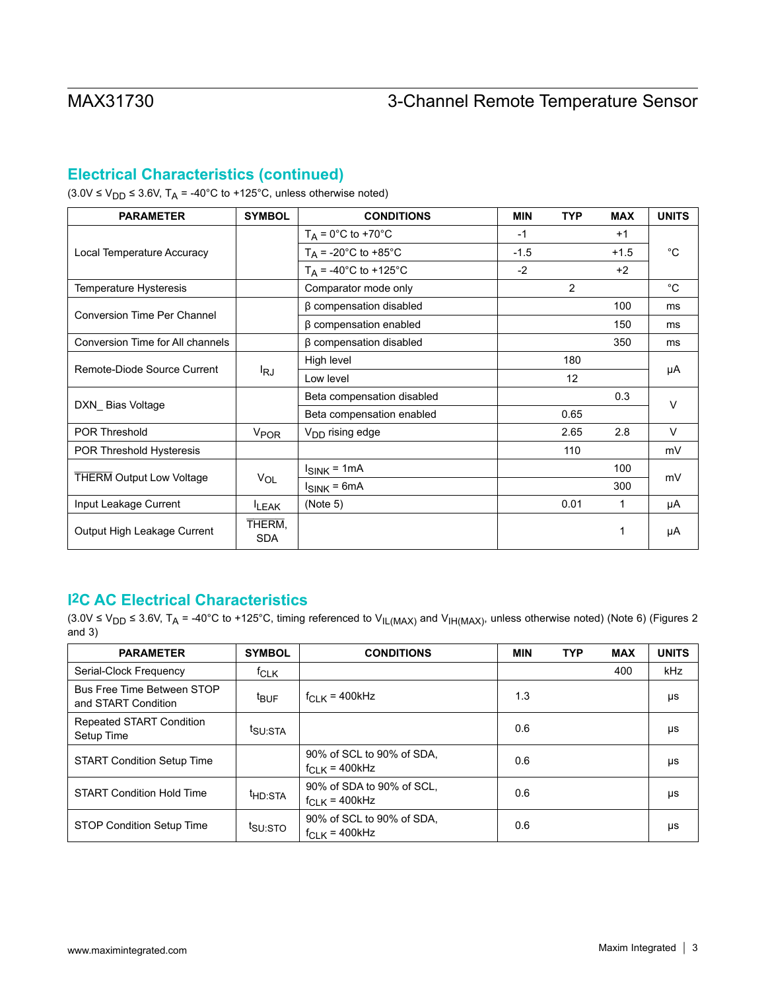## **Electrical Characteristics (continued)**

 $(3.0V \le V_{DD} \le 3.6V, T_A = -40°C$  to +125°C, unless otherwise noted)

| <b>PARAMETER</b>                   | <b>SYMBOL</b>        | <b>CONDITIONS</b>                 | <b>MIN</b> | <b>TYP</b>     | <b>MAX</b> | <b>UNITS</b> |
|------------------------------------|----------------------|-----------------------------------|------------|----------------|------------|--------------|
|                                    |                      | $T_A = 0^\circ \text{C}$ to +70°C | $-1$       |                | $+1$       |              |
| Local Temperature Accuracy         |                      | $T_A$ = -20°C to +85°C            | $-1.5$     |                | $+1.5$     | $^{\circ}C$  |
|                                    |                      | $T_A$ = -40°C to +125°C           | $-2$       |                | $+2$       |              |
| Temperature Hysteresis             |                      | Comparator mode only              |            | $\overline{2}$ |            | $^{\circ}C$  |
| <b>Conversion Time Per Channel</b> |                      | β compensation disabled           |            |                | 100        | ms           |
|                                    |                      | $\beta$ compensation enabled      |            |                | 150        | ms           |
| Conversion Time for All channels   |                      | $\beta$ compensation disabled     |            |                | 350        | ms           |
|                                    |                      | High level                        |            | 180            |            |              |
| Remote-Diode Source Current        | l <sub>RJ</sub>      | Low level                         |            | 12             |            | μA           |
|                                    |                      | Beta compensation disabled        |            |                | 0.3        | $\vee$       |
| DXN_Bias Voltage                   |                      | Beta compensation enabled         |            | 0.65           |            |              |
| <b>POR Threshold</b>               | V <sub>POR</sub>     | V <sub>DD</sub> rising edge       |            | 2.65           | 2.8        | $\vee$       |
| POR Threshold Hysteresis           |                      |                                   |            | 110            |            | mV           |
|                                    |                      | $I_{SINK} = 1mA$                  |            |                | 100        |              |
| <b>THERM Output Low Voltage</b>    | $V_{OL}$             | $I_{SINK} = 6mA$                  |            |                | 300        | mV           |
| Input Leakage Current              | <b>LEAK</b>          | (Note 5)                          |            | 0.01           | 1          | μA           |
| Output High Leakage Current        | THERM,<br><b>SDA</b> |                                   |            |                | 1          | μA           |

### **I2C AC Electrical Characteristics**

<sup>(3.0</sup>V ≤ V<sub>DD</sub> ≤ 3.6V, T<sub>A</sub> = -40°C to +125°C, timing referenced to V<sub>IL(MAX)</sub> and V<sub>IH(MAX)</sub>, unless otherwise noted) (Note 6) (Figures 2 and  $3)$ 

| <b>PARAMETER</b>                                  | <b>SYMBOL</b>       | <b>CONDITIONS</b>                               | <b>MIN</b> | <b>TYP</b> | <b>MAX</b> | <b>UNITS</b> |
|---------------------------------------------------|---------------------|-------------------------------------------------|------------|------------|------------|--------------|
| Serial-Clock Frequency                            | $t$ CLK             |                                                 |            |            | 400        | kHz          |
| Bus Free Time Between STOP<br>and START Condition | <sup>t</sup> BUF    | $f_{CLK}$ = 400kHz                              | 1.3        |            |            | μs           |
| <b>Repeated START Condition</b><br>Setup Time     | <sup>t</sup> SU:STA |                                                 | 0.6        |            |            | μs           |
| <b>START Condition Setup Time</b>                 |                     | 90% of SCL to 90% of SDA,<br>$f_{CLK}$ = 400kHz | 0.6        |            |            | μs           |
| <b>START Condition Hold Time</b>                  | <sup>t</sup> HD:STA | 90% of SDA to 90% of SCL.<br>$f_{CLK}$ = 400kHz | 0.6        |            |            | μs           |
| <b>STOP Condition Setup Time</b>                  | tsu:sto             | 90% of SCL to 90% of SDA,<br>$f_{CLK}$ = 400kHz | 0.6        |            |            | μs           |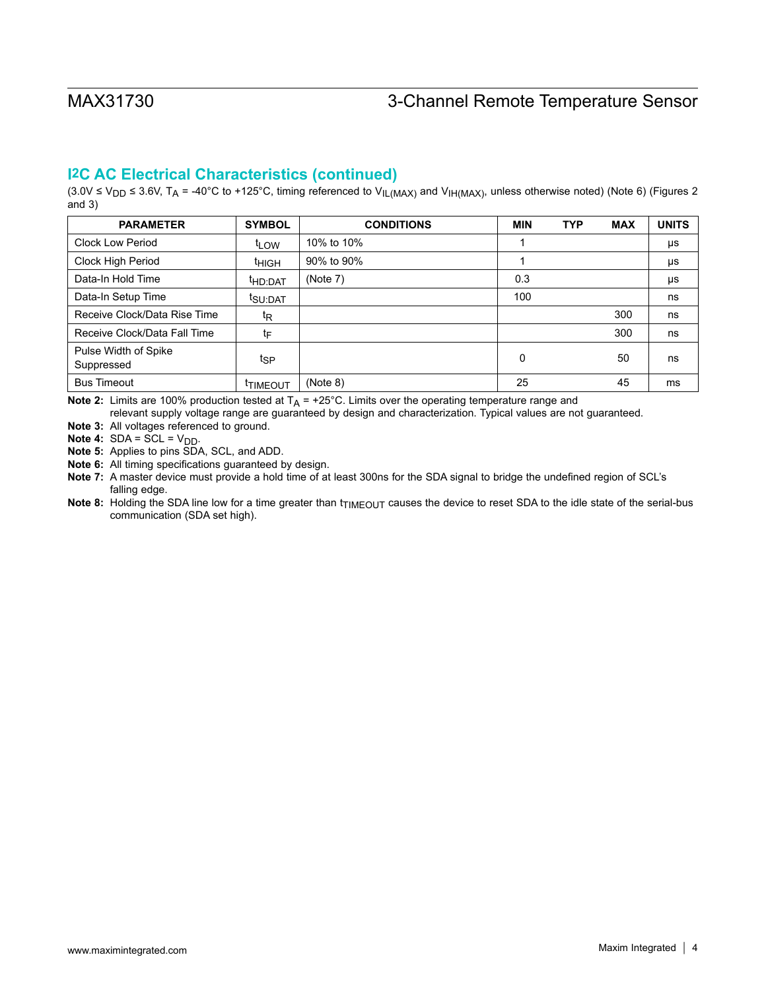### **I2C AC Electrical Characteristics (continued)**

(3.0V ≤ V<sub>DD</sub> ≤ 3.6V, T<sub>A</sub> = -40°C to +125°C, timing referenced to V<sub>IL(MAX)</sub> and V<sub>IH(MAX)</sub>, unless otherwise noted) (Note 6) (Figures 2 and 3)

| <b>PARAMETER</b>                   | <b>SYMBOL</b>       | <b>CONDITIONS</b> | MIN | <b>TYP</b> | <b>MAX</b> | <b>UNITS</b> |
|------------------------------------|---------------------|-------------------|-----|------------|------------|--------------|
| <b>Clock Low Period</b>            | <sup>t</sup> LOW    | 10% to 10%        |     |            |            | μs           |
| Clock High Period                  | <sup>t</sup> HIGH   | 90% to 90%        |     |            |            | μs           |
| Data-In Hold Time                  | <sup>t</sup> HD:DAT | (Note 7)          | 0.3 |            |            | μs           |
| Data-In Setup Time                 | t <sub>SU:DAT</sub> |                   | 100 |            |            | ns           |
| Receive Clock/Data Rise Time       | t <sub>R</sub>      |                   |     |            | 300        | ns           |
| Receive Clock/Data Fall Time       | tF                  |                   |     |            | 300        | ns           |
| Pulse Width of Spike<br>Suppressed | tsp                 |                   | 0   |            | 50         | ns           |
| <b>Bus Timeout</b>                 | <b>TIMEOUT</b>      | (Note 8)          | 25  |            | 45         | ms           |

**Note 2:** Limits are 100% production tested at  $T_A$  = +25°C. Limits over the operating temperature range and

relevant supply voltage range are guaranteed by design and characterization. Typical values are not guaranteed.

**Note 3:** All voltages referenced to ground.

**Note 4:**  $SDA = SCL = V_{DD}$ .

**Note 5:** Applies to pins SDA, SCL, and ADD.

**Note 6:** All timing specifications guaranteed by design.

**Note 7:** A master device must provide a hold time of at least 300ns for the SDA signal to bridge the undefined region of SCL's falling edge.

Note 8: Holding the SDA line low for a time greater than t<sub>TIMEOUT</sub> causes the device to reset SDA to the idle state of the serial-bus communication (SDA set high).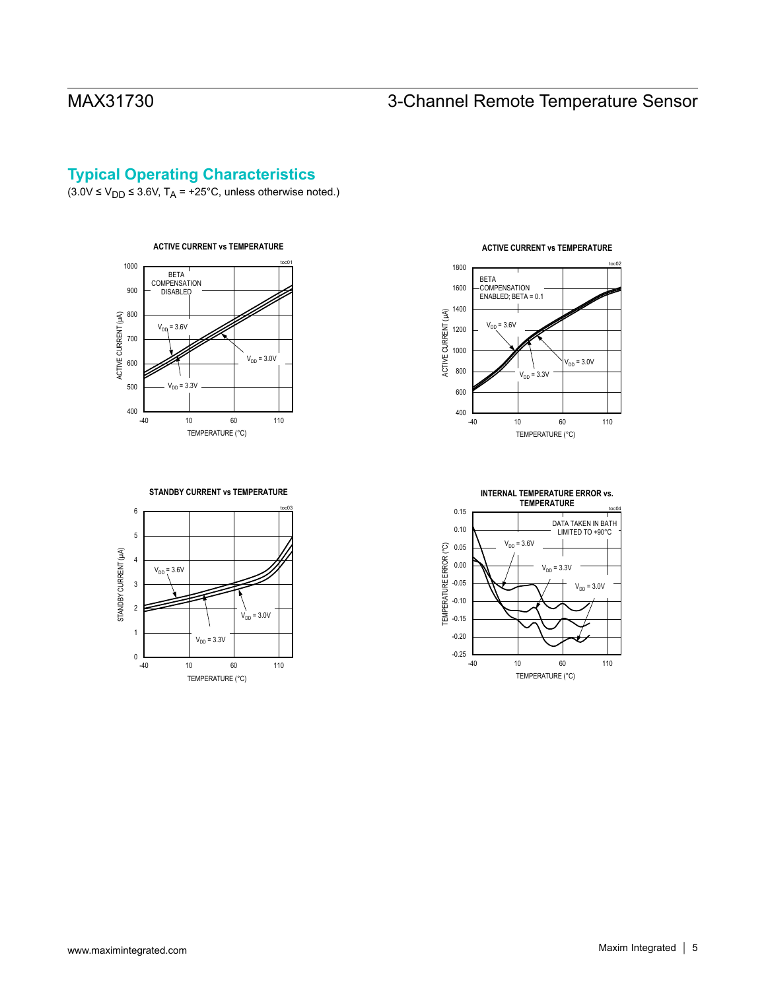## **Typical Operating Characteristics**

 $(3.0V \le V_{DD} \le 3.6V, T_A = +25°C$ , unless otherwise noted.)



#### **STANDBY CURRENT vs TEMPERATURE**







#### **ACTIVE CURRENT vs TEMPERATURE**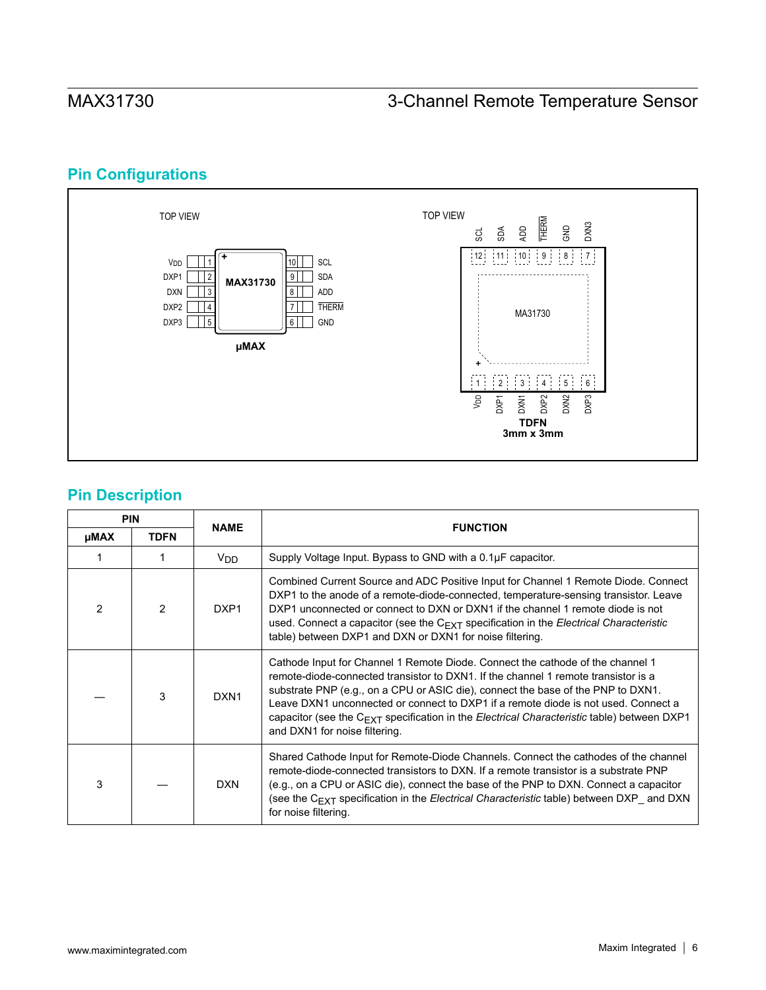# **Pin Configurations**



# **Pin Description**

|             | <b>PIN</b>    | <b>NAME</b>      | <b>FUNCTION</b>                                                                                                                                                                                                                                                                                                                                                                                                                                                                           |
|-------------|---------------|------------------|-------------------------------------------------------------------------------------------------------------------------------------------------------------------------------------------------------------------------------------------------------------------------------------------------------------------------------------------------------------------------------------------------------------------------------------------------------------------------------------------|
| <b>µMAX</b> | <b>TDFN</b>   |                  |                                                                                                                                                                                                                                                                                                                                                                                                                                                                                           |
|             |               | $V_{DD}$         | Supply Voltage Input. Bypass to GND with a 0.1µF capacitor.                                                                                                                                                                                                                                                                                                                                                                                                                               |
| 2           | $\mathcal{P}$ | DXP <sub>1</sub> | Combined Current Source and ADC Positive Input for Channel 1 Remote Diode. Connect<br>DXP1 to the anode of a remote-diode-connected, temperature-sensing transistor. Leave<br>DXP1 unconnected or connect to DXN or DXN1 if the channel 1 remote diode is not<br>used. Connect a capacitor (see the $C_{\text{EXT}}$ specification in the <i>Electrical Characteristic</i><br>table) between DXP1 and DXN or DXN1 for noise filtering.                                                    |
|             | 3             | DXN <sub>1</sub> | Cathode Input for Channel 1 Remote Diode. Connect the cathode of the channel 1<br>remote-diode-connected transistor to DXN1. If the channel 1 remote transistor is a<br>substrate PNP (e.g., on a CPU or ASIC die), connect the base of the PNP to DXN1.<br>Leave DXN1 unconnected or connect to DXP1 if a remote diode is not used. Connect a<br>capacitor (see the C <sub>EXT</sub> specification in the Electrical Characteristic table) between DXP1<br>and DXN1 for noise filtering. |
| 3           |               | <b>DXN</b>       | Shared Cathode Input for Remote-Diode Channels. Connect the cathodes of the channel<br>remote-diode-connected transistors to DXN. If a remote transistor is a substrate PNP<br>(e.g., on a CPU or ASIC die), connect the base of the PNP to DXN. Connect a capacitor<br>(see the $C_{\text{EXT}}$ specification in the <i>Electrical Characteristic</i> table) between DXP and DXN<br>for noise filtering.                                                                                |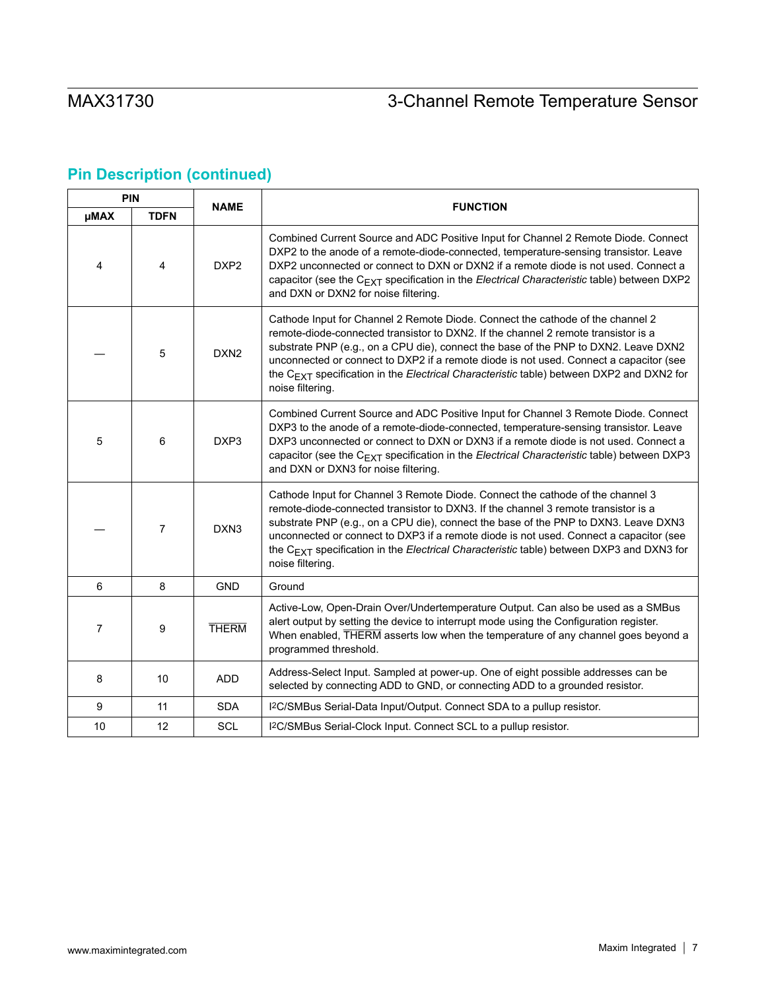# **Pin Description (continued)**

|             | <b>PIN</b>     |                  |                                                                                                                                                                                                                                                                                                                                                                                                                                                                                   |
|-------------|----------------|------------------|-----------------------------------------------------------------------------------------------------------------------------------------------------------------------------------------------------------------------------------------------------------------------------------------------------------------------------------------------------------------------------------------------------------------------------------------------------------------------------------|
| <b>µMAX</b> | <b>TDFN</b>    | <b>NAME</b>      | <b>FUNCTION</b>                                                                                                                                                                                                                                                                                                                                                                                                                                                                   |
| 4           | 4              | DXP <sub>2</sub> | Combined Current Source and ADC Positive Input for Channel 2 Remote Diode. Connect<br>DXP2 to the anode of a remote-diode-connected, temperature-sensing transistor. Leave<br>DXP2 unconnected or connect to DXN or DXN2 if a remote diode is not used. Connect a<br>capacitor (see the $C_{EXT}$ specification in the <i>Electrical Characteristic</i> table) between DXP2<br>and DXN or DXN2 for noise filtering.                                                               |
|             | 5              | DXN <sub>2</sub> | Cathode Input for Channel 2 Remote Diode. Connect the cathode of the channel 2<br>remote-diode-connected transistor to DXN2. If the channel 2 remote transistor is a<br>substrate PNP (e.g., on a CPU die), connect the base of the PNP to DXN2. Leave DXN2<br>unconnected or connect to DXP2 if a remote diode is not used. Connect a capacitor (see<br>the C <sub>EXT</sub> specification in the Electrical Characteristic table) between DXP2 and DXN2 for<br>noise filtering. |
| 5           | 6              | DXP <sub>3</sub> | Combined Current Source and ADC Positive Input for Channel 3 Remote Diode. Connect<br>DXP3 to the anode of a remote-diode-connected, temperature-sensing transistor. Leave<br>DXP3 unconnected or connect to DXN or DXN3 if a remote diode is not used. Connect a<br>capacitor (see the $C_{EXT}$ specification in the <i>Electrical Characteristic</i> table) between DXP3<br>and DXN or DXN3 for noise filtering.                                                               |
|             | $\overline{7}$ | DXN <sub>3</sub> | Cathode Input for Channel 3 Remote Diode. Connect the cathode of the channel 3<br>remote-diode-connected transistor to DXN3. If the channel 3 remote transistor is a<br>substrate PNP (e.g., on a CPU die), connect the base of the PNP to DXN3. Leave DXN3<br>unconnected or connect to DXP3 if a remote diode is not used. Connect a capacitor (see<br>the C <sub>EXT</sub> specification in the Electrical Characteristic table) between DXP3 and DXN3 for<br>noise filtering. |
| 6           | 8              | <b>GND</b>       | Ground                                                                                                                                                                                                                                                                                                                                                                                                                                                                            |
| 7           | 9              | <b>THERM</b>     | Active-Low, Open-Drain Over/Undertemperature Output. Can also be used as a SMBus<br>alert output by setting the device to interrupt mode using the Configuration register.<br>When enabled, THERM asserts low when the temperature of any channel goes beyond a<br>programmed threshold.                                                                                                                                                                                          |
| 8           | 10             | <b>ADD</b>       | Address-Select Input. Sampled at power-up. One of eight possible addresses can be<br>selected by connecting ADD to GND, or connecting ADD to a grounded resistor.                                                                                                                                                                                                                                                                                                                 |
| 9           | 11             | <b>SDA</b>       | I <sup>2</sup> C/SMBus Serial-Data Input/Output. Connect SDA to a pullup resistor.                                                                                                                                                                                                                                                                                                                                                                                                |
| 10          | 12             | <b>SCL</b>       | I <sup>2</sup> C/SMBus Serial-Clock Input. Connect SCL to a pullup resistor.                                                                                                                                                                                                                                                                                                                                                                                                      |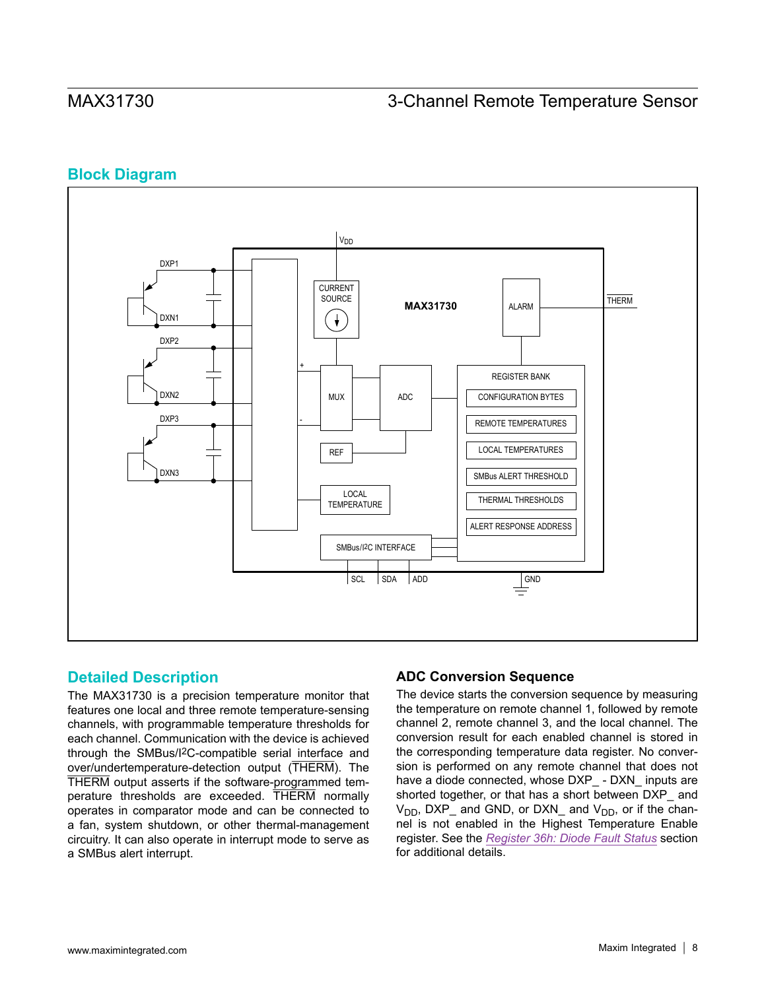### **Block Diagram**



### **Detailed Description**

The MAX31730 is a precision temperature monitor that features one local and three remote temperature-sensing channels, with programmable temperature thresholds for each channel. Communication with the device is achieved through the SMBus/I2C-compatible serial interface and over/undertemperature-detection output (THERM). The THERM output asserts if the software-programmed temperature thresholds are exceeded. THERM normally operates in comparator mode and can be connected to a fan, system shutdown, or other thermal-management circuitry. It can also operate in interrupt mode to serve as a SMBus alert interrupt.

### **ADC Conversion Sequence**

The device starts the conversion sequence by measuring the temperature on remote channel 1, followed by remote channel 2, remote channel 3, and the local channel. The conversion result for each enabled channel is stored in the corresponding temperature data register. No conversion is performed on any remote channel that does not have a diode connected, whose DXP\_ - DXN\_ inputs are shorted together, or that has a short between DXP and  $V_{DD}$ , DXP\_ and GND, or DXN\_ and  $V_{DD}$ , or if the channel is not enabled in the Highest Temperature Enable register. See the *[Register 36h: Diode Fault Status](#page-40-0)* section for additional details.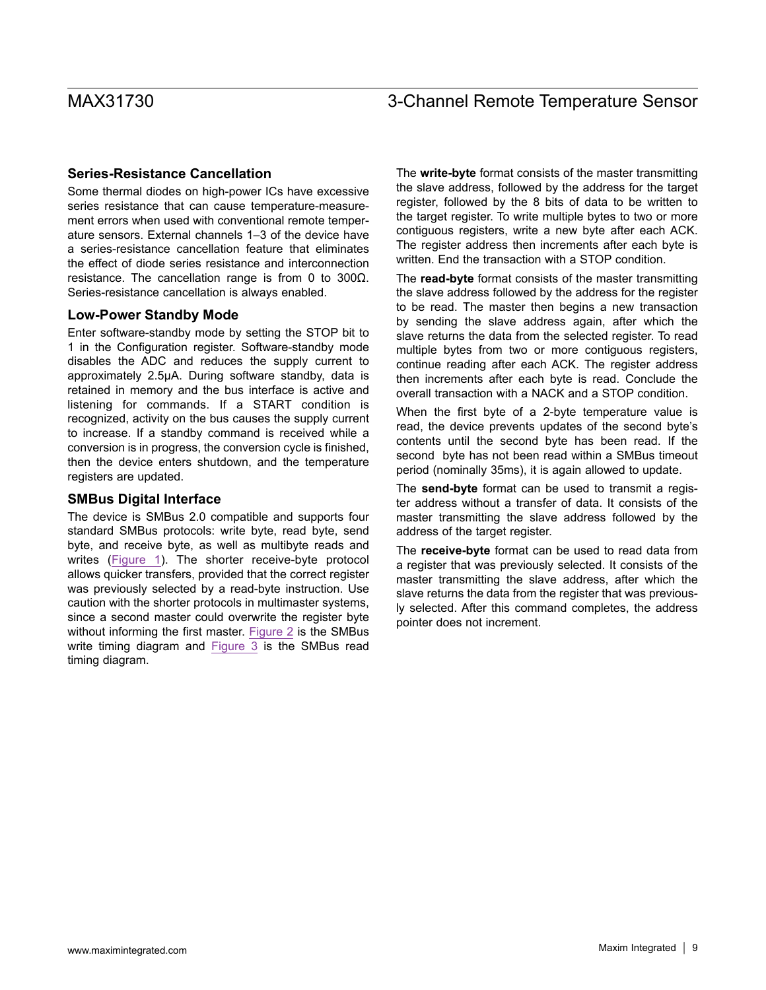#### **Series-Resistance Cancellation**

Some thermal diodes on high-power ICs have excessive series resistance that can cause temperature-measurement errors when used with conventional remote temperature sensors. External channels 1–3 of the device have a series-resistance cancellation feature that eliminates the effect of diode series resistance and interconnection resistance. The cancellation range is from 0 to 300Ω. Series-resistance cancellation is always enabled.

#### **Low-Power Standby Mode**

Enter software-standby mode by setting the STOP bit to 1 in the Configuration register. Software-standby mode disables the ADC and reduces the supply current to approximately 2.5µA. During software standby, data is retained in memory and the bus interface is active and listening for commands. If a START condition is recognized, activity on the bus causes the supply current to increase. If a standby command is received while a conversion is in progress, the conversion cycle is finished, then the device enters shutdown, and the temperature registers are updated.

#### **SMBus Digital Interface**

The device is SMBus 2.0 compatible and supports four standard SMBus protocols: write byte, read byte, send byte, and receive byte, as well as multibyte reads and writes [\(Figure 1\)](#page-9-0). The shorter receive-byte protocol allows quicker transfers, provided that the correct register was previously selected by a read-byte instruction. Use caution with the shorter protocols in multimaster systems, since a second master could overwrite the register byte without informing the first master. [Figure 2](#page-10-0) is the SMBus write timing diagram and [Figure 3](#page-10-1) is the SMBus read timing diagram.

The **write-byte** format consists of the master transmitting the slave address, followed by the address for the target register, followed by the 8 bits of data to be written to the target register. To write multiple bytes to two or more contiguous registers, write a new byte after each ACK. The register address then increments after each byte is written. End the transaction with a STOP condition.

The **read-byte** format consists of the master transmitting the slave address followed by the address for the register to be read. The master then begins a new transaction by sending the slave address again, after which the slave returns the data from the selected register. To read multiple bytes from two or more contiguous registers, continue reading after each ACK. The register address then increments after each byte is read. Conclude the overall transaction with a NACK and a STOP condition.

When the first byte of a 2-byte temperature value is read, the device prevents updates of the second byte's contents until the second byte has been read. If the second byte has not been read within a SMBus timeout period (nominally 35ms), it is again allowed to update.

The **send-byte** format can be used to transmit a register address without a transfer of data. It consists of the master transmitting the slave address followed by the address of the target register.

The **receive-byte** format can be used to read data from a register that was previously selected. It consists of the master transmitting the slave address, after which the slave returns the data from the register that was previously selected. After this command completes, the address pointer does not increment.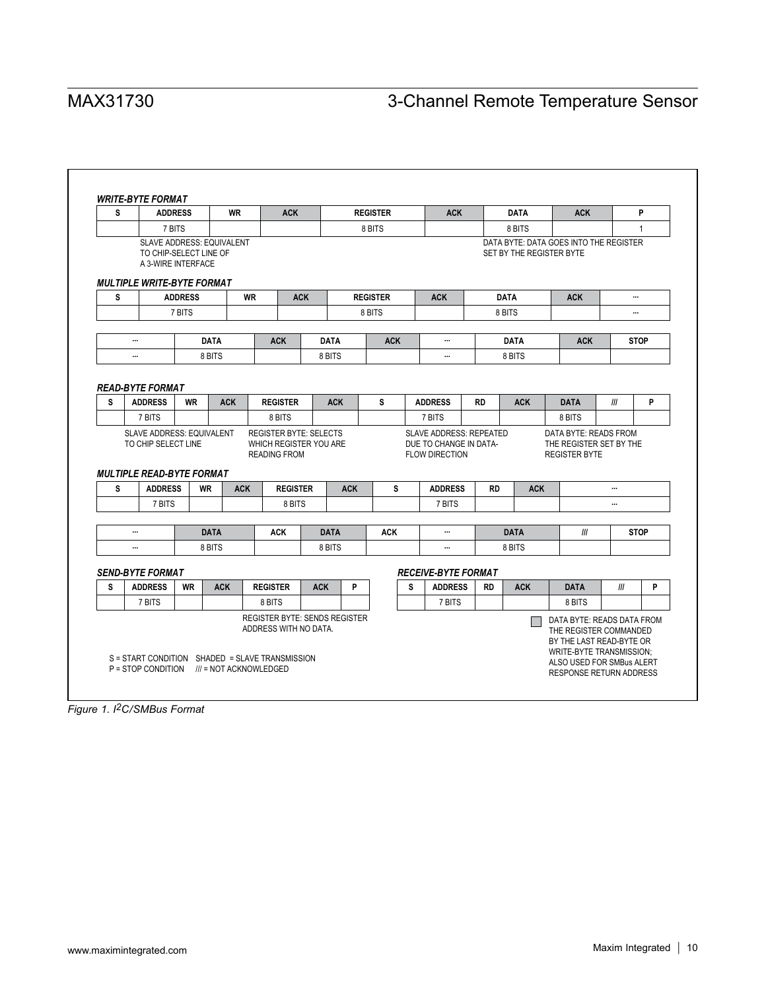<span id="page-9-0"></span>

| s | <b>ADDRESS</b>                                                                    |                | <b>WR</b>                        |                 | <b>ACK</b>                                    |                       |            | <b>REGISTER</b> |   | <b>ACK</b>                                      |           | <b>DATA</b>           | <b>ACK</b>                                                         |     | P            |
|---|-----------------------------------------------------------------------------------|----------------|----------------------------------|-----------------|-----------------------------------------------|-----------------------|------------|-----------------|---|-------------------------------------------------|-----------|-----------------------|--------------------------------------------------------------------|-----|--------------|
|   | 7 BITS                                                                            |                |                                  |                 |                                               |                       |            | 8 BITS          |   |                                                 |           | 8 BITS                |                                                                    |     | $\mathbf{1}$ |
|   | TO CHIP-SELECT LINE OF<br>A 3-WIRE INTERFACE<br><b>MULTIPLE WRITE-BYTE FORMAT</b> |                | <b>SLAVE ADDRESS: EQUIVALENT</b> |                 |                                               |                       |            |                 |   |                                                 |           |                       | DATA BYTE: DATA GOES INTO THE REGISTER<br>SET BY THE REGISTER BYTE |     |              |
| s |                                                                                   | <b>ADDRESS</b> |                                  | <b>WR</b>       | <b>ACK</b>                                    |                       |            | <b>REGISTER</b> |   | <b>ACK</b>                                      |           | <b>DATA</b>           | <b>ACK</b>                                                         |     |              |
|   |                                                                                   | 7 BITS         |                                  |                 |                                               |                       |            | 8 BITS          |   |                                                 |           | 8 BITS                |                                                                    |     |              |
|   | $\cdots$                                                                          |                | <b>DATA</b>                      |                 | <b>ACK</b>                                    | <b>DATA</b>           |            | <b>ACK</b>      |   | $\cdots$                                        |           | <b>DATA</b>           | <b>ACK</b>                                                         |     | <b>STOP</b>  |
|   | $\cdots$                                                                          |                | 8 BITS                           |                 |                                               | 8 BITS                |            |                 |   | $\cdots$                                        |           | 8 BITS                |                                                                    |     |              |
|   | 7 BITS<br><b>SLAVE ADDRESS: EQUIVALENT</b>                                        |                |                                  |                 | 8 BITS<br><b>REGISTER BYTE: SELECTS</b>       |                       |            |                 |   | 7 BITS<br><b>SLAVE ADDRESS: REPEATED</b>        |           |                       | 8 BITS<br>DATA BYTE: READS FROM                                    |     |              |
|   | TO CHIP SELECT LINE<br><b>MULTIPLE READ-BYTE FORMAT</b>                           |                |                                  |                 | WHICH REGISTER YOU ARE<br><b>READING FROM</b> |                       |            |                 |   | DUE TO CHANGE IN DATA-<br><b>FLOW DIRECTION</b> |           |                       | THE REGISTER SET BY THE<br><b>REGISTER BYTE</b>                    |     |              |
| s | <b>ADDRESS</b>                                                                    |                | <b>WR</b>                        | <b>ACK</b>      | <b>REGISTER</b>                               |                       | <b>ACK</b> | s               |   | <b>ADDRESS</b>                                  | <b>RD</b> | <b>ACK</b>            |                                                                    |     |              |
|   | 7 BITS                                                                            |                |                                  |                 | 8 BITS                                        |                       |            |                 |   | 7 BITS                                          |           |                       |                                                                    |     |              |
|   |                                                                                   |                |                                  |                 |                                               |                       |            |                 |   | $\cdots$                                        |           |                       |                                                                    |     |              |
|   | $\cdots$                                                                          |                | <b>DATA</b><br>8 BITS            |                 | <b>ACK</b>                                    | <b>DATA</b><br>8 BITS |            | <b>ACK</b>      |   | $\cdots$                                        |           | <b>DATA</b><br>8 BITS | III                                                                |     | <b>STOP</b>  |
|   |                                                                                   |                |                                  |                 |                                               |                       |            |                 |   |                                                 |           |                       |                                                                    |     |              |
| s | <b>SEND-BYTE FORMAT</b><br><b>ADDRESS</b>                                         | <b>WR</b>      | <b>ACK</b>                       | <b>REGISTER</b> |                                               | <b>ACK</b>            | P          |                 | s | <b>RECEIVE-BYTE FORMAT</b><br><b>ADDRESS</b>    | <b>RD</b> | <b>ACK</b>            | <b>DATA</b>                                                        | III | P            |
|   | 7 BITS                                                                            |                |                                  | 8 BITS          |                                               |                       |            |                 |   | 7 BITS                                          |           |                       | 8 BITS                                                             |     |              |

*Figure 1. I2C/SMBus Format*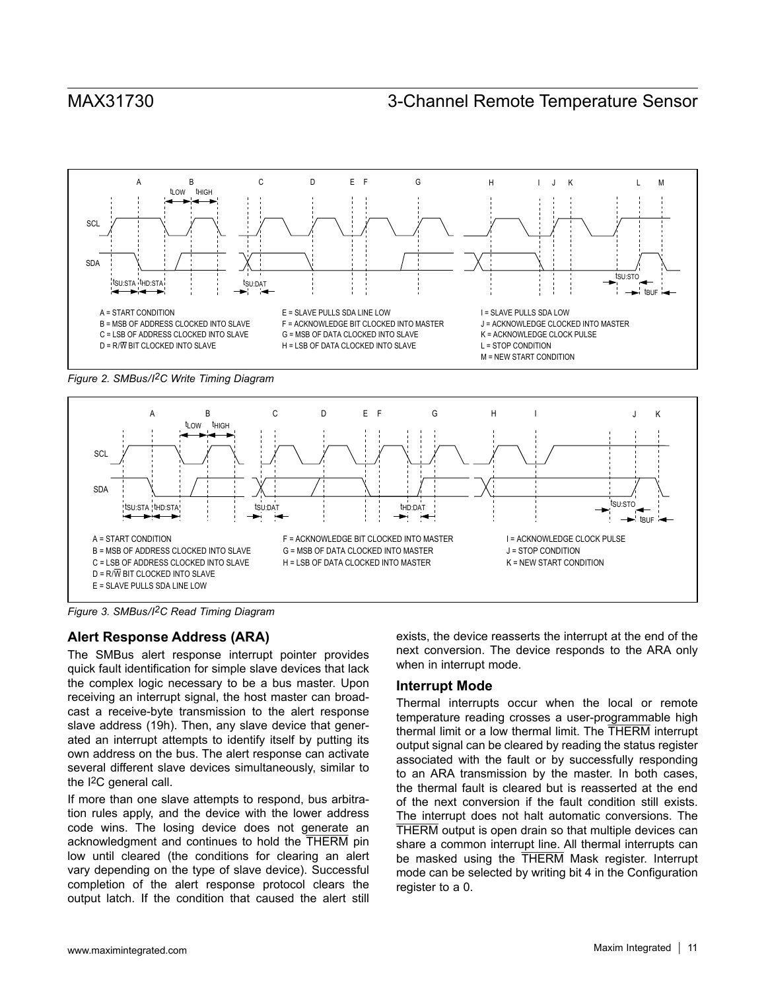<span id="page-10-0"></span>

*Figure 2. SMBus/I2C Write Timing Diagram* 

<span id="page-10-1"></span>

*Figure 3. SMBus/I2C Read Timing Diagram* 

#### **Alert Response Address (ARA)**

The SMBus alert response interrupt pointer provides quick fault identification for simple slave devices that lack the complex logic necessary to be a bus master. Upon receiving an interrupt signal, the host master can broadcast a receive-byte transmission to the alert response slave address (19h). Then, any slave device that generated an interrupt attempts to identify itself by putting its own address on the bus. The alert response can activate several different slave devices simultaneously, similar to the I2C general call.

If more than one slave attempts to respond, bus arbitration rules apply, and the device with the lower address code wins. The losing device does not generate an acknowledgment and continues to hold the THERM pin low until cleared (the conditions for clearing an alert vary depending on the type of slave device). Successful completion of the alert response protocol clears the output latch. If the condition that caused the alert still

exists, the device reasserts the interrupt at the end of the next conversion. The device responds to the ARA only when in interrupt mode.

#### **Interrupt Mode**

Thermal interrupts occur when the local or remote temperature reading crosses a user-programmable high thermal limit or a low thermal limit. The THERM interrupt output signal can be cleared by reading the status register associated with the fault or by successfully responding to an ARA transmission by the master. In both cases, the thermal fault is cleared but is reasserted at the end of the next conversion if the fault condition still exists. The interrupt does not halt automatic conversions. The THERM output is open drain so that multiple devices can share a common interrupt line. All thermal interrupts can be masked using the THERM Mask register. Interrupt mode can be selected by writing bit 4 in the Configuration register to a 0.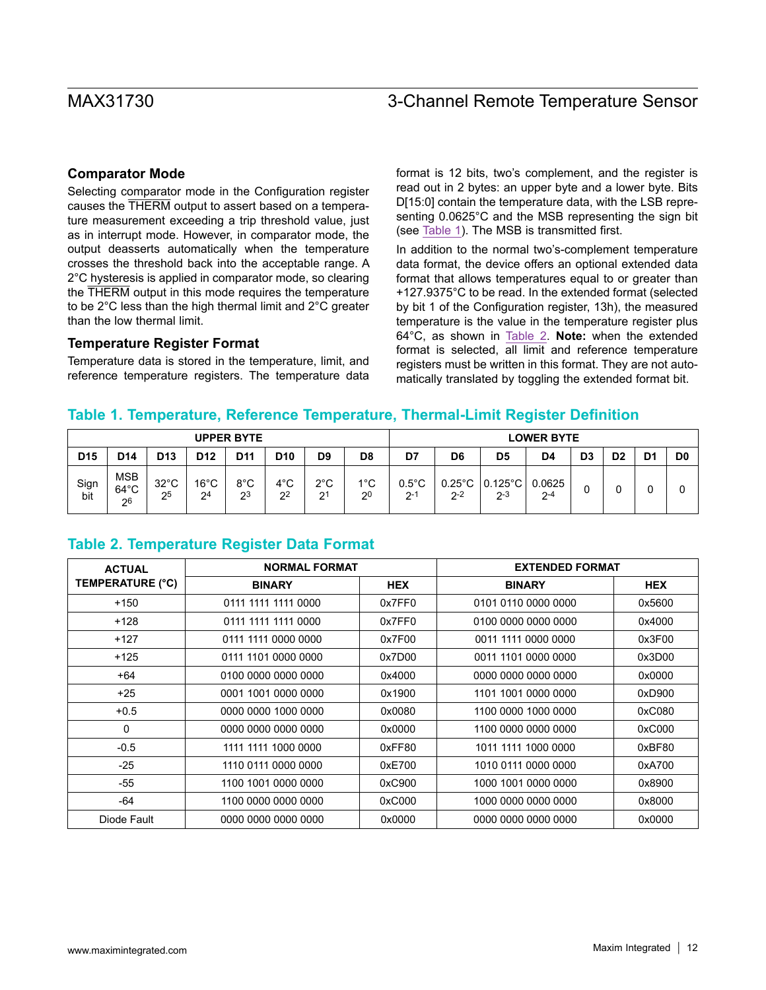#### **Comparator Mode**

Selecting comparator mode in the Configuration register causes the THERM output to assert based on a temperature measurement exceeding a trip threshold value, just as in interrupt mode. However, in comparator mode, the output deasserts automatically when the temperature crosses the threshold back into the acceptable range. A 2°C hysteresis is applied in comparator mode, so clearing the THERM output in this mode requires the temperature to be 2°C less than the high thermal limit and 2°C greater than the low thermal limit.

#### **Temperature Register Format**

Temperature data is stored in the temperature, limit, and reference temperature registers. The temperature data format is 12 bits, two's complement, and the register is read out in 2 bytes: an upper byte and a lower byte. Bits D[15:0] contain the temperature data, with the LSB representing 0.0625°C and the MSB representing the sign bit (see [Table 1\)](#page-11-0). The MSB is transmitted first.

In addition to the normal two's-complement temperature data format, the device offers an optional extended data format that allows temperatures equal to or greater than +127.9375°C to be read. In the extended format (selected by bit 1 of the Configuration register, 13h), the measured temperature is the value in the temperature register plus 64°C, as shown in [Table 2](#page-11-1). **Note:** when the extended format is selected, all limit and reference temperature registers must be written in this format. They are not automatically translated by toggling the extended format bit.

#### <span id="page-11-0"></span>**Table 1. Temperature, Reference Temperature, Thermal-Limit Register Definition**

|                 | <b>UPPER BYTE</b>                  |                      |                                  |                       |                       |                       |                       |                            |         |                                                    | <b>LOWER BYTE</b> |                |    |    |                |
|-----------------|------------------------------------|----------------------|----------------------------------|-----------------------|-----------------------|-----------------------|-----------------------|----------------------------|---------|----------------------------------------------------|-------------------|----------------|----|----|----------------|
| D <sub>15</sub> | D14                                | D <sub>13</sub>      | D <sub>12</sub>                  | D11                   | D <sub>10</sub>       | D9                    | D <sub>8</sub>        | D7                         | D6      | D <sub>5</sub>                                     | D4                | D <sub>3</sub> | D2 | D. | D <sub>0</sub> |
| Sign<br>bit     | <b>MSB</b><br>$64^{\circ}$ C<br>26 | $32^{\circ}$ C<br>25 | $16^{\circ}$ C<br>2 <sup>4</sup> | 8°C<br>2 <sup>3</sup> | 4°C<br>2 <sup>2</sup> | 2°C<br>2 <sup>1</sup> | 1°C<br>2 <sup>0</sup> | $0.5^{\circ}$ C<br>$2 - 1$ | $2 - 2$ | $0.25^{\circ}$ C   0.125 $^{\circ}$ C  <br>$2 - 3$ | 0.0625<br>$2 - 4$ |                |    |    |                |

### <span id="page-11-1"></span>**Table 2. Temperature Register Data Format**

| <b>ACTUAL</b>           | <b>NORMAL FORMAT</b> |            | <b>EXTENDED FORMAT</b> |            |  |  |
|-------------------------|----------------------|------------|------------------------|------------|--|--|
| <b>TEMPERATURE (°C)</b> | <b>BINARY</b>        | <b>HEX</b> | <b>BINARY</b>          | <b>HEX</b> |  |  |
| $+150$                  | 0111 1111 1111 0000  | 0x7FF0     | 0101 0110 0000 0000    | 0x5600     |  |  |
| $+128$                  | 0111 1111 1111 0000  | 0x7FF0     | 0100 0000 0000 0000    | 0x4000     |  |  |
| $+127$                  | 0111 1111 0000 0000  | 0x7F00     | 0011 1111 0000 0000    | 0x3F00     |  |  |
| $+125$                  | 0111 1101 0000 0000  | 0x7D00     | 0011 1101 0000 0000    | 0x3D00     |  |  |
| $+64$                   | 0100 0000 0000 0000  | 0x4000     | 0000 0000 0000 0000    | 0x0000     |  |  |
| $+25$                   | 0001 1001 0000 0000  | 0x1900     | 1101 1001 0000 0000    | 0xD900     |  |  |
| $+0.5$                  | 0000 0000 1000 0000  | 0x0080     | 1100 0000 1000 0000    | 0xC080     |  |  |
| 0                       | 0000 0000 0000 0000  | 0x0000     | 1100 0000 0000 0000    | 0xC000     |  |  |
| $-0.5$                  | 1111 1111 1000 0000  | 0xFF80     | 1011 1111 1000 0000    | 0xBF80     |  |  |
| $-25$                   | 1110 0111 0000 0000  | 0xE700     | 1010 0111 0000 0000    | 0xA700     |  |  |
| -55                     | 1100 1001 0000 0000  | 0xC900     | 1000 1001 0000 0000    | 0x8900     |  |  |
| -64                     | 1100 0000 0000 0000  | 0xC000     | 1000 0000 0000 0000    | 0x8000     |  |  |
| Diode Fault             | 0000 0000 0000 0000  | 0x0000     | 0000 0000 0000 0000    | 0x0000     |  |  |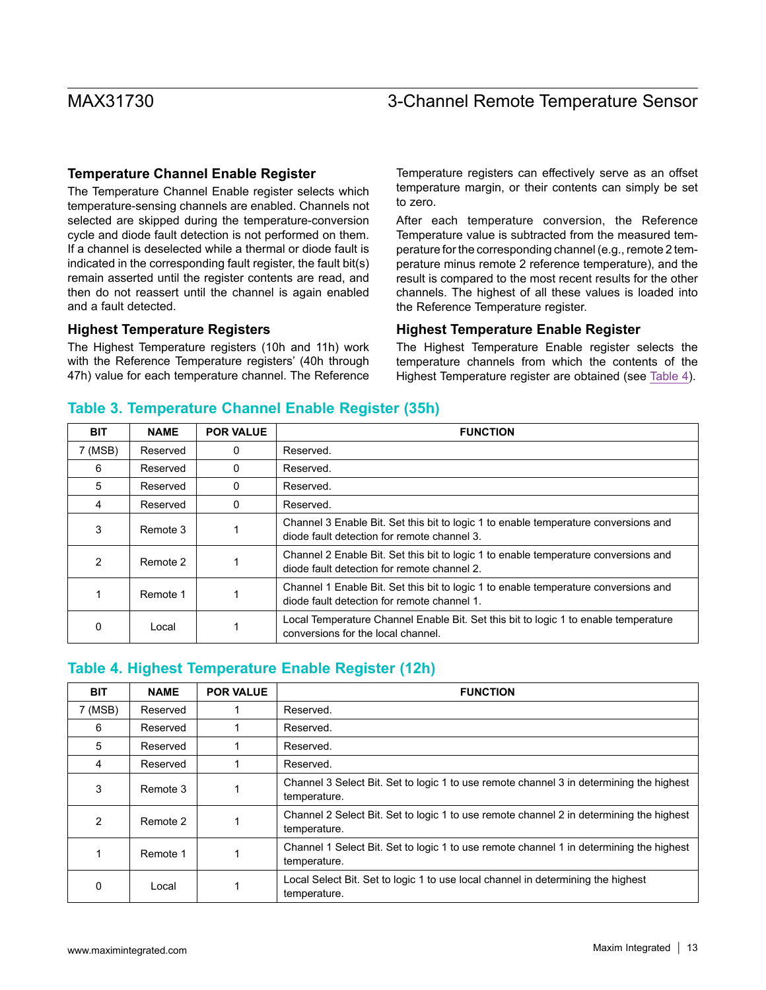#### **Temperature Channel Enable Register**

The Temperature Channel Enable register selects which temperature-sensing channels are enabled. Channels not selected are skipped during the temperature-conversion cycle and diode fault detection is not performed on them. If a channel is deselected while a thermal or diode fault is indicated in the corresponding fault register, the fault bit(s) remain asserted until the register contents are read, and then do not reassert until the channel is again enabled and a fault detected.

#### **Highest Temperature Registers**

The Highest Temperature registers (10h and 11h) work with the Reference Temperature registers' (40h through 47h) value for each temperature channel. The Reference

Temperature registers can effectively serve as an offset temperature margin, or their contents can simply be set to zero.

After each temperature conversion, the Reference Temperature value is subtracted from the measured temperature for the corresponding channel (e.g., remote 2 temperature minus remote 2 reference temperature), and the result is compared to the most recent results for the other channels. The highest of all these values is loaded into the Reference Temperature register.

#### **Highest Temperature Enable Register**

The Highest Temperature Enable register selects the temperature channels from which the contents of the Highest Temperature register are obtained (see [Table 4\)](#page-12-0).

#### **Table 3. Temperature Channel Enable Register (35h)**

| <b>BIT</b> | <b>NAME</b> | <b>POR VALUE</b> | <b>FUNCTION</b>                                                                                                                    |
|------------|-------------|------------------|------------------------------------------------------------------------------------------------------------------------------------|
| 7 (MSB)    | Reserved    | 0                | Reserved.                                                                                                                          |
| 6          | Reserved    | 0                | Reserved.                                                                                                                          |
| 5          | Reserved    | 0                | Reserved.                                                                                                                          |
| 4          | Reserved    | 0                | Reserved.                                                                                                                          |
| 3          | Remote 3    |                  | Channel 3 Enable Bit. Set this bit to logic 1 to enable temperature conversions and<br>diode fault detection for remote channel 3. |
| 2          | Remote 2    |                  | Channel 2 Enable Bit. Set this bit to logic 1 to enable temperature conversions and<br>diode fault detection for remote channel 2. |
|            | Remote 1    |                  | Channel 1 Enable Bit. Set this bit to logic 1 to enable temperature conversions and<br>diode fault detection for remote channel 1. |
| 0          | Local       |                  | Local Temperature Channel Enable Bit. Set this bit to logic 1 to enable temperature<br>conversions for the local channel.          |

### <span id="page-12-0"></span>**Table 4. Highest Temperature Enable Register (12h)**

| <b>BIT</b> | <b>NAME</b> | <b>POR VALUE</b> | <b>FUNCTION</b>                                                                                         |
|------------|-------------|------------------|---------------------------------------------------------------------------------------------------------|
| 7 (MSB)    | Reserved    |                  | Reserved.                                                                                               |
| 6          | Reserved    |                  | Reserved.                                                                                               |
| 5          | Reserved    |                  | Reserved.                                                                                               |
| 4          | Reserved    |                  | Reserved.                                                                                               |
| 3          | Remote 3    |                  | Channel 3 Select Bit. Set to logic 1 to use remote channel 3 in determining the highest<br>temperature. |
| 2          | Remote 2    |                  | Channel 2 Select Bit. Set to logic 1 to use remote channel 2 in determining the highest<br>temperature. |
|            | Remote 1    |                  | Channel 1 Select Bit. Set to logic 1 to use remote channel 1 in determining the highest<br>temperature. |
| 0          | Local       |                  | Local Select Bit. Set to logic 1 to use local channel in determining the highest<br>temperature.        |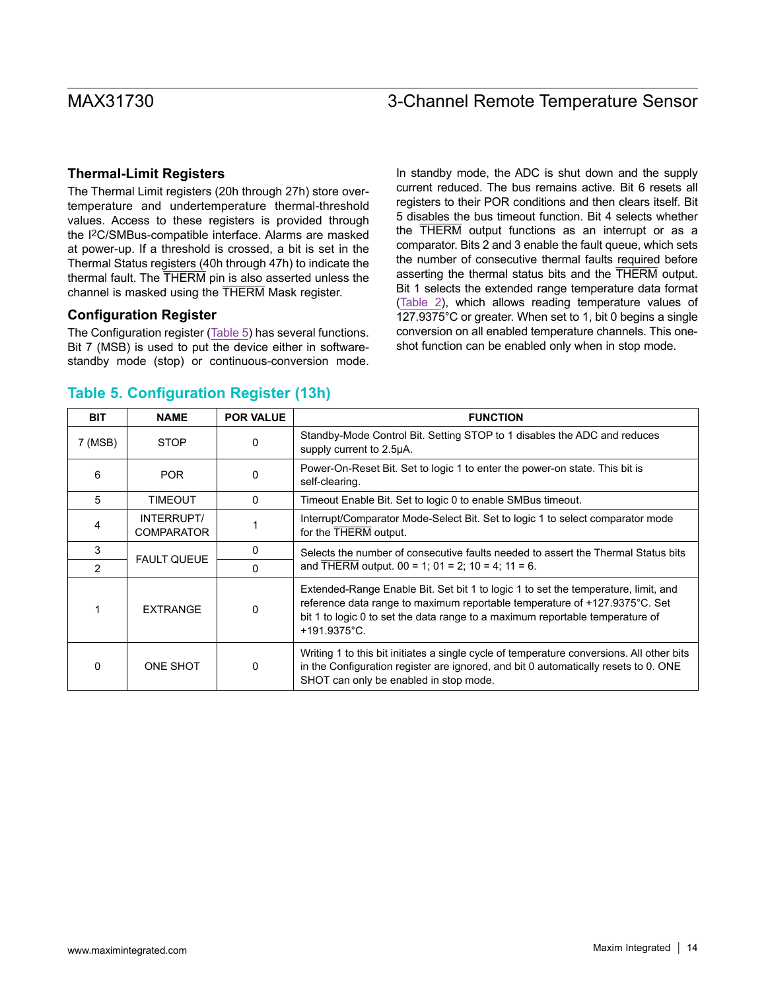#### **Thermal-Limit Registers**

The Thermal Limit registers (20h through 27h) store overtemperature and undertemperature thermal-threshold values. Access to these registers is provided through the I2C/SMBus-compatible interface. Alarms are masked at power-up. If a threshold is crossed, a bit is set in the Thermal Status registers (40h through 47h) to indicate the thermal fault. The THERM pin is also asserted unless the channel is masked using the THERM Mask register.

#### **Configuration Register**

The Configuration register [\(Table 5\)](#page-13-0) has several functions. Bit 7 (MSB) is used to put the device either in softwarestandby mode (stop) or continuous-conversion mode. In standby mode, the ADC is shut down and the supply current reduced. The bus remains active. Bit 6 resets all registers to their POR conditions and then clears itself. Bit 5 disables the bus timeout function. Bit 4 selects whether the THERM output functions as an interrupt or as a comparator. Bits 2 and 3 enable the fault queue, which sets the number of consecutive thermal faults required before asserting the thermal status bits and the THERM output. Bit 1 selects the extended range temperature data format ([Table 2\)](#page-11-1), which allows reading temperature values of 127.9375°C or greater. When set to 1, bit 0 begins a single conversion on all enabled temperature channels. This oneshot function can be enabled only when in stop mode.

### <span id="page-13-0"></span>**Table 5. Configuration Register (13h)**

| <b>BIT</b>    | <b>NAME</b>                     | <b>POR VALUE</b> | <b>FUNCTION</b>                                                                                                                                                                                                                                                             |
|---------------|---------------------------------|------------------|-----------------------------------------------------------------------------------------------------------------------------------------------------------------------------------------------------------------------------------------------------------------------------|
| 7 (MSB)       | <b>STOP</b>                     | 0                | Standby-Mode Control Bit. Setting STOP to 1 disables the ADC and reduces<br>supply current to 2.5µA.                                                                                                                                                                        |
| 6             | <b>POR</b>                      | 0                | Power-On-Reset Bit. Set to logic 1 to enter the power-on state. This bit is<br>self-clearing.                                                                                                                                                                               |
| 5             | <b>TIMEOUT</b>                  | 0                | Timeout Enable Bit. Set to logic 0 to enable SMBus timeout.                                                                                                                                                                                                                 |
| 4             | INTERRUPT/<br><b>COMPARATOR</b> |                  | Interrupt/Comparator Mode-Select Bit. Set to logic 1 to select comparator mode<br>for the THERM output.                                                                                                                                                                     |
| 3             | <b>FAULT QUEUE</b>              | 0                | Selects the number of consecutive faults needed to assert the Thermal Status bits                                                                                                                                                                                           |
| $\mathcal{P}$ |                                 | 0                | and THERM output. $00 = 1$ ; $01 = 2$ ; $10 = 4$ ; $11 = 6$ .                                                                                                                                                                                                               |
|               | <b>EXTRANGE</b>                 | 0                | Extended-Range Enable Bit. Set bit 1 to logic 1 to set the temperature, limit, and<br>reference data range to maximum reportable temperature of +127.9375°C. Set<br>bit 1 to logic 0 to set the data range to a maximum reportable temperature of<br>$+191.9375^{\circ}$ C. |
| $\Omega$      | ONE SHOT                        | 0                | Writing 1 to this bit initiates a single cycle of temperature conversions. All other bits<br>in the Configuration register are ignored, and bit 0 automatically resets to 0. ONE<br>SHOT can only be enabled in stop mode.                                                  |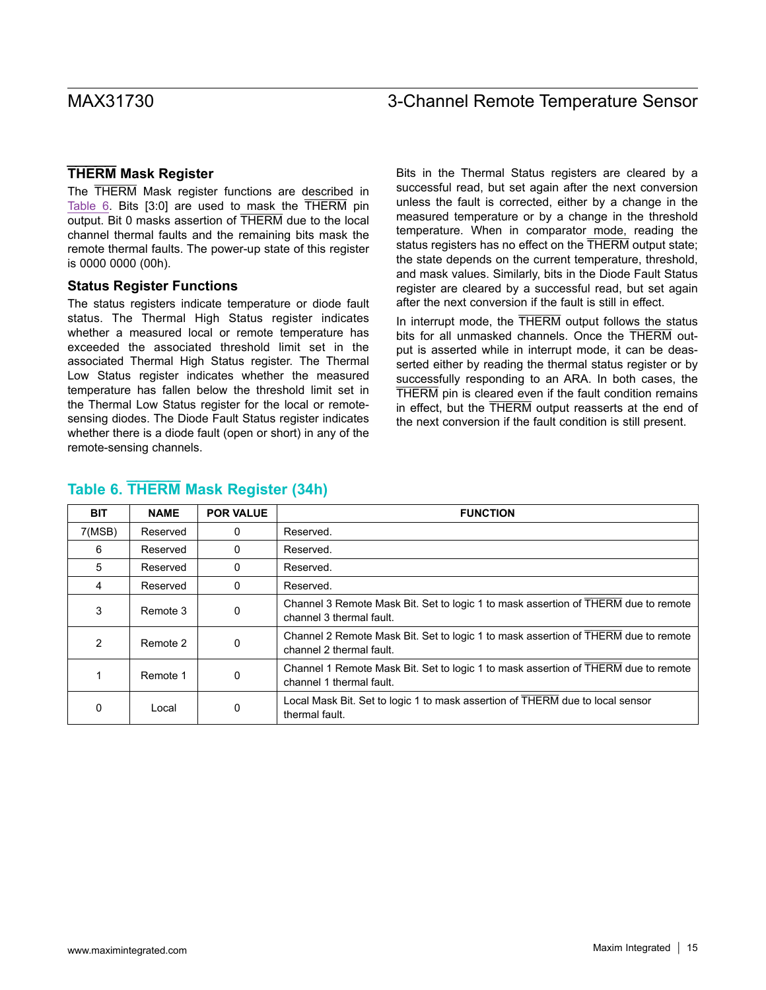#### **THERM Mask Register**

The THERM Mask register functions are described in [Table 6](#page-14-0). Bits [3:0] are used to mask the THERM pin output. Bit 0 masks assertion of THERM due to the local channel thermal faults and the remaining bits mask the remote thermal faults. The power-up state of this register is 0000 0000 (00h).

#### **Status Register Functions**

The status registers indicate temperature or diode fault status. The Thermal High Status register indicates whether a measured local or remote temperature has exceeded the associated threshold limit set in the associated Thermal High Status register. The Thermal Low Status register indicates whether the measured temperature has fallen below the threshold limit set in the Thermal Low Status register for the local or remotesensing diodes. The Diode Fault Status register indicates whether there is a diode fault (open or short) in any of the remote-sensing channels.

Bits in the Thermal Status registers are cleared by a successful read, but set again after the next conversion unless the fault is corrected, either by a change in the measured temperature or by a change in the threshold temperature. When in comparator mode, reading the status registers has no effect on the THERM output state; the state depends on the current temperature, threshold, and mask values. Similarly, bits in the Diode Fault Status register are cleared by a successful read, but set again after the next conversion if the fault is still in effect.

In interrupt mode, the THERM output follows the status bits for all unmasked channels. Once the THERM output is asserted while in interrupt mode, it can be deasserted either by reading the thermal status register or by successfully responding to an ARA. In both cases, the THERM pin is cleared even if the fault condition remains in effect, but the THERM output reasserts at the end of the next conversion if the fault condition is still present.

| <b>BIT</b> | <b>NAME</b> | <b>POR VALUE</b> | <b>FUNCTION</b>                                                                                                |
|------------|-------------|------------------|----------------------------------------------------------------------------------------------------------------|
| 7(MSB)     | Reserved    | 0                | Reserved.                                                                                                      |
| 6          | Reserved    | 0                | Reserved.                                                                                                      |
| 5          | Reserved    | 0                | Reserved.                                                                                                      |
| 4          | Reserved    | $\Omega$         | Reserved.                                                                                                      |
| 3          | Remote 3    | 0                | Channel 3 Remote Mask Bit. Set to logic 1 to mask assertion of THERM due to remote<br>channel 3 thermal fault. |
| 2          | Remote 2    | 0                | Channel 2 Remote Mask Bit. Set to logic 1 to mask assertion of THERM due to remote<br>channel 2 thermal fault. |
|            | Remote 1    | 0                | Channel 1 Remote Mask Bit. Set to logic 1 to mask assertion of THERM due to remote<br>channel 1 thermal fault. |
| 0          | Local       | 0                | Local Mask Bit. Set to logic 1 to mask assertion of THERM due to local sensor<br>thermal fault.                |

### <span id="page-14-0"></span>**Table 6. THERM Mask Register (34h)**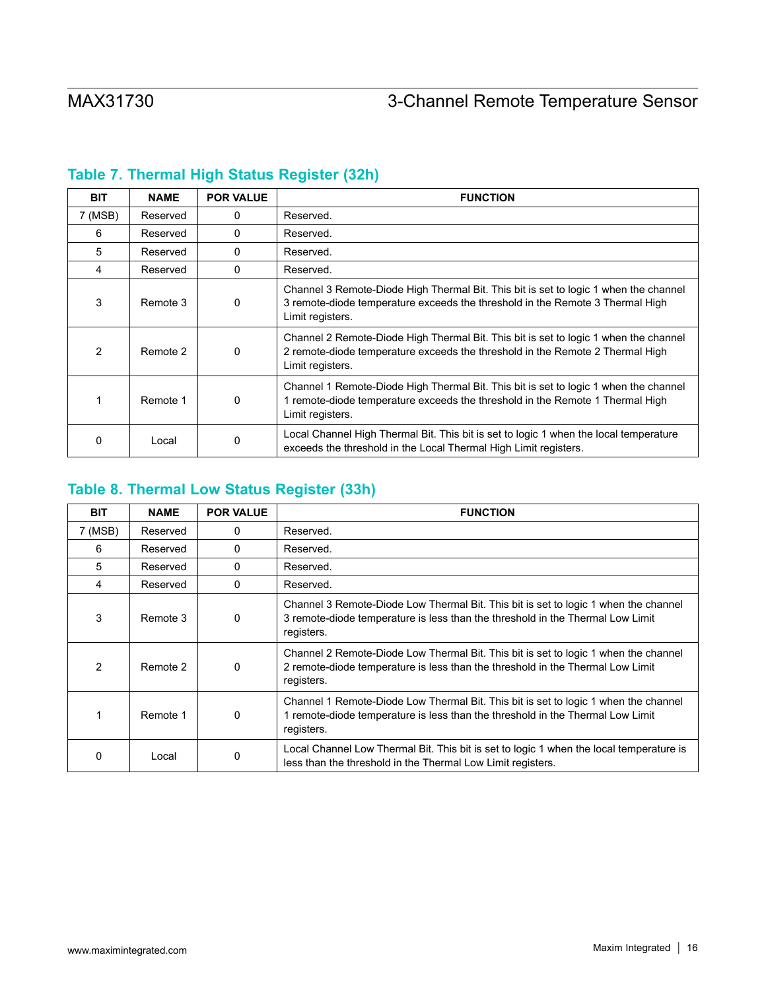| <b>BIT</b> | <b>NAME</b> | <b>POR VALUE</b> | <b>FUNCTION</b>                                                                                                                                                                           |
|------------|-------------|------------------|-------------------------------------------------------------------------------------------------------------------------------------------------------------------------------------------|
| 7 (MSB)    | Reserved    | 0                | Reserved.                                                                                                                                                                                 |
| 6          | Reserved    | 0                | Reserved.                                                                                                                                                                                 |
| 5          | Reserved    | 0                | Reserved.                                                                                                                                                                                 |
| 4          | Reserved    | 0                | Reserved.                                                                                                                                                                                 |
| 3          | Remote 3    | 0                | Channel 3 Remote-Diode High Thermal Bit. This bit is set to logic 1 when the channel<br>3 remote-diode temperature exceeds the threshold in the Remote 3 Thermal High<br>Limit registers. |
| 2          | Remote 2    | 0                | Channel 2 Remote-Diode High Thermal Bit. This bit is set to logic 1 when the channel<br>2 remote-diode temperature exceeds the threshold in the Remote 2 Thermal High<br>Limit registers. |
|            | Remote 1    | 0                | Channel 1 Remote-Diode High Thermal Bit. This bit is set to logic 1 when the channel<br>1 remote-diode temperature exceeds the threshold in the Remote 1 Thermal High<br>Limit registers. |
|            | Local       | 0                | Local Channel High Thermal Bit. This bit is set to logic 1 when the local temperature<br>exceeds the threshold in the Local Thermal High Limit registers.                                 |

# **Table 7. Thermal High Status Register (32h)**

# **Table 8. Thermal Low Status Register (33h)**

| <b>BIT</b>     | <b>NAME</b> | <b>POR VALUE</b> | <b>FUNCTION</b>                                                                                                                                                                     |
|----------------|-------------|------------------|-------------------------------------------------------------------------------------------------------------------------------------------------------------------------------------|
| 7 (MSB)        | Reserved    | $\Omega$         | Reserved.                                                                                                                                                                           |
| 6              | Reserved    | $\Omega$         | Reserved.                                                                                                                                                                           |
| 5              | Reserved    | $\Omega$         | Reserved.                                                                                                                                                                           |
| 4              | Reserved    | $\Omega$         | Reserved.                                                                                                                                                                           |
| 3              | Remote 3    | 0                | Channel 3 Remote-Diode Low Thermal Bit. This bit is set to logic 1 when the channel<br>3 remote-diode temperature is less than the threshold in the Thermal Low Limit<br>registers. |
| $\mathfrak{p}$ | Remote 2    | 0                | Channel 2 Remote-Diode Low Thermal Bit. This bit is set to logic 1 when the channel<br>2 remote-diode temperature is less than the threshold in the Thermal Low Limit<br>registers. |
|                | Remote 1    | 0                | Channel 1 Remote-Diode Low Thermal Bit. This bit is set to logic 1 when the channel<br>1 remote-diode temperature is less than the threshold in the Thermal Low Limit<br>registers. |
| O              | Local       | 0                | Local Channel Low Thermal Bit. This bit is set to logic 1 when the local temperature is<br>less than the threshold in the Thermal Low Limit registers.                              |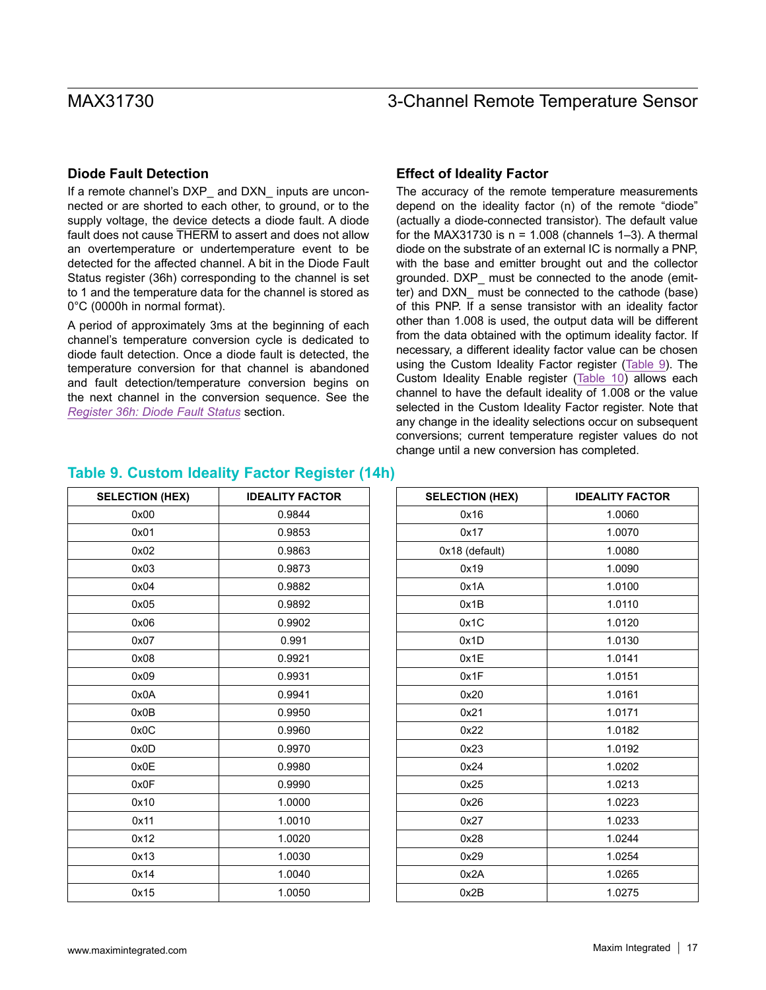#### **Diode Fault Detection**

If a remote channel's DXP\_ and DXN\_ inputs are unconnected or are shorted to each other, to ground, or to the supply voltage, the device detects a diode fault. A diode fault does not cause THERM to assert and does not allow an overtemperature or undertemperature event to be detected for the affected channel. A bit in the Diode Fault Status register (36h) corresponding to the channel is set to 1 and the temperature data for the channel is stored as 0°C (0000h in normal format).

A period of approximately 3ms at the beginning of each channel's temperature conversion cycle is dedicated to diode fault detection. Once a diode fault is detected, the temperature conversion for that channel is abandoned and fault detection/temperature conversion begins on the next channel in the conversion sequence. See the *[Register 36h: Diode Fault Status](#page-40-0)* section.

#### **Effect of Ideality Factor**

The accuracy of the remote temperature measurements depend on the ideality factor (n) of the remote "diode" (actually a diode-connected transistor). The default value for the MAX31730 is  $n = 1.008$  (channels 1-3). A thermal diode on the substrate of an external IC is normally a PNP, with the base and emitter brought out and the collector grounded. DXP\_ must be connected to the anode (emitter) and DXN\_ must be connected to the cathode (base) of this PNP. If a sense transistor with an ideality factor other than 1.008 is used, the output data will be different from the data obtained with the optimum ideality factor. If necessary, a different ideality factor value can be chosen using the Custom Ideality Factor register [\(Table 9](#page-16-0)). The Custom Ideality Enable register [\(Table 10\)](#page-17-0) allows each channel to have the default ideality of 1.008 or the value selected in the Custom Ideality Factor register. Note that any change in the ideality selections occur on subsequent conversions; current temperature register values do not change until a new conversion has completed.

| <b>SELECTION (HEX)</b> | <b>IDEALITY FACTOR</b> |
|------------------------|------------------------|
| 0x00                   | 0.9844                 |
| 0x01                   | 0.9853                 |
| 0x02                   | 0.9863                 |
| 0x03                   | 0.9873                 |
| 0x04                   | 0.9882                 |
| 0x05                   | 0.9892                 |
| 0x06                   | 0.9902                 |
| 0x07                   | 0.991                  |
| 0x08                   | 0.9921                 |
| 0x09                   | 0.9931                 |
| 0x0A                   | 0.9941                 |
| 0x0B                   | 0.9950                 |
| 0x0C                   | 0.9960                 |
| 0x0D                   | 0.9970                 |
| 0x0E                   | 0.9980                 |
| 0x0F                   | 0.9990                 |
| 0x10                   | 1.0000                 |
| 0x11                   | 1.0010                 |
| 0x12                   | 1.0020                 |
| 0x13                   | 1.0030                 |
| 0x14                   | 1.0040                 |
| 0x15                   | 1.0050                 |

| <b>IDEALITY FACTOR</b> |
|------------------------|
| 1.0060                 |
| 1.0070                 |
| 1.0080                 |
| 1.0090                 |
| 1.0100                 |
| 1.0110                 |
| 1.0120                 |
| 1.0130                 |
| 1.0141                 |
| 1.0151                 |
| 1.0161                 |
| 1.0171                 |
| 1.0182                 |
| 1.0192                 |
| 1.0202                 |
| 1.0213                 |
| 1.0223                 |
| 1.0233                 |
| 1.0244                 |
| 1.0254                 |
| 1.0265                 |
| 1.0275                 |
|                        |

#### <span id="page-16-0"></span>**Table 9. Custom Ideality Factor Register (14h)**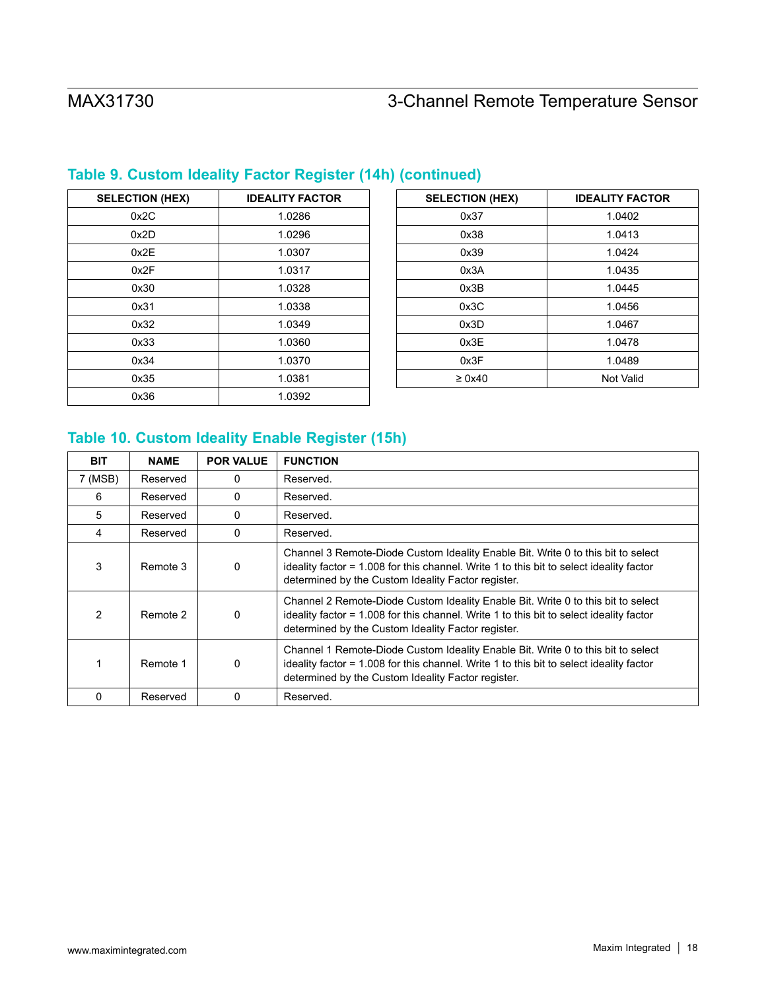| <b>SELECTION (HEX)</b> | <b>IDEALITY FACTOR</b> |
|------------------------|------------------------|
| 0x2C                   | 1.0286                 |
| 0x2D                   | 1.0296                 |
| 0x2E                   | 1.0307                 |
| 0x2F                   | 1.0317                 |
| 0x30                   | 1.0328                 |
| 0x31                   | 1.0338                 |
| 0x32                   | 1.0349                 |
| 0x33                   | 1.0360                 |
| 0x34                   | 1.0370                 |
| 0x35                   | 1.0381                 |
| 0x36                   | 1.0392                 |

# **Table 9. Custom Ideality Factor Register (14h) (continued)**

| <b>SELECTION (HEX)</b> | <b>IDEALITY FACTOR</b> |
|------------------------|------------------------|
| 0x37                   | 1.0402                 |
| 0x38                   | 1.0413                 |
| 0x39                   | 1.0424                 |
| 0x3A                   | 1.0435                 |
| 0x3B                   | 1.0445                 |
| 0x3C                   | 1.0456                 |
| 0x3D                   | 1.0467                 |
| 0x3E                   | 1.0478                 |
| 0x3F                   | 1.0489                 |
| $\geq 0x40$            | <b>Not Valid</b>       |

# <span id="page-17-0"></span>**Table 10. Custom Ideality Enable Register (15h)**

| <b>BIT</b>   | <b>NAME</b> | <b>POR VALUE</b> | <b>FUNCTION</b>                                                                                                                                                                                                                   |
|--------------|-------------|------------------|-----------------------------------------------------------------------------------------------------------------------------------------------------------------------------------------------------------------------------------|
| 7 (MSB)      | Reserved    | 0                | Reserved.                                                                                                                                                                                                                         |
| 6            | Reserved    | 0                | Reserved.                                                                                                                                                                                                                         |
| 5            | Reserved    | 0                | Reserved.                                                                                                                                                                                                                         |
| 4            | Reserved    | $\Omega$         | Reserved.                                                                                                                                                                                                                         |
| 3            | Remote 3    | 0                | Channel 3 Remote-Diode Custom Ideality Enable Bit. Write 0 to this bit to select<br>ideality factor = 1.008 for this channel. Write 1 to this bit to select ideality factor<br>determined by the Custom Ideality Factor register. |
| 2            | Remote 2    | 0                | Channel 2 Remote-Diode Custom Ideality Enable Bit. Write 0 to this bit to select<br>ideality factor = 1.008 for this channel. Write 1 to this bit to select ideality factor<br>determined by the Custom Ideality Factor register. |
|              | Remote 1    | 0                | Channel 1 Remote-Diode Custom Ideality Enable Bit. Write 0 to this bit to select<br>ideality factor = 1.008 for this channel. Write 1 to this bit to select ideality factor<br>determined by the Custom Ideality Factor register. |
| <sup>0</sup> | Reserved    | 0                | Reserved.                                                                                                                                                                                                                         |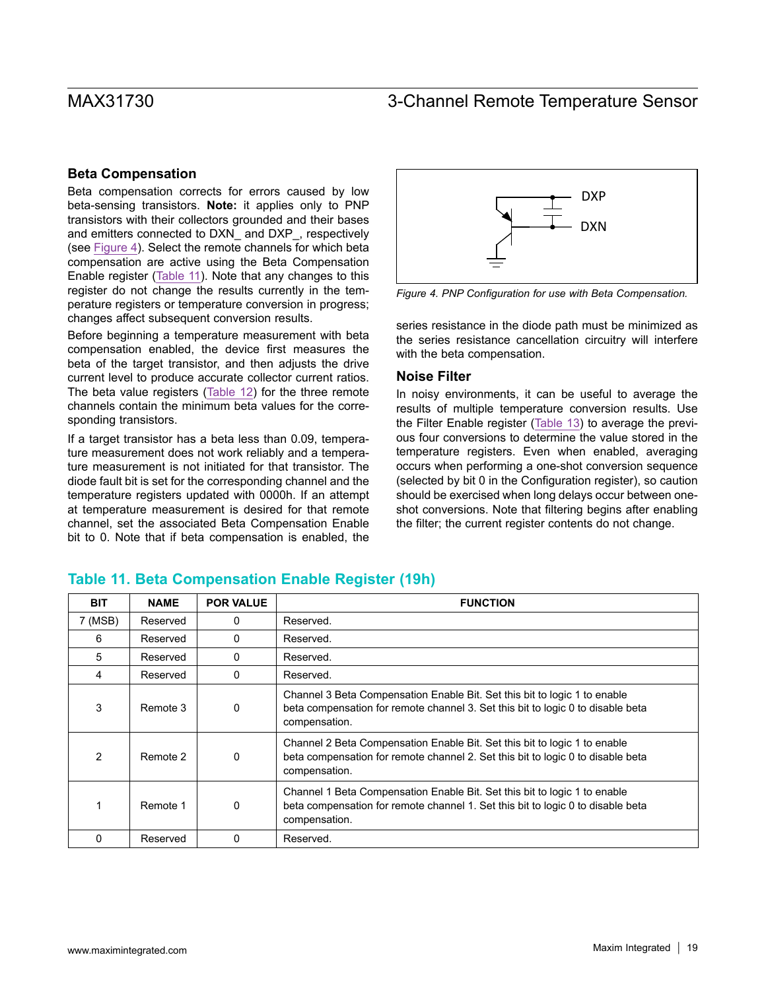#### **Beta Compensation**

Beta compensation corrects for errors caused by low beta-sensing transistors. **Note:** it applies only to PNP transistors with their collectors grounded and their bases and emitters connected to DXN\_ and DXP\_, respectively (see [Figure 4\)](#page-18-0). Select the remote channels for which beta compensation are active using the Beta Compensation Enable register ([Table 11\)](#page-18-1). Note that any changes to this register do not change the results currently in the temperature registers or temperature conversion in progress; changes affect subsequent conversion results.

Before beginning a temperature measurement with beta compensation enabled, the device first measures the beta of the target transistor, and then adjusts the drive current level to produce accurate collector current ratios. The beta value registers [\(Table 12](#page-19-0)) for the three remote channels contain the minimum beta values for the corresponding transistors.

If a target transistor has a beta less than 0.09, temperature measurement does not work reliably and a temperature measurement is not initiated for that transistor. The diode fault bit is set for the corresponding channel and the temperature registers updated with 0000h. If an attempt at temperature measurement is desired for that remote channel, set the associated Beta Compensation Enable bit to 0. Note that if beta compensation is enabled, the

<span id="page-18-0"></span>

*Figure 4. PNP Configuration for use with Beta Compensation.*

series resistance in the diode path must be minimized as the series resistance cancellation circuitry will interfere with the beta compensation.

#### **Noise Filter**

In noisy environments, it can be useful to average the results of multiple temperature conversion results. Use the Filter Enable register [\(Table 13\)](#page-19-1) to average the previous four conversions to determine the value stored in the temperature registers. Even when enabled, averaging occurs when performing a one-shot conversion sequence (selected by bit 0 in the Configuration register), so caution should be exercised when long delays occur between oneshot conversions. Note that filtering begins after enabling the filter; the current register contents do not change.

| <b>BIT</b>   | <b>NAME</b> | <b>POR VALUE</b> | <b>FUNCTION</b>                                                                                                                                                               |
|--------------|-------------|------------------|-------------------------------------------------------------------------------------------------------------------------------------------------------------------------------|
| 7 (MSB)      | Reserved    | 0                | Reserved.                                                                                                                                                                     |
| 6            | Reserved    | 0                | Reserved.                                                                                                                                                                     |
| 5            | Reserved    | 0                | Reserved.                                                                                                                                                                     |
| 4            | Reserved    | 0                | Reserved.                                                                                                                                                                     |
| 3            | Remote 3    | 0                | Channel 3 Beta Compensation Enable Bit. Set this bit to logic 1 to enable<br>beta compensation for remote channel 3. Set this bit to logic 0 to disable beta<br>compensation. |
| 2            | Remote 2    | 0                | Channel 2 Beta Compensation Enable Bit. Set this bit to logic 1 to enable<br>beta compensation for remote channel 2. Set this bit to logic 0 to disable beta<br>compensation. |
|              | Remote 1    | 0                | Channel 1 Beta Compensation Enable Bit. Set this bit to logic 1 to enable<br>beta compensation for remote channel 1. Set this bit to logic 0 to disable beta<br>compensation. |
| <sup>0</sup> | Reserved    | 0                | Reserved.                                                                                                                                                                     |

#### <span id="page-18-1"></span>**Table 11. Beta Compensation Enable Register (19h)**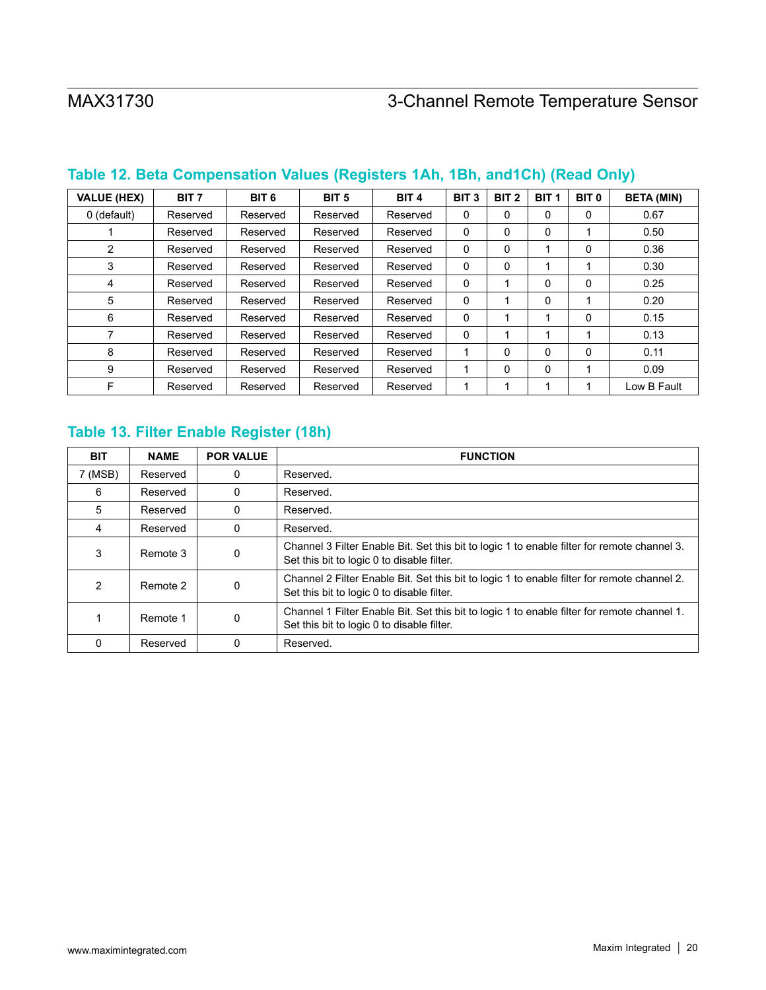| <b>VALUE (HEX)</b> | BIT <sub>7</sub> | BIT <sub>6</sub> | BIT <sub>5</sub> | BIT <sub>4</sub> | BIT <sub>3</sub> | BIT <sub>2</sub> | BIT <sub>1</sub> | BIT <sub>0</sub> | <b>BETA (MIN)</b> |
|--------------------|------------------|------------------|------------------|------------------|------------------|------------------|------------------|------------------|-------------------|
| 0 (default)        | Reserved         | Reserved         | Reserved         | Reserved         | 0                | 0                | 0                | 0                | 0.67              |
|                    | Reserved         | Reserved         | Reserved         | Reserved         | 0                | 0                | $\Omega$         |                  | 0.50              |
| 2                  | Reserved         | Reserved         | Reserved         | Reserved         | 0                | 0                |                  | 0                | 0.36              |
| 3                  | Reserved         | Reserved         | Reserved         | Reserved         | 0                | $\Omega$         |                  | 1                | 0.30              |
| 4                  | Reserved         | Reserved         | Reserved         | Reserved         | 0                | 1                | $\Omega$         | 0                | 0.25              |
| 5                  | Reserved         | Reserved         | Reserved         | Reserved         | 0                | 1                | $\Omega$         | 1                | 0.20              |
| 6                  | Reserved         | Reserved         | Reserved         | Reserved         | 0                |                  |                  | 0                | 0.15              |
| 7                  | Reserved         | Reserved         | Reserved         | Reserved         | 0                |                  |                  | 1                | 0.13              |
| 8                  | Reserved         | Reserved         | Reserved         | Reserved         |                  | 0                | $\Omega$         | 0                | 0.11              |
| 9                  | Reserved         | Reserved         | Reserved         | Reserved         |                  | 0                | $\Omega$         |                  | 0.09              |
| F                  | Reserved         | Reserved         | Reserved         | Reserved         |                  | 1                |                  |                  | Low B Fault       |

# <span id="page-19-0"></span>**Table 12. Beta Compensation Values (Registers 1Ah, 1Bh, and1Ch) (Read Only)**

## <span id="page-19-1"></span>**Table 13. Filter Enable Register (18h)**

| <b>BIT</b> | <b>NAME</b> | <b>POR VALUE</b> | <b>FUNCTION</b>                                                                                                                           |
|------------|-------------|------------------|-------------------------------------------------------------------------------------------------------------------------------------------|
| 7 (MSB)    | Reserved    | 0                | Reserved.                                                                                                                                 |
| 6          | Reserved    | 0                | Reserved.                                                                                                                                 |
| 5          | Reserved    | 0                | Reserved.                                                                                                                                 |
| 4          | Reserved    | 0                | Reserved.                                                                                                                                 |
| 3          | Remote 3    | 0                | Channel 3 Filter Enable Bit. Set this bit to logic 1 to enable filter for remote channel 3.<br>Set this bit to logic 0 to disable filter. |
| 2          | Remote 2    | $\mathbf{0}$     | Channel 2 Filter Enable Bit. Set this bit to logic 1 to enable filter for remote channel 2.<br>Set this bit to logic 0 to disable filter. |
|            | Remote 1    | 0                | Channel 1 Filter Enable Bit. Set this bit to logic 1 to enable filter for remote channel 1.<br>Set this bit to logic 0 to disable filter. |
| 0          | Reserved    | 0                | Reserved.                                                                                                                                 |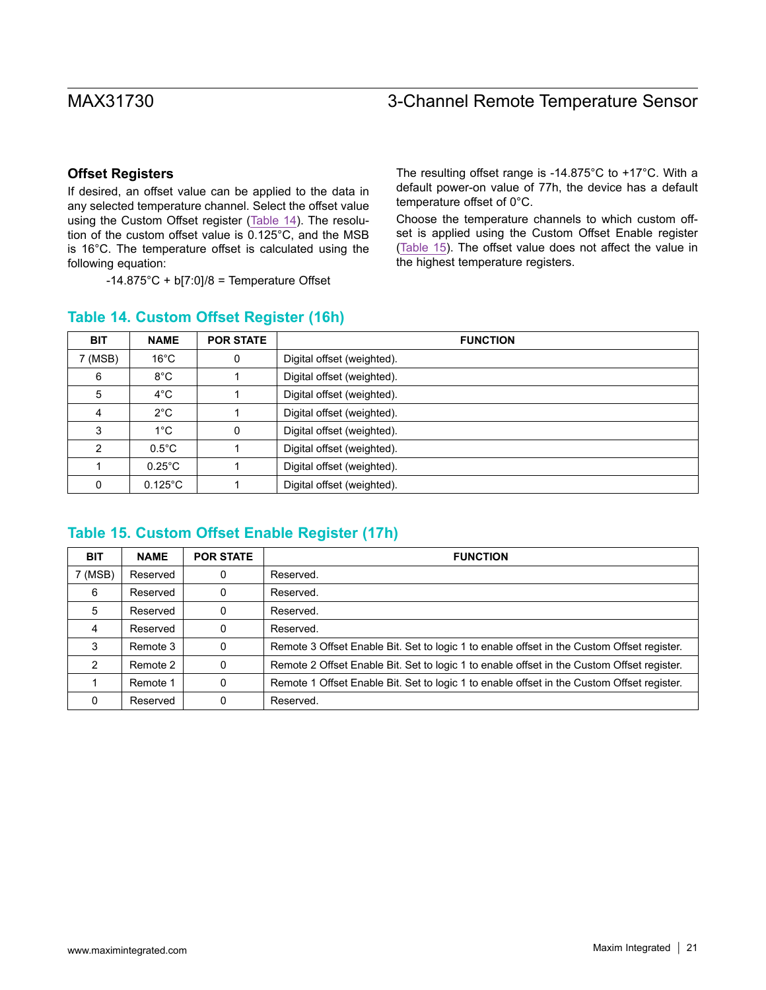#### **Offset Registers**

If desired, an offset value can be applied to the data in any selected temperature channel. Select the offset value using the Custom Offset register [\(Table 14](#page-20-0)). The resolution of the custom offset value is 0.125°C, and the MSB is 16°C. The temperature offset is calculated using the following equation:

 $-14.875^{\circ}$ C + b[7:0]/8 = Temperature Offset

The resulting offset range is -14.875°C to +17°C. With a default power-on value of 77h, the device has a default temperature offset of 0°C.

Choose the temperature channels to which custom offset is applied using the Custom Offset Enable register ([Table 15\)](#page-20-1). The offset value does not affect the value in the highest temperature registers.

| <b>BIT</b>    | <b>NAME</b>       | <b>POR STATE</b> | <b>FUNCTION</b>            |
|---------------|-------------------|------------------|----------------------------|
| 7 (MSB)       | $16^{\circ}$ C    | 0                | Digital offset (weighted). |
| 6             | $8^{\circ}$ C     |                  | Digital offset (weighted). |
| 5             | $4^{\circ}$ C     |                  | Digital offset (weighted). |
| 4             | $2^{\circ}$ C     |                  | Digital offset (weighted). |
| 3             | $1^{\circ}$ C     | 0                | Digital offset (weighted). |
| $\mathcal{P}$ | $0.5^{\circ}$ C   |                  | Digital offset (weighted). |
|               | $0.25^{\circ}$ C  |                  | Digital offset (weighted). |
| $\Omega$      | $0.125^{\circ}$ C |                  | Digital offset (weighted). |

### <span id="page-20-0"></span>**Table 14. Custom Offset Register (16h)**

### <span id="page-20-1"></span>**Table 15. Custom Offset Enable Register (17h)**

| <b>BIT</b> | <b>NAME</b> | <b>POR STATE</b> | <b>FUNCTION</b>                                                                            |
|------------|-------------|------------------|--------------------------------------------------------------------------------------------|
| 7 (MSB)    | Reserved    | 0                | Reserved.                                                                                  |
| 6          | Reserved    | 0                | Reserved.                                                                                  |
| 5          | Reserved    | 0                | Reserved.                                                                                  |
| 4          | Reserved    | 0                | Reserved.                                                                                  |
| 3          | Remote 3    | 0                | Remote 3 Offset Enable Bit. Set to logic 1 to enable offset in the Custom Offset register. |
| 2          | Remote 2    | $\Omega$         | Remote 2 Offset Enable Bit. Set to logic 1 to enable offset in the Custom Offset register. |
|            | Remote 1    | 0                | Remote 1 Offset Enable Bit. Set to logic 1 to enable offset in the Custom Offset register. |
| 0          | Reserved    | 0                | Reserved.                                                                                  |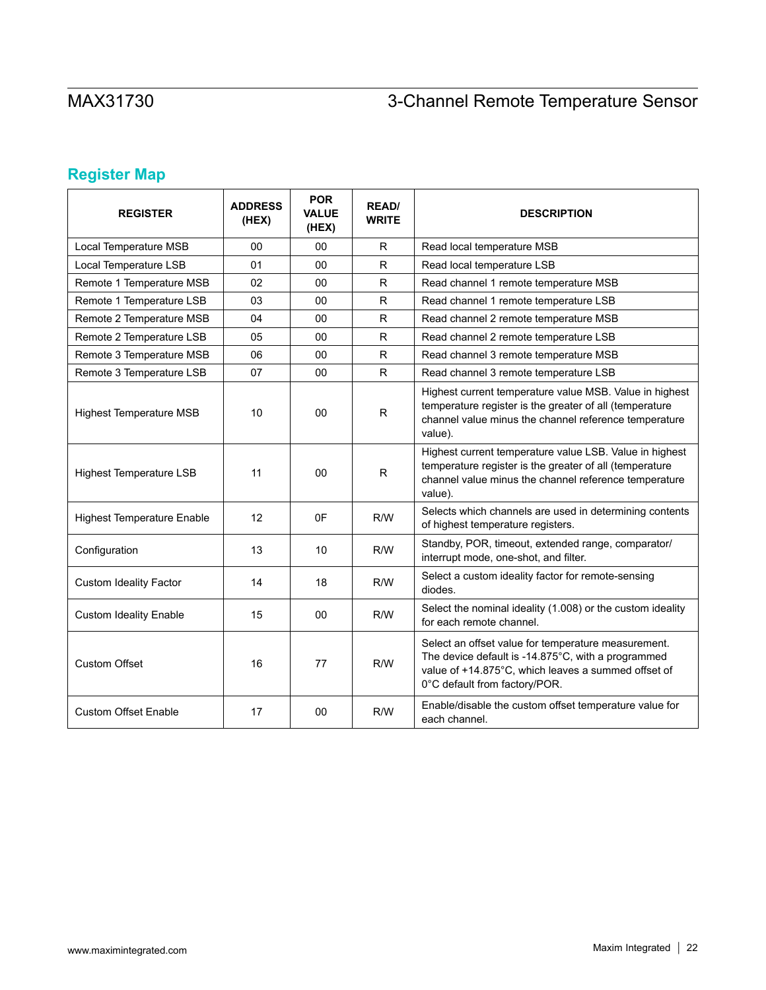# **Register Map**

| <b>REGISTER</b>                   | <b>ADDRESS</b><br>(HEX) | <b>POR</b><br><b>VALUE</b><br>(HEX) | <b>READ/</b><br><b>WRITE</b> | <b>DESCRIPTION</b>                                                                                                                                                                                |
|-----------------------------------|-------------------------|-------------------------------------|------------------------------|---------------------------------------------------------------------------------------------------------------------------------------------------------------------------------------------------|
| Local Temperature MSB             | 00                      | 00                                  | R.                           | Read local temperature MSB                                                                                                                                                                        |
| Local Temperature LSB             | 01                      | 00                                  | R.                           | Read local temperature LSB                                                                                                                                                                        |
| Remote 1 Temperature MSB          | 02                      | 00                                  | R                            | Read channel 1 remote temperature MSB                                                                                                                                                             |
| Remote 1 Temperature LSB          | 03                      | 00                                  | R                            | Read channel 1 remote temperature LSB                                                                                                                                                             |
| Remote 2 Temperature MSB          | 04                      | 00                                  | $\mathsf{R}$                 | Read channel 2 remote temperature MSB                                                                                                                                                             |
| Remote 2 Temperature LSB          | 05                      | 00                                  | R.                           | Read channel 2 remote temperature LSB                                                                                                                                                             |
| Remote 3 Temperature MSB          | 06                      | 00                                  | R.                           | Read channel 3 remote temperature MSB                                                                                                                                                             |
| Remote 3 Temperature LSB          | 07                      | 00                                  | R.                           | Read channel 3 remote temperature LSB                                                                                                                                                             |
| <b>Highest Temperature MSB</b>    | 10                      | 00                                  | $\mathsf{R}$                 | Highest current temperature value MSB. Value in highest<br>temperature register is the greater of all (temperature<br>channel value minus the channel reference temperature<br>value).            |
| <b>Highest Temperature LSB</b>    | 11                      | 00                                  | $\mathsf{R}$                 | Highest current temperature value LSB. Value in highest<br>temperature register is the greater of all (temperature<br>channel value minus the channel reference temperature<br>value).            |
| <b>Highest Temperature Enable</b> | 12                      | 0F                                  | R/W                          | Selects which channels are used in determining contents<br>of highest temperature registers.                                                                                                      |
| Configuration                     | 13                      | 10                                  | R/W                          | Standby, POR, timeout, extended range, comparator/<br>interrupt mode, one-shot, and filter.                                                                                                       |
| <b>Custom Ideality Factor</b>     | 14                      | 18                                  | R/W                          | Select a custom ideality factor for remote-sensing<br>diodes.                                                                                                                                     |
| <b>Custom Ideality Enable</b>     | 15                      | 00                                  | R/W                          | Select the nominal ideality (1.008) or the custom ideality<br>for each remote channel.                                                                                                            |
| <b>Custom Offset</b>              | 16                      | 77                                  | R/W                          | Select an offset value for temperature measurement.<br>The device default is -14.875°C, with a programmed<br>value of +14.875°C, which leaves a summed offset of<br>0°C default from factory/POR. |
| <b>Custom Offset Enable</b>       | 17                      | 00                                  | R/W                          | Enable/disable the custom offset temperature value for<br>each channel.                                                                                                                           |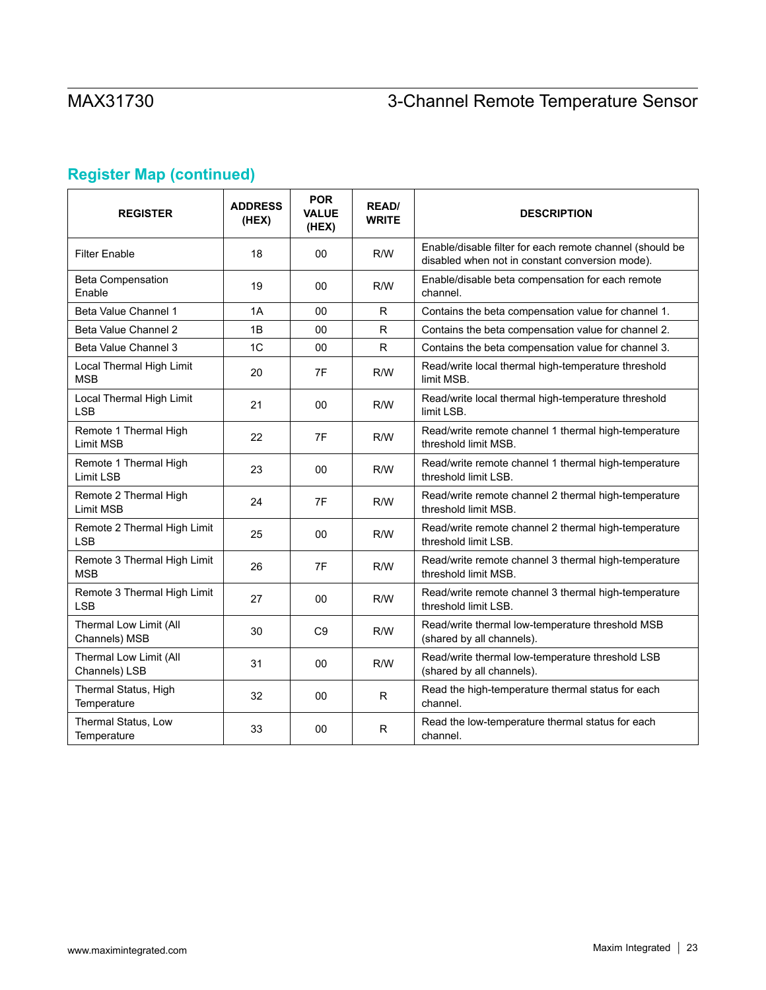# **Register Map (continued)**

| <b>REGISTER</b>                           | <b>ADDRESS</b><br>(HEX) | <b>POR</b><br><b>VALUE</b><br>(HEX) | <b>READ/</b><br><b>WRITE</b> | <b>DESCRIPTION</b>                                                                                          |
|-------------------------------------------|-------------------------|-------------------------------------|------------------------------|-------------------------------------------------------------------------------------------------------------|
| <b>Filter Enable</b>                      | 18                      | 00                                  | R/W                          | Enable/disable filter for each remote channel (should be<br>disabled when not in constant conversion mode). |
| <b>Beta Compensation</b><br>Enable        | 19                      | 00                                  | R/W                          | Enable/disable beta compensation for each remote<br>channel.                                                |
| Beta Value Channel 1                      | 1A                      | 00                                  | R                            | Contains the beta compensation value for channel 1.                                                         |
| Beta Value Channel 2                      | 1B                      | 00                                  | R.                           | Contains the beta compensation value for channel 2.                                                         |
| Beta Value Channel 3                      | 1C                      | 00                                  | $\mathsf{R}$                 | Contains the beta compensation value for channel 3.                                                         |
| Local Thermal High Limit<br><b>MSB</b>    | 20                      | 7F                                  | R/W                          | Read/write local thermal high-temperature threshold<br>limit MSB.                                           |
| Local Thermal High Limit<br><b>LSB</b>    | 21                      | 00                                  | R/W                          | Read/write local thermal high-temperature threshold<br>limit LSB.                                           |
| Remote 1 Thermal High<br>Limit MSB        | 22                      | 7F                                  | R/W                          | Read/write remote channel 1 thermal high-temperature<br>threshold limit MSB.                                |
| Remote 1 Thermal High<br>Limit LSB        | 23                      | 00                                  | R/W                          | Read/write remote channel 1 thermal high-temperature<br>threshold limit LSB.                                |
| Remote 2 Thermal High<br><b>Limit MSB</b> | 24                      | 7F                                  | R/W                          | Read/write remote channel 2 thermal high-temperature<br>threshold limit MSB.                                |
| Remote 2 Thermal High Limit<br><b>LSB</b> | 25                      | 00                                  | R/W                          | Read/write remote channel 2 thermal high-temperature<br>threshold limit LSB.                                |
| Remote 3 Thermal High Limit<br><b>MSB</b> | 26                      | 7F                                  | R/W                          | Read/write remote channel 3 thermal high-temperature<br>threshold limit MSB.                                |
| Remote 3 Thermal High Limit<br><b>LSB</b> | 27                      | 00                                  | R/W                          | Read/write remote channel 3 thermal high-temperature<br>threshold limit LSB.                                |
| Thermal Low Limit (All<br>Channels) MSB   | 30                      | C <sub>9</sub>                      | R/W                          | Read/write thermal low-temperature threshold MSB<br>(shared by all channels).                               |
| Thermal Low Limit (All<br>Channels) LSB   | 31                      | 00                                  | R/W                          | Read/write thermal low-temperature threshold LSB<br>(shared by all channels).                               |
| Thermal Status, High<br>Temperature       | 32                      | 00                                  | R                            | Read the high-temperature thermal status for each<br>channel.                                               |
| Thermal Status, Low<br>Temperature        | 33                      | 00                                  | R.                           | Read the low-temperature thermal status for each<br>channel.                                                |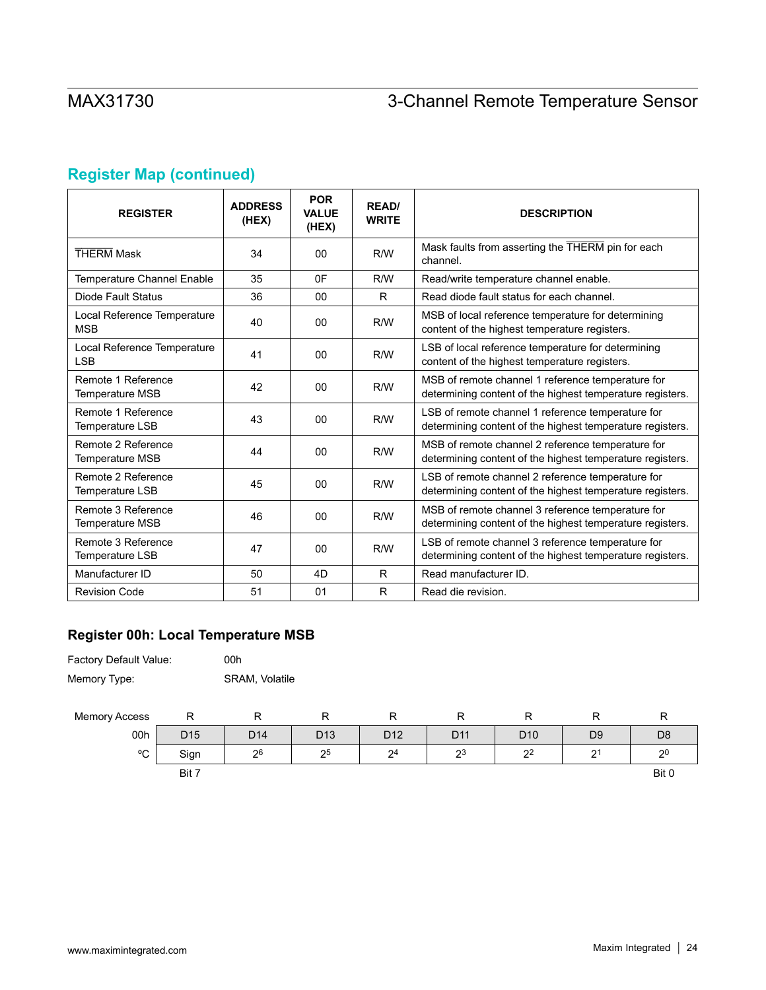# **Register Map (continued)**

| <b>REGISTER</b>                              | <b>ADDRESS</b><br>(HEX) | <b>POR</b><br><b>VALUE</b><br>(HEX) | <b>RFAD</b><br><b>WRITE</b> | <b>DESCRIPTION</b>                                                                                             |
|----------------------------------------------|-------------------------|-------------------------------------|-----------------------------|----------------------------------------------------------------------------------------------------------------|
| <b>THERM Mask</b>                            | 34                      | 00                                  | R/W                         | Mask faults from asserting the THERM pin for each<br>channel.                                                  |
| <b>Temperature Channel Enable</b>            | 35                      | 0F                                  | R/W                         | Read/write temperature channel enable.                                                                         |
| Diode Fault Status                           | 36                      | 00                                  | R.                          | Read diode fault status for each channel.                                                                      |
| Local Reference Temperature<br><b>MSB</b>    | 40                      | 00                                  | R/W                         | MSB of local reference temperature for determining<br>content of the highest temperature registers.            |
| Local Reference Temperature<br><b>LSB</b>    | 41                      | 00                                  | R/W                         | LSB of local reference temperature for determining<br>content of the highest temperature registers.            |
| Remote 1 Reference<br><b>Temperature MSB</b> | 42                      | 00                                  | R/W                         | MSB of remote channel 1 reference temperature for<br>determining content of the highest temperature registers. |
| Remote 1 Reference<br><b>Temperature LSB</b> | 43                      | 00                                  | R/W                         | LSB of remote channel 1 reference temperature for<br>determining content of the highest temperature registers. |
| Remote 2 Reference<br><b>Temperature MSB</b> | 44                      | 00                                  | R/W                         | MSB of remote channel 2 reference temperature for<br>determining content of the highest temperature registers. |
| Remote 2 Reference<br><b>Temperature LSB</b> | 45                      | 00                                  | R/W                         | LSB of remote channel 2 reference temperature for<br>determining content of the highest temperature registers. |
| Remote 3 Reference<br><b>Temperature MSB</b> | 46                      | 00                                  | R/W                         | MSB of remote channel 3 reference temperature for<br>determining content of the highest temperature registers. |
| Remote 3 Reference<br><b>Temperature LSB</b> | 47                      | 00                                  | R/W                         | LSB of remote channel 3 reference temperature for<br>determining content of the highest temperature registers. |
| Manufacturer ID                              | 50                      | 4D                                  | R.                          | Read manufacturer ID.                                                                                          |
| <b>Revision Code</b>                         | 51                      | 01                                  | R.                          | Read die revision.                                                                                             |

## **Register 00h: Local Temperature MSB**

| <b>Factory Default Value:</b> | 00h            |
|-------------------------------|----------------|
| Memory Type:                  | SRAM, Volatile |

00h

| <b>Memory Access</b> |                 | ĸ               |                 |                 |                 |                 |                |                |
|----------------------|-----------------|-----------------|-----------------|-----------------|-----------------|-----------------|----------------|----------------|
| 00h                  | D <sub>15</sub> | D <sub>14</sub> | D <sub>13</sub> | D <sub>12</sub> | D <sub>11</sub> | D <sub>10</sub> | D <sub>9</sub> | D <sub>8</sub> |
| $^{\circ}$<br>◡      | Sign            | 26              | 25              | 2 <sup>4</sup>  | 23              | 2 <sup>2</sup>  | 2 <sup>1</sup> | 2 <sup>0</sup> |
|                      | Bit 7           |                 |                 |                 |                 |                 |                | Bit 0          |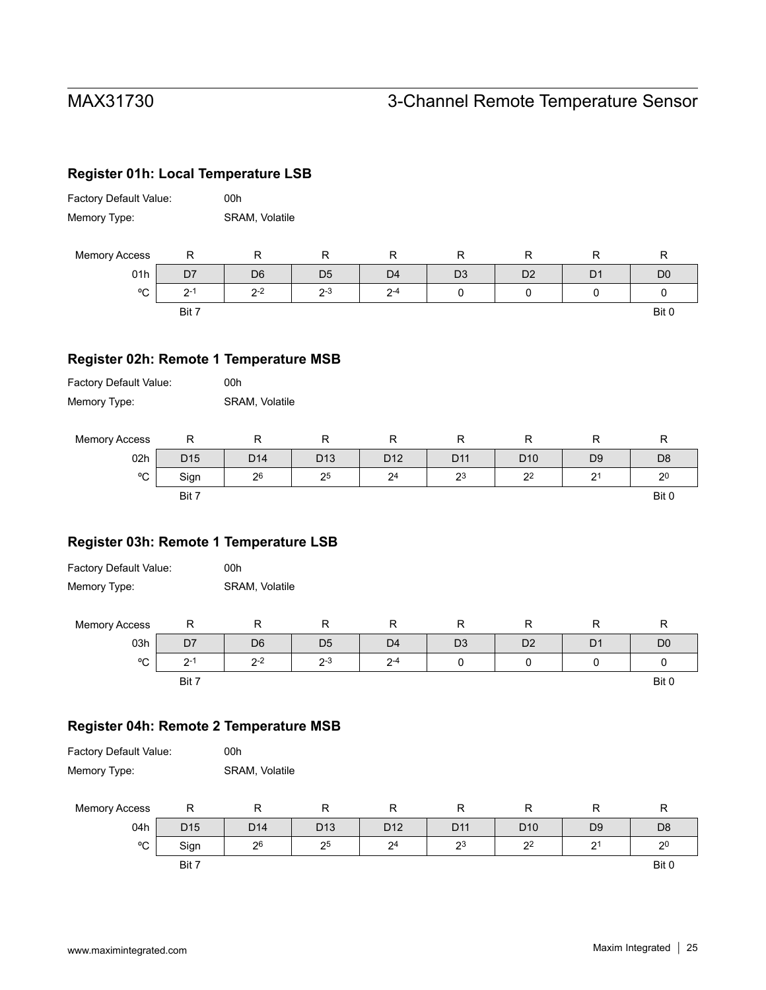### **Register 01h: Local Temperature LSB**

| Factory Default Value: | 00h            |
|------------------------|----------------|
| Memory Type:           | SRAM, Volatile |

| <b>Memory Access</b> |                                      |                |                     |                     |                | -              |    |                |
|----------------------|--------------------------------------|----------------|---------------------|---------------------|----------------|----------------|----|----------------|
| 01h                  | ، ب                                  | D <sub>6</sub> | D <sub>5</sub>      | D <sub>4</sub>      | D <sub>3</sub> | D <sub>2</sub> | D1 | D <sub>0</sub> |
| °C                   | $\sim$<br>$\overline{ }$<br><u>.</u> | $2 - 2$        | $2 - 3$<br><u>.</u> | $2 - 4$<br><u>_</u> |                |                |    |                |
|                      | Bit 7                                |                |                     |                     |                |                |    | Bit 0          |

### **Register 02h: Remote 1 Temperature MSB**

| <b>Factory Default Value:</b> | 00h                   |
|-------------------------------|-----------------------|
| Memory Type:                  | <b>SRAM, Volatile</b> |

| <b>Memory Access</b> |                 |                 |                 |                |                 |                 |                |                |
|----------------------|-----------------|-----------------|-----------------|----------------|-----------------|-----------------|----------------|----------------|
| 02h                  | D <sub>15</sub> | D <sub>14</sub> | D <sub>13</sub> | D12            | D <sub>11</sub> | D <sub>10</sub> | D <sub>9</sub> | D <sub>8</sub> |
| $\sim$<br>ັ          | Sign            | 26              | 25              | 2 <sup>4</sup> | 23              | 2 <sup>2</sup>  | n.<br>-        | 2 <sup>0</sup> |
|                      | Bit 7           |                 |                 |                |                 |                 |                | Bit 0          |

### **Register 03h: Remote 1 Temperature LSB**

| Factory Default Value: | 00h                   |
|------------------------|-----------------------|
| Memory Type:           | <b>SRAM, Volatile</b> |

| <b>Memory Access</b> | ''             | . .            | . .            |                |                |                |                |                |
|----------------------|----------------|----------------|----------------|----------------|----------------|----------------|----------------|----------------|
| 03h                  | D <sub>7</sub> | D <sub>6</sub> | D <sub>5</sub> | D <sub>4</sub> | D <sub>3</sub> | D <sub>2</sub> | D <sup>1</sup> | D <sub>C</sub> |
| $\circ$<br>◡         | ົ              | $2 - 2$        | $2 - 3$        | $2 - 4$        |                |                |                |                |
|                      | Bit 7          |                |                |                |                |                |                | Bit 0          |

### **Register 04h: Remote 2 Temperature MSB**

| <b>Factory Default Value:</b> | 00h            |
|-------------------------------|----------------|
| Memory Type:                  | SRAM, Volatile |

| <b>Memory Access</b> |                 |                 |                 | г               |                 |                 |                |                |
|----------------------|-----------------|-----------------|-----------------|-----------------|-----------------|-----------------|----------------|----------------|
| 04h                  | D <sub>15</sub> | D <sub>14</sub> | D <sub>13</sub> | D <sub>12</sub> | D <sub>11</sub> | D <sub>10</sub> | D <sub>9</sub> | D <sub>8</sub> |
| $\sim$<br>◡          | Sign            | 26              | 25              | 2 <sup>4</sup>  | 2 <sup>3</sup>  | 2 <sup>2</sup>  | $2^{\circ}$    | 2 <sup>0</sup> |
|                      | Bit 7           |                 |                 |                 |                 |                 |                | Bit 0          |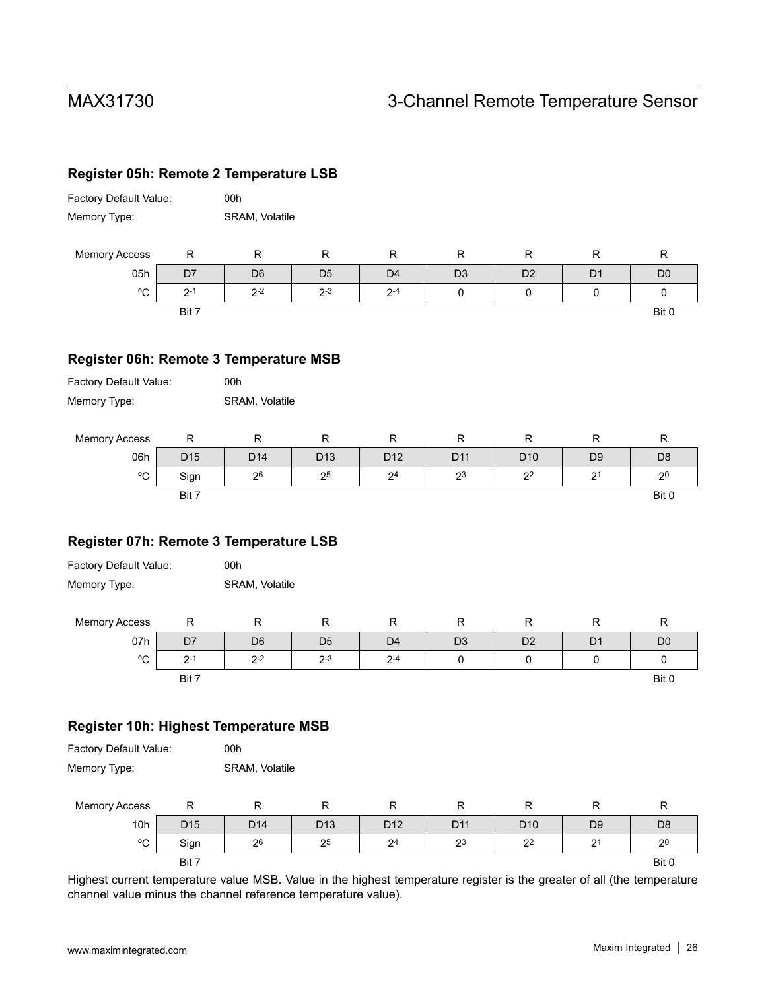### **Register 05h: Remote 2 Temperature LSB**

| Factory Default Value: | 00h                   |
|------------------------|-----------------------|
| Memory Type:           | <b>SRAM, Volatile</b> |

| <b>Memory Access</b> | . .   |                     | ĸ              |                | . .            |                |    |                |
|----------------------|-------|---------------------|----------------|----------------|----------------|----------------|----|----------------|
| 05h                  | D7    | D <sub>6</sub>      | D <sub>5</sub> | D <sub>4</sub> | D <sub>3</sub> | D <sub>2</sub> | D1 | D <sub>0</sub> |
| $\sim$<br>◡          | つ- 、  | $2 - 2$<br><u>.</u> | $2 - 3$        | $2 - 4$        |                |                |    |                |
|                      | Bit 7 |                     |                |                |                |                |    | Bit 0          |

### **Register 06h: Remote 3 Temperature MSB**

| <b>Factory Default Value:</b> | 00h                   |
|-------------------------------|-----------------------|
| Memory Type:                  | <b>SRAM, Volatile</b> |

| <b>Memory Access</b> |                 | ĸ               |                 |                 |                 |                 |                |                |
|----------------------|-----------------|-----------------|-----------------|-----------------|-----------------|-----------------|----------------|----------------|
| 06h                  | D <sub>15</sub> | D <sub>14</sub> | D <sub>13</sub> | D <sub>12</sub> | D <sub>11</sub> | D <sub>10</sub> | D <sub>9</sub> | D <sub>8</sub> |
| $\circ$<br>◡         | Sign            | 26              | 25              | 2 <sup>4</sup>  | 2 <sup>3</sup>  | 2 <sup>2</sup>  | っ<br>∼         | 2 <sup>0</sup> |
|                      | Bit 7           |                 |                 |                 |                 |                 |                | Bit 0          |

### **Register 07h: Remote 3 Temperature LSB**

| Factory Default Value: | 00h                   |
|------------------------|-----------------------|
| Memory Type:           | <b>SRAM, Volatile</b> |

| <b>Memory Access</b> |        |                |                     |                |                |                |                |                |
|----------------------|--------|----------------|---------------------|----------------|----------------|----------------|----------------|----------------|
| 07h                  | D7     | D <sub>6</sub> | D <sub>5</sub>      | D <sub>4</sub> | D <sub>3</sub> | D <sub>2</sub> | D <sub>1</sub> | D <sub>C</sub> |
| $\circ$<br>ັ         | $\sim$ | $2 - 2$<br>-   | $2 - 3$<br><u>.</u> | $2 - 4$        |                |                |                |                |
|                      | Bit 7  |                |                     |                |                |                |                | Bit 0          |

### **Register 10h: Highest Temperature MSB**

| <b>Factory Default Value:</b> | 00h            |
|-------------------------------|----------------|
| Memory Type:                  | SRAM, Volatile |

| <b>Memory Access</b> | ''              |                 |                 |                 |                 |                 |                  |                |
|----------------------|-----------------|-----------------|-----------------|-----------------|-----------------|-----------------|------------------|----------------|
| 10h                  | D <sub>15</sub> | D <sub>14</sub> | D <sub>13</sub> | D <sub>12</sub> | D <sub>11</sub> | D <sub>10</sub> | D <sub>9</sub>   | D <sub>8</sub> |
| $\circ$<br>◡         | Sign            | 26              | 25              | 2 <sup>4</sup>  | 2 <sup>3</sup>  | 2 <sup>2</sup>  | n1<br>$\epsilon$ | 2 <sup>0</sup> |
|                      | Bit 7           |                 |                 |                 |                 |                 |                  | Bit 0          |

Highest current temperature value MSB. Value in the highest temperature register is the greater of all (the temperature channel value minus the channel reference temperature value).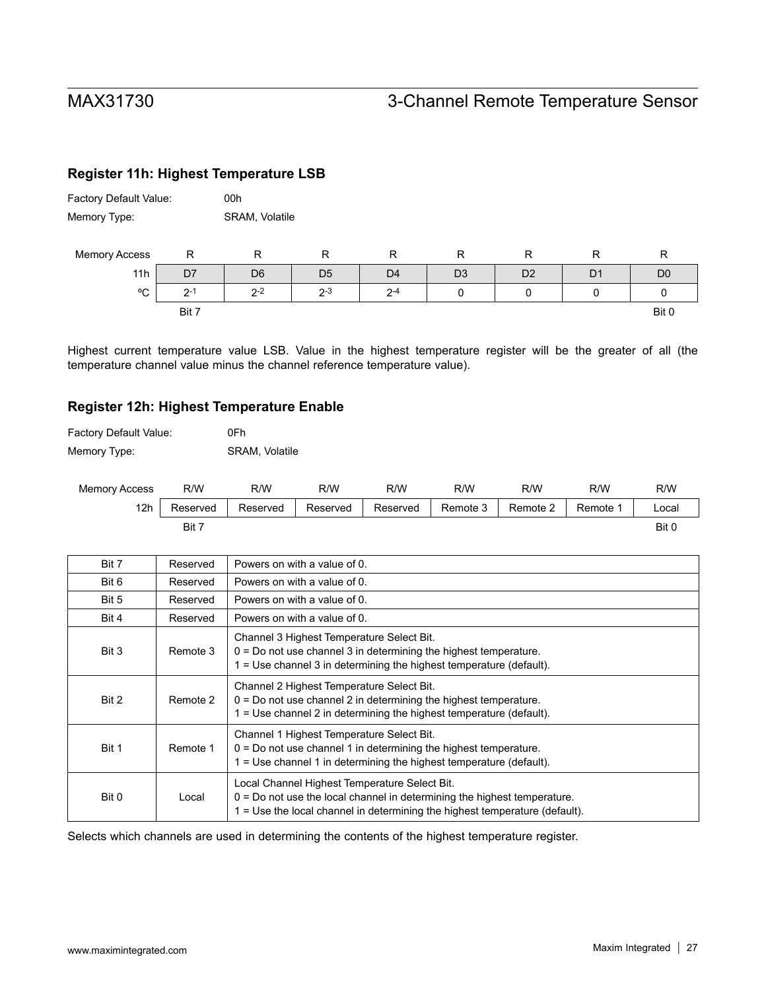### **Register 11h: Highest Temperature LSB**

| <b>Factory Default Value:</b> | 00h                   |
|-------------------------------|-----------------------|
| Memory Type:                  | <b>SRAM, Volatile</b> |

| <b>Memory Access</b> |       |                |                |                |                |                |    |                |
|----------------------|-------|----------------|----------------|----------------|----------------|----------------|----|----------------|
| 11h                  | D7    | D <sub>6</sub> | D <sub>5</sub> | D <sub>4</sub> | D <sub>3</sub> | D <sub>2</sub> | D. | D <sub>C</sub> |
| $\sim$<br>◡          | ົດ-   | $2 - 2$        | $2 - 3$        | $2 - 4$        |                |                |    |                |
|                      | Bit 7 |                |                |                |                |                |    | Bit 0          |

Highest current temperature value LSB. Value in the highest temperature register will be the greater of all (the temperature channel value minus the channel reference temperature value).

### **Register 12h: Highest Temperature Enable**

| <b>Factory Default Value:</b> | 0Fh                   |
|-------------------------------|-----------------------|
| Memory Type:                  | <b>SRAM, Volatile</b> |

| <b>Memory Access</b> | R/W      | R/W      | R/W      | R/W      | R/W      | R/W      | R/W      | R/W   |
|----------------------|----------|----------|----------|----------|----------|----------|----------|-------|
| 12h                  | Reserved | Reserved | Reserved | Reserved | Remote 3 | Remote 2 | Remote 1 | _ocal |
|                      | Bit 7    |          |          |          |          |          |          | Bit 0 |

| Bit 7 | Reserved | Powers on with a value of 0.                                                                                                                                                                               |
|-------|----------|------------------------------------------------------------------------------------------------------------------------------------------------------------------------------------------------------------|
| Bit 6 | Reserved | Powers on with a value of 0.                                                                                                                                                                               |
| Bit 5 | Reserved | Powers on with a value of 0.                                                                                                                                                                               |
| Bit 4 | Reserved | Powers on with a value of 0.                                                                                                                                                                               |
| Bit 3 | Remote 3 | Channel 3 Highest Temperature Select Bit.<br>$0 = Do$ not use channel 3 in determining the highest temperature.<br>1 = Use channel 3 in determining the highest temperature (default).                     |
| Bit 2 | Remote 2 | Channel 2 Highest Temperature Select Bit.<br>$0 = Do$ not use channel 2 in determining the highest temperature.<br>1 = Use channel 2 in determining the highest temperature (default).                     |
| Bit 1 | Remote 1 | Channel 1 Highest Temperature Select Bit.<br>$0 = Do$ not use channel 1 in determining the highest temperature.<br>$1 =$ Use channel 1 in determining the highest temperature (default).                   |
| Bit 0 | Local    | Local Channel Highest Temperature Select Bit.<br>$0 = Do$ not use the local channel in determining the highest temperature.<br>1 = Use the local channel in determining the highest temperature (default). |

Selects which channels are used in determining the contents of the highest temperature register.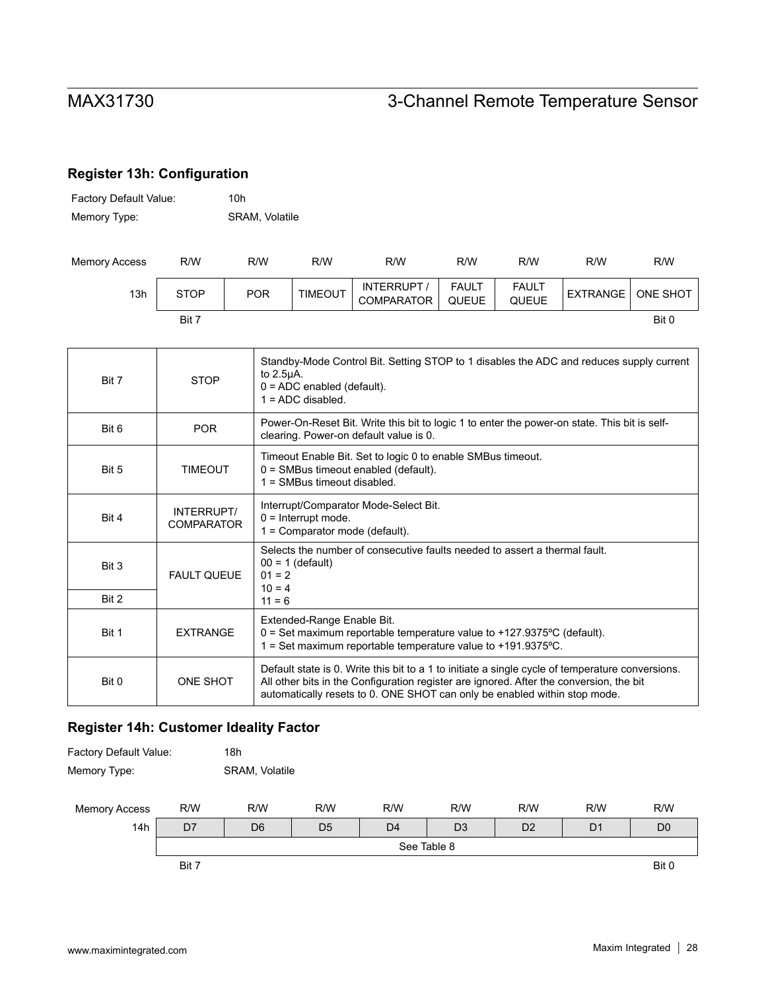## **Register 13h: Configuration**

| <b>Factory Default Value:</b> | 10h                   |
|-------------------------------|-----------------------|
| Memory Type:                  | <b>SRAM, Volatile</b> |

| Memory Access | R/W         | R/W        | R/W            | R/W                       | R/W                          | R/W                          | R/W      | R/W        |
|---------------|-------------|------------|----------------|---------------------------|------------------------------|------------------------------|----------|------------|
| 13h           | <b>STOP</b> | <b>POR</b> | <b>TIMEOUT</b> | INTERRUPT /<br>COMPARATOR | <b>FAULT</b><br><b>QUEUE</b> | <b>FAULT</b><br><b>QUEUE</b> | EXTRANGE | l one shot |
|               | Bit 7       |            |                |                           |                              |                              |          | Bit 0      |

| Bit 7 | <b>STOP</b>                     | Standby-Mode Control Bit. Setting STOP to 1 disables the ADC and reduces supply current<br>to $2.5\mu$ A.<br>$0 = ADC$ enabled (default).<br>$1 = ADC$ disabled.                                                                                                         |
|-------|---------------------------------|--------------------------------------------------------------------------------------------------------------------------------------------------------------------------------------------------------------------------------------------------------------------------|
| Bit 6 | <b>POR</b>                      | Power-On-Reset Bit. Write this bit to logic 1 to enter the power-on state. This bit is self-<br>clearing. Power-on default value is 0.                                                                                                                                   |
| Bit 5 | <b>TIMEOUT</b>                  | Timeout Enable Bit. Set to logic 0 to enable SMBus timeout.<br>$0 =$ SMBus timeout enabled (default).<br>$1 =$ SMBus timeout disabled.                                                                                                                                   |
| Bit 4 | INTERRUPT/<br><b>COMPARATOR</b> | Interrupt/Comparator Mode-Select Bit.<br>$0 =$ Interrupt mode.<br>$1 =$ Comparator mode (default).                                                                                                                                                                       |
| Bit 3 | <b>FAULT QUEUE</b>              | Selects the number of consecutive faults needed to assert a thermal fault.<br>$00 = 1$ (default)<br>$01 = 2$<br>$10 = 4$                                                                                                                                                 |
| Bit 2 |                                 | $11 = 6$                                                                                                                                                                                                                                                                 |
| Bit 1 | <b>FXTRANGF</b>                 | Extended-Range Enable Bit.<br>$0 = Set$ maximum reportable temperature value to +127.9375°C (default).<br>1 = Set maximum reportable temperature value to +191.9375°C.                                                                                                   |
| Bit 0 | ONE SHOT                        | Default state is 0. Write this bit to a 1 to initiate a single cycle of temperature conversions.<br>All other bits in the Configuration register are ignored. After the conversion, the bit<br>automatically resets to 0. ONE SHOT can only be enabled within stop mode. |

### **Register 14h: Customer Ideality Factor**

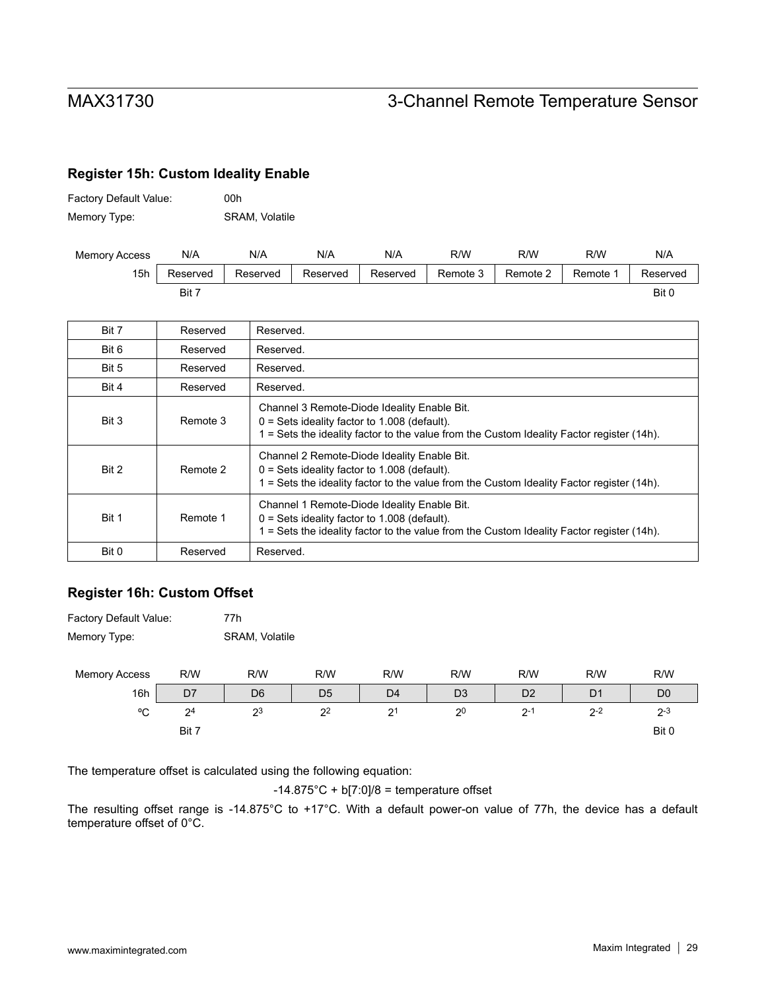### **Register 15h: Custom Ideality Enable**

| <b>Factory Default Value:</b> | 00h                   |
|-------------------------------|-----------------------|
| Memory Type:                  | <b>SRAM, Volatile</b> |

| <b>Memory Access</b> | N/A      | N/A      | N/A      | N/A      | R/W      | R/W      | R/W      | N/A      |
|----------------------|----------|----------|----------|----------|----------|----------|----------|----------|
| 15h                  | Reserved | Reserved | Reserved | Reserved | Remote 3 | Remote 2 | Remote 1 | Reserved |
|                      | Bit 7    |          |          |          |          |          |          | Bit 0    |

| Bit 7 | Reserved | Reserved.                                                                                                                                                                                  |
|-------|----------|--------------------------------------------------------------------------------------------------------------------------------------------------------------------------------------------|
| Bit 6 | Reserved | Reserved.                                                                                                                                                                                  |
| Bit 5 | Reserved | Reserved.                                                                                                                                                                                  |
| Bit 4 | Reserved | Reserved.                                                                                                                                                                                  |
| Bit 3 | Remote 3 | Channel 3 Remote-Diode Ideality Enable Bit.<br>$0 = Sets$ ideality factor to 1.008 (default).<br>1 = Sets the ideality factor to the value from the Custom Ideality Factor register (14h). |
| Bit 2 | Remote 2 | Channel 2 Remote-Diode Ideality Enable Bit.<br>$0 = Sets$ ideality factor to 1.008 (default).<br>= Sets the ideality factor to the value from the Custom Ideality Factor register (14h).   |
| Bit 1 | Remote 1 | Channel 1 Remote-Diode Ideality Enable Bit.<br>$0 = Sets$ ideality factor to 1.008 (default).<br>= Sets the ideality factor to the value from the Custom Ideality Factor register (14h).   |
| Bit 0 | Reserved | Reserved.                                                                                                                                                                                  |

### **Register 16h: Custom Offset**

| <b>Factory Default Value:</b> | 77h            |
|-------------------------------|----------------|
| Memory Type:                  | SRAM, Volatile |

| <b>Memory Access</b> | R/W            | R/W            | R/W            | R/W            | R/W            | R/W            | R/W   | R/W            |
|----------------------|----------------|----------------|----------------|----------------|----------------|----------------|-------|----------------|
| 16h                  | D7             | D <sub>6</sub> | D <sub>5</sub> | D <sub>4</sub> | D <sub>3</sub> | D <sub>2</sub> | D1    | D <sub>0</sub> |
| $\sim$<br>ັ          | 2 <sup>4</sup> | 23             | 2 <sup>2</sup> | 21<br>ı        | 2 <sup>0</sup> | 2٠             | $2-2$ | $2 - 3$        |
|                      | Bit 7          |                |                |                |                |                |       | Bit 0          |

The temperature offset is calculated using the following equation:

 $-14.875^{\circ}$ C + b[7:0]/8 = temperature offset

The resulting offset range is -14.875°C to +17°C. With a default power-on value of 77h, the device has a default temperature offset of 0°C.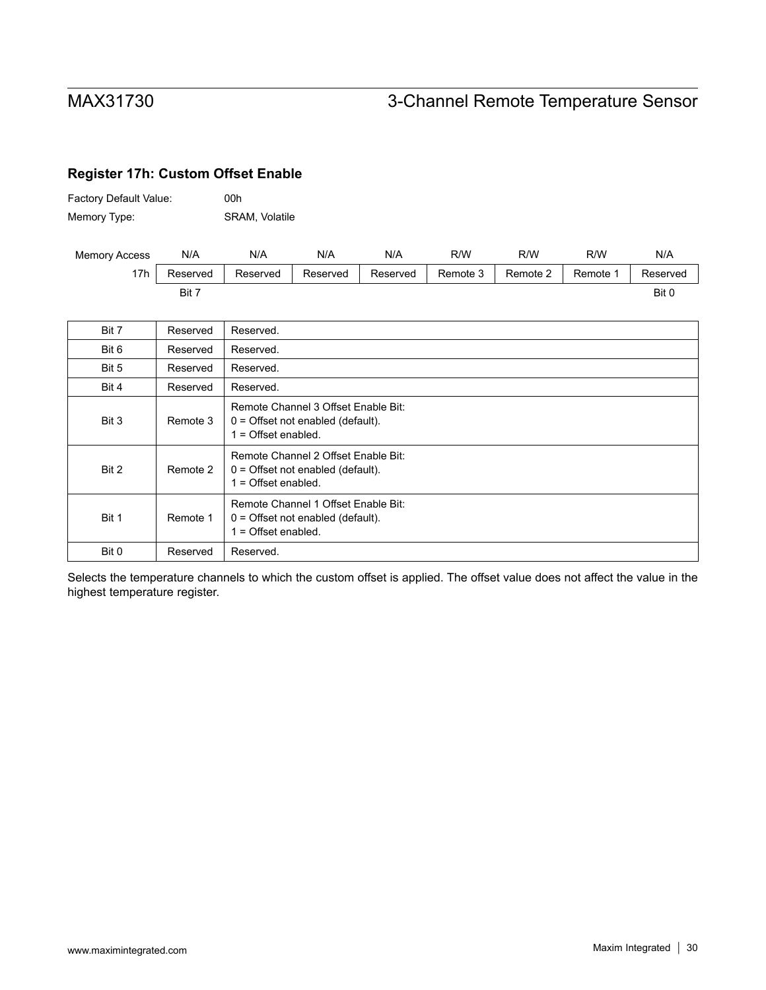### **Register 17h: Custom Offset Enable**

| Factory Default Value: | 00h                   |
|------------------------|-----------------------|
| Memory Type:           | <b>SRAM, Volatile</b> |

| <b>Memory Access</b> | N/A      | N/A      | N/A      | N/A      | R/W      | R/W      | R/W    | N/A      |
|----------------------|----------|----------|----------|----------|----------|----------|--------|----------|
| 17h                  | Reserved | Reserved | Reserved | Reserved | Remote 3 | Remote 2 | Remote | Reserved |
|                      | Bit      |          |          |          |          |          |        | Bit 0    |

| Bit 7 | Reserved | Reserved.                                                                                           |
|-------|----------|-----------------------------------------------------------------------------------------------------|
| Bit 6 | Reserved | Reserved.                                                                                           |
| Bit 5 | Reserved | Reserved.                                                                                           |
| Bit 4 | Reserved | Reserved.                                                                                           |
| Bit 3 | Remote 3 | Remote Channel 3 Offset Enable Bit:<br>$0 =$ Offset not enabled (default).<br>$1 =$ Offset enabled. |
| Bit 2 | Remote 2 | Remote Channel 2 Offset Enable Bit:<br>$0 =$ Offset not enabled (default).<br>$1 =$ Offset enabled. |
| Bit 1 | Remote 1 | Remote Channel 1 Offset Enable Bit:<br>$0 =$ Offset not enabled (default).<br>$1 =$ Offset enabled. |
| Bit 0 | Reserved | Reserved.                                                                                           |

Selects the temperature channels to which the custom offset is applied. The offset value does not affect the value in the highest temperature register.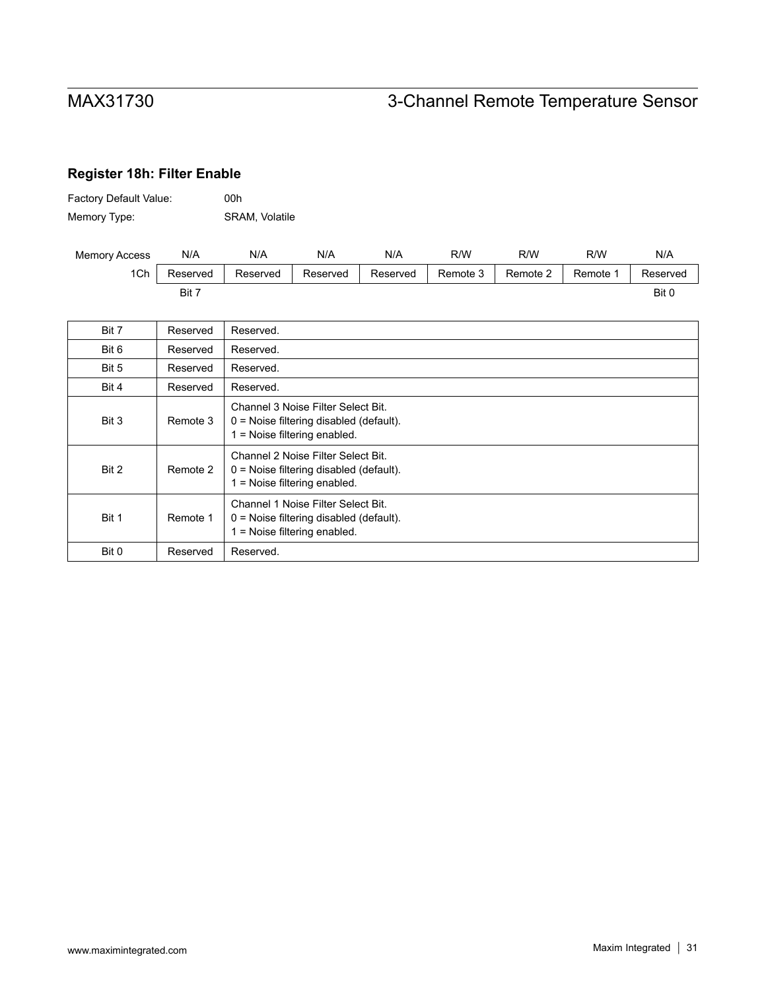## **Register 18h: Filter Enable**

| Factory Default Value: | 00h            |
|------------------------|----------------|
| Memory Type:           | SRAM, Volatile |

| <b>Memory Access</b> | N/A      | N/A      | N/A      | N/A      | R/W      | R/W      | R/W      | N/A      |
|----------------------|----------|----------|----------|----------|----------|----------|----------|----------|
| 1Ch                  | Reserved | Reserved | Reserved | Reserved | Remote 3 | Remote 2 | Remote 1 | Reserved |
|                      | Bit 7    |          |          |          |          |          |          | Bit C    |

| Bit 7 | Reserved | Reserved.                                                                                                         |
|-------|----------|-------------------------------------------------------------------------------------------------------------------|
| Bit 6 | Reserved | Reserved.                                                                                                         |
| Bit 5 | Reserved | Reserved.                                                                                                         |
| Bit 4 | Reserved | Reserved.                                                                                                         |
| Bit 3 | Remote 3 | Channel 3 Noise Filter Select Bit.<br>$0 =$ Noise filtering disabled (default).<br>1 = Noise filtering enabled.   |
| Bit 2 | Remote 2 | Channel 2 Noise Filter Select Bit.<br>$0 =$ Noise filtering disabled (default).<br>$1 =$ Noise filtering enabled. |
| Bit 1 | Remote 1 | Channel 1 Noise Filter Select Bit.<br>$0 =$ Noise filtering disabled (default).<br>$1 =$ Noise filtering enabled. |
| Bit 0 | Reserved | Reserved.                                                                                                         |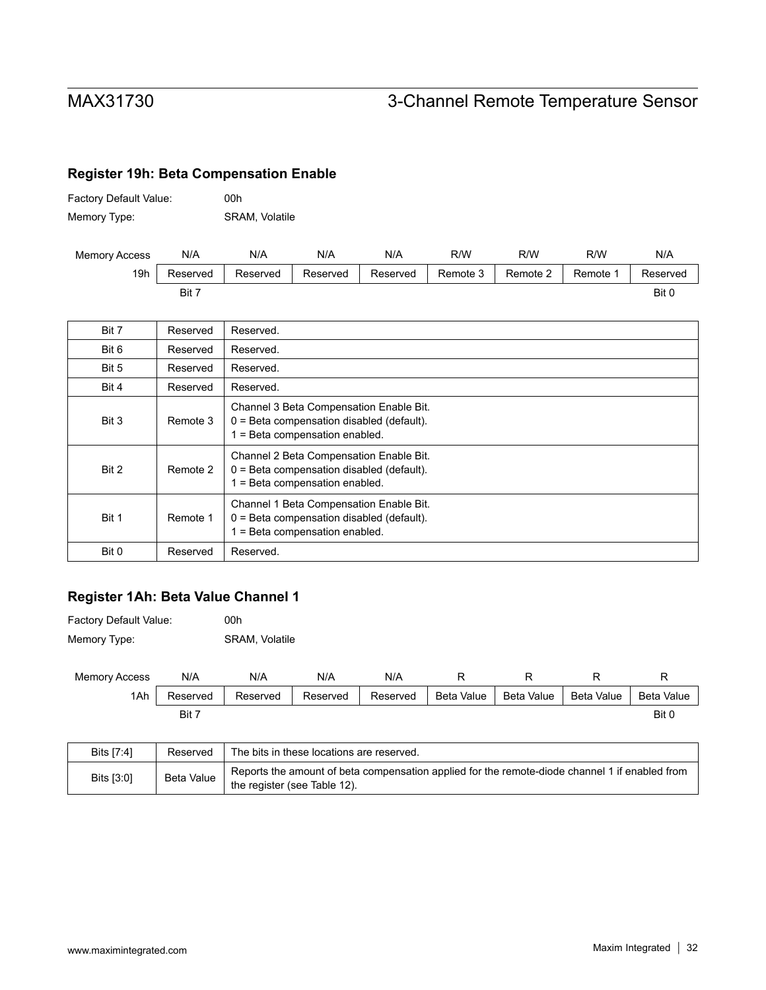## **Register 19h: Beta Compensation Enable**

| Factory Default Value: | 00h                   |
|------------------------|-----------------------|
| Memory Type:           | <b>SRAM, Volatile</b> |

| <b>Memory Access</b> | N/A      | N/A      | N/A      | N/A      | R/W      | R/W      | R/W    | N/A      |
|----------------------|----------|----------|----------|----------|----------|----------|--------|----------|
| 19h                  | Reserved | Reserved | Reserved | Reserved | Remote 3 | Remote 2 | Remote | Reserved |
|                      | Bit 7    |          |          |          |          |          |        | Bit (    |

| Bit 7 | Reserved | Reserved.                                                                                                                |
|-------|----------|--------------------------------------------------------------------------------------------------------------------------|
| Bit 6 | Reserved | Reserved.                                                                                                                |
| Bit 5 | Reserved | Reserved.                                                                                                                |
| Bit 4 | Reserved | Reserved.                                                                                                                |
| Bit 3 | Remote 3 | Channel 3 Beta Compensation Enable Bit.<br>0 = Beta compensation disabled (default).<br>1 = Beta compensation enabled.   |
| Bit 2 | Remote 2 | Channel 2 Beta Compensation Enable Bit.<br>$0 = Beta$ compensation disabled (default).<br>1 = Beta compensation enabled. |
| Bit 1 | Remote 1 | Channel 1 Beta Compensation Enable Bit.<br>0 = Beta compensation disabled (default).<br>1 = Beta compensation enabled.   |
| Bit 0 | Reserved | Reserved.                                                                                                                |

### **Register 1Ah: Beta Value Channel 1**

| <b>Factory Default Value:</b> | 00h                   |
|-------------------------------|-----------------------|
| Memory Type:                  | <b>SRAM, Volatile</b> |

| <b>Memory Access</b> | N/A      | N/A      | N/A      | N/A      |            |            |            |            |
|----------------------|----------|----------|----------|----------|------------|------------|------------|------------|
| 1Ah                  | Reserved | Reserved | Reserved | Reserved | Beta Value | Beta Value | Beta Value | Beta Value |
|                      | Bit 7    |          |          |          |            |            |            | Bit 0      |

| Bits [7:4] | Reserved   | The bits in these locations are reserved.                                                                                      |
|------------|------------|--------------------------------------------------------------------------------------------------------------------------------|
| Bits [3:0] | Beta Value | Reports the amount of beta compensation applied for the remote-diode channel 1 if enabled from<br>the register (see Table 12). |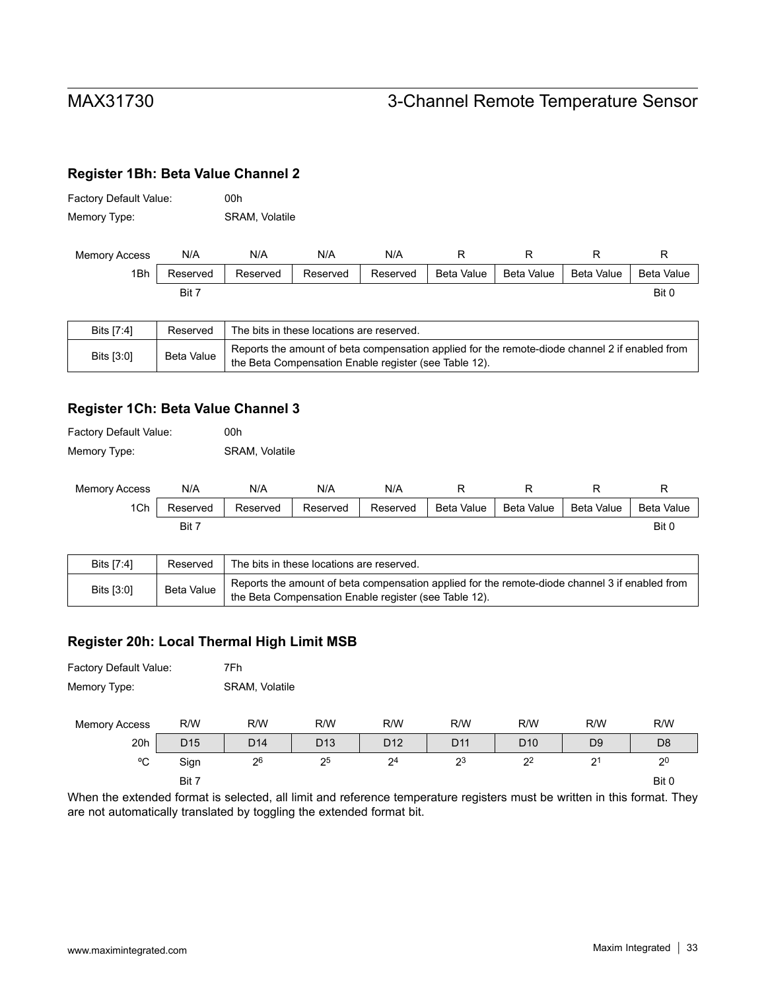### **Register 1Bh: Beta Value Channel 2**

| Factory Default Value: | 00h                   |
|------------------------|-----------------------|
| Memory Type:           | <b>SRAM, Volatile</b> |

| <b>Memory Access</b> | N/A      | N/A      | N/A      | N/A      |            |            |            |            |
|----------------------|----------|----------|----------|----------|------------|------------|------------|------------|
| 1Bh                  | Reserved | Reserved | Reserved | Reserved | Beta Value | Beta Value | Beta Value | Beta Value |
|                      | Bit 7    |          |          |          |            |            |            | Bit 0      |

| Bits [7:4] | Reserved   | The bits in these locations are reserved.                                                                                                               |
|------------|------------|---------------------------------------------------------------------------------------------------------------------------------------------------------|
| Bits [3:0] | Beta Value | Reports the amount of beta compensation applied for the remote-diode channel 2 if enabled from<br>the Beta Compensation Enable register (see Table 12). |

### **Register 1Ch: Beta Value Channel 3**

| <b>Factory Default Value:</b> | 00h            |
|-------------------------------|----------------|
| Memory Type:                  | SRAM, Volatile |

| <b>Memory Access</b> | N/A      | N/A      | N/A      | N/A      |            |            |            |            |
|----------------------|----------|----------|----------|----------|------------|------------|------------|------------|
| 1Ch                  | Reserved | Reserved | Reserved | Reserved | Beta Value | Beta Value | Beta Value | Beta Value |
|                      | Bit i    |          |          |          |            |            |            | Bit C      |

| Bits [7:4] | Reserved   | The bits in these locations are reserved.                                                                                                               |
|------------|------------|---------------------------------------------------------------------------------------------------------------------------------------------------------|
| Bits [3:0] | Beta Value | Reports the amount of beta compensation applied for the remote-diode channel 3 if enabled from<br>the Beta Compensation Enable register (see Table 12). |

### **Register 20h: Local Thermal High Limit MSB**

| <b>Factory Default Value:</b> | 7Fh            |
|-------------------------------|----------------|
| Memory Type:                  | SRAM, Volatile |

| <b>Memory Access</b> | R/W             | R/W             | R/W             | R/W             | R/W             | R/W             | R/W            | R/W            |
|----------------------|-----------------|-----------------|-----------------|-----------------|-----------------|-----------------|----------------|----------------|
| 20h                  | D <sub>15</sub> | D <sub>14</sub> | D <sub>13</sub> | D <sub>12</sub> | D <sub>11</sub> | D <sub>10</sub> | D <sub>9</sub> | D <sub>8</sub> |
| °C                   | Sign            | 26              | 25              | 2 <sup>4</sup>  | 23              | 2 <sup>2</sup>  | 21<br>∼        | 2 <sup>0</sup> |
|                      | Bit 7           |                 |                 |                 |                 |                 |                | Bit 0          |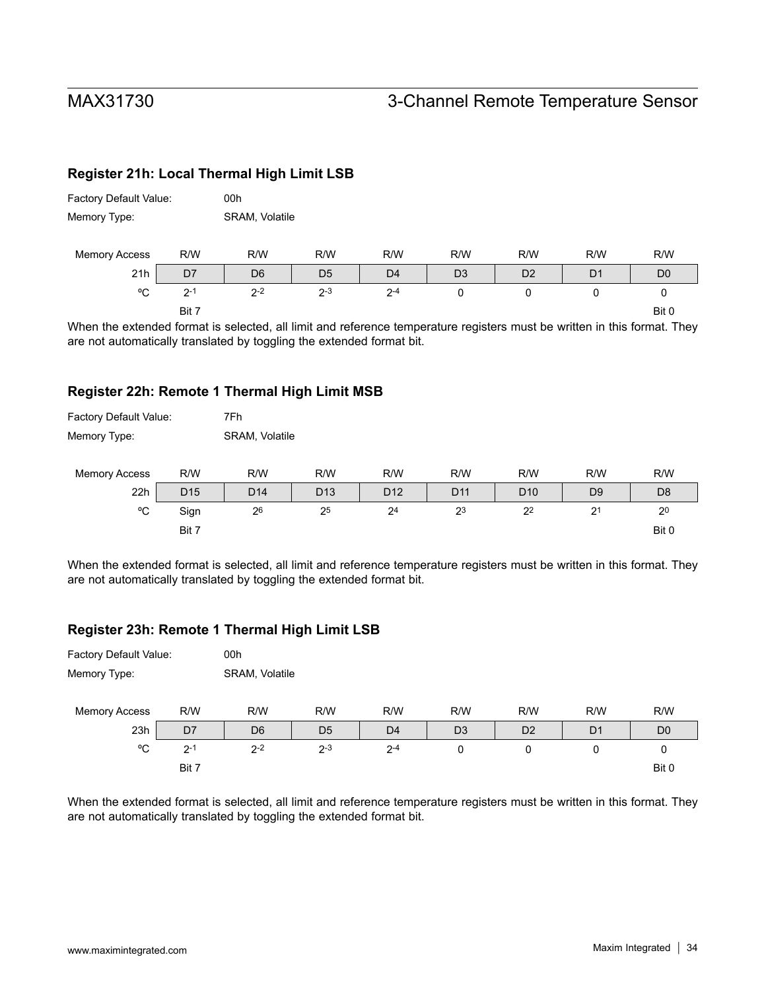### **Register 21h: Local Thermal High Limit LSB**

| Factory Default Value: |         | 00h            |                |                |                |                |                |                |  |
|------------------------|---------|----------------|----------------|----------------|----------------|----------------|----------------|----------------|--|
| Memory Type:           |         | SRAM, Volatile |                |                |                |                |                |                |  |
| <b>Memory Access</b>   | R/W     | R/W            | R/W            | R/W            | R/W            | R/W            | R/W            | R/W            |  |
| 21h                    | D7      | D <sub>6</sub> | D <sub>5</sub> | D <sub>4</sub> | D <sub>3</sub> | D <sub>2</sub> | D <sub>1</sub> | D <sub>0</sub> |  |
| °C                     | $2 - 1$ | $2 - 2$        | $2 - 3$        | $2 - 4$        | 0              | 0              | 0              | 0              |  |
|                        | Bit 7   |                |                |                |                |                |                | Bit 0          |  |

When the extended format is selected, all limit and reference temperature registers must be written in this format. They are not automatically translated by toggling the extended format bit.

#### **Register 22h: Remote 1 Thermal High Limit MSB**

| Factory Default Value: |                 | 7Fh             |                 |                 |                 |                 |                |                |  |
|------------------------|-----------------|-----------------|-----------------|-----------------|-----------------|-----------------|----------------|----------------|--|
| Memory Type:           |                 | SRAM, Volatile  |                 |                 |                 |                 |                |                |  |
| <b>Memory Access</b>   | R/W             | R/W             | R/W             | R/W             | R/W             | R/W             | R/W            | R/W            |  |
| 22h                    | D <sub>15</sub> | D <sub>14</sub> | D <sub>13</sub> | D <sub>12</sub> | D <sub>11</sub> | D <sub>10</sub> | D <sub>9</sub> | D <sub>8</sub> |  |
| °C                     | Sign            | 26              | 25              | 2 <sup>4</sup>  | 23              | 2 <sup>2</sup>  | 2 <sup>1</sup> | 2 <sup>0</sup> |  |
|                        | Bit 7           |                 |                 |                 |                 |                 |                | Bit 0          |  |

When the extended format is selected, all limit and reference temperature registers must be written in this format. They are not automatically translated by toggling the extended format bit.

#### **Register 23h: Remote 1 Thermal High Limit LSB**

| Factory Default Value: |                | 00h            |                |                |                |                |                |                |  |  |  |
|------------------------|----------------|----------------|----------------|----------------|----------------|----------------|----------------|----------------|--|--|--|
| Memory Type:           | SRAM, Volatile |                |                |                |                |                |                |                |  |  |  |
| <b>Memory Access</b>   | R/W            | R/W            | R/W            | R/W            | R/W            | R/W            | R/W            | R/W            |  |  |  |
| 23h                    | D <sub>7</sub> | D <sub>6</sub> | D <sub>5</sub> | D <sub>4</sub> | D <sub>3</sub> | D <sub>2</sub> | D <sub>1</sub> | D <sub>0</sub> |  |  |  |
| °C                     | $2 - 1$        | $2 - 2$        | $2 - 3$        | $2 - 4$        | 0              | 0              | 0              | 0              |  |  |  |
|                        | Bit 7          |                |                |                |                |                |                | Bit 0          |  |  |  |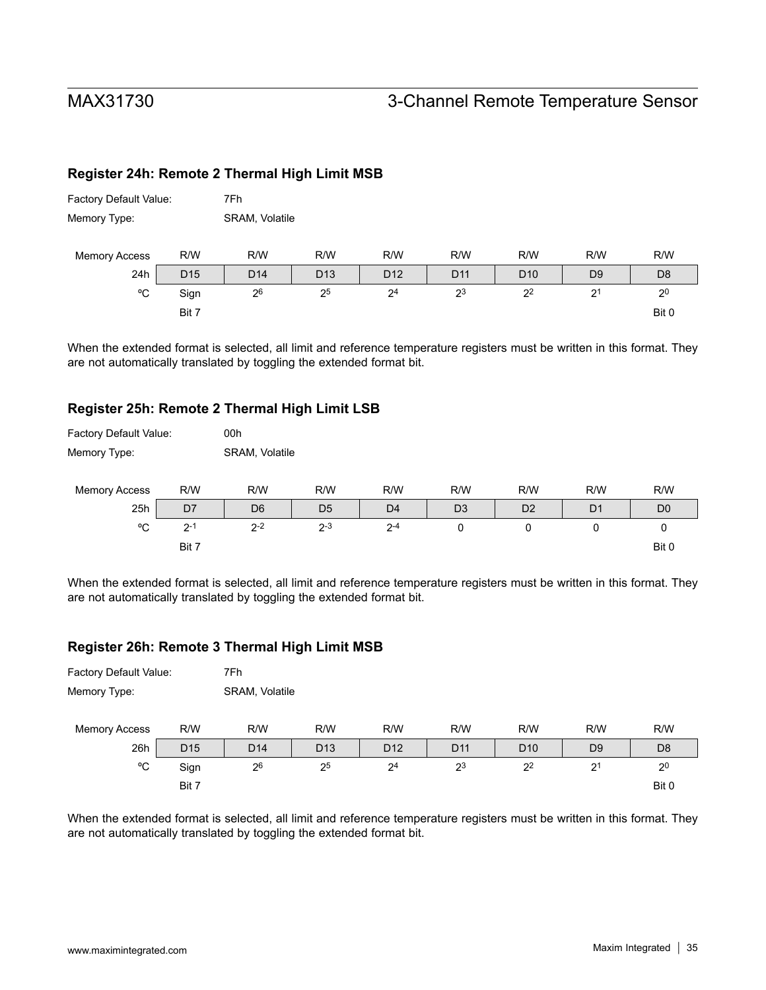Factory Default Value: 7Fh

# MAX31730 3-Channel Remote Temperature Sensor

### **Register 24h: Remote 2 Thermal High Limit MSB**

| Memory Type:         |                 |                 | SRAM, Volatile  |                 |                 |                 |                |                |  |  |
|----------------------|-----------------|-----------------|-----------------|-----------------|-----------------|-----------------|----------------|----------------|--|--|
| <b>Memory Access</b> | R/W             | R/W             | R/W             | R/W             | R/W             | R/W             | R/W            | R/W            |  |  |
| 24h                  | D <sub>15</sub> | D <sub>14</sub> | D <sub>13</sub> | D <sub>12</sub> | D <sub>11</sub> | D <sub>10</sub> | D <sub>9</sub> | D <sub>8</sub> |  |  |
| °C                   | Sign            | 26              | 25              | 2 <sup>4</sup>  | 23              | 2 <sup>2</sup>  | 2 <sup>1</sup> | 2 <sup>0</sup> |  |  |
|                      | Bit 7           |                 |                 |                 |                 |                 |                | Bit 0          |  |  |

When the extended format is selected, all limit and reference temperature registers must be written in this format. They are not automatically translated by toggling the extended format bit.

#### **Register 25h: Remote 2 Thermal High Limit LSB**

| Factory Default Value: |         | 00h            |                |                |                |                |                |                |  |  |  |
|------------------------|---------|----------------|----------------|----------------|----------------|----------------|----------------|----------------|--|--|--|
| Memory Type:           |         |                | SRAM, Volatile |                |                |                |                |                |  |  |  |
|                        |         |                |                |                |                |                |                |                |  |  |  |
| <b>Memory Access</b>   | R/W     | R/W            | R/W            | R/W            | R/W            | R/W            | R/W            | R/W            |  |  |  |
| 25h                    | D7      | D <sub>6</sub> | D <sub>5</sub> | D <sub>4</sub> | D <sub>3</sub> | D <sub>2</sub> | D <sub>1</sub> | D <sub>0</sub> |  |  |  |
| °C                     | $2 - 1$ | $2 - 2$        | $2 - 3$        | $2 - 4$        | 0              | 0              | 0              | 0              |  |  |  |
|                        | Bit 7   |                |                |                |                |                |                | Bit 0          |  |  |  |

When the extended format is selected, all limit and reference temperature registers must be written in this format. They are not automatically translated by toggling the extended format bit.

#### **Register 26h: Remote 3 Thermal High Limit MSB**

| Factory Default Value: |                 | 7Fh             |                 |                 |                 |                 |                |                |  |  |
|------------------------|-----------------|-----------------|-----------------|-----------------|-----------------|-----------------|----------------|----------------|--|--|
| Memory Type:           |                 |                 | SRAM, Volatile  |                 |                 |                 |                |                |  |  |
| <b>Memory Access</b>   | R/W             | R/W             | R/W             | R/W             | R/W             | R/W             | R/W            | R/W            |  |  |
| 26h                    | D <sub>15</sub> | D <sub>14</sub> | D <sub>13</sub> | D <sub>12</sub> | D <sub>11</sub> | D <sub>10</sub> | D <sub>9</sub> | D <sub>8</sub> |  |  |
| °C                     | Sign            | 2 <sup>6</sup>  | 25              | 2 <sup>4</sup>  | 2 <sup>3</sup>  | 2 <sup>2</sup>  | 2 <sup>1</sup> | 2 <sup>0</sup> |  |  |
|                        | Bit 7           |                 |                 |                 |                 |                 |                | Bit 0          |  |  |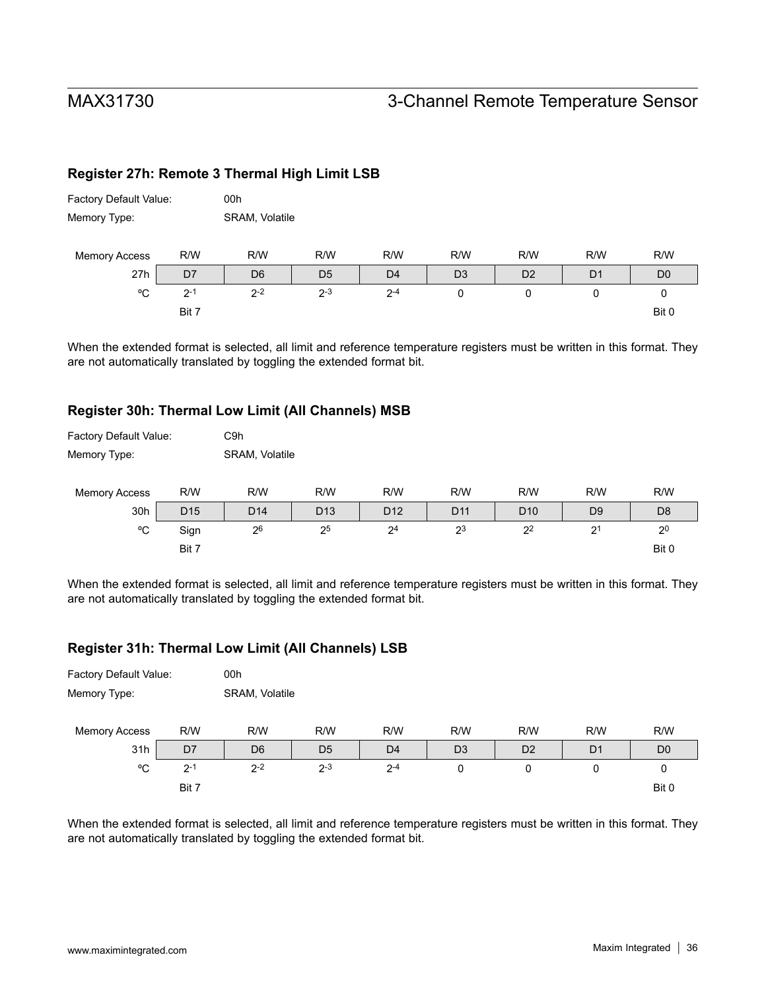Factory Default Value: 00h

Factory Default Value: C9h

# MAX31730 3-Channel Remote Temperature Sensor

### **Register 27h: Remote 3 Thermal High Limit LSB**

| Memory Type:         |         | SRAM, Volatile |                |                |                |                |                |                |
|----------------------|---------|----------------|----------------|----------------|----------------|----------------|----------------|----------------|
| <b>Memory Access</b> | R/W     | R/W            | R/W            | R/W            | R/W            | R/W            | R/W            | R/W            |
| 27h                  | D7      | D <sub>6</sub> | D <sub>5</sub> | D <sub>4</sub> | D <sub>3</sub> | D <sub>2</sub> | D <sub>1</sub> | D <sub>0</sub> |
| °C                   | $2 - 1$ | $2 - 2$        | $2 - 3$        | $2 - 4$        | 0              | 0              |                | 0              |
|                      | Bit 7   |                |                |                |                |                |                | Bit 0          |

When the extended format is selected, all limit and reference temperature registers must be written in this format. They are not automatically translated by toggling the extended format bit.

#### **Register 30h: Thermal Low Limit (All Channels) MSB**

| Memory Type:         |                 | SRAM, Volatile  |                 |                 |                 |                 |                |                |
|----------------------|-----------------|-----------------|-----------------|-----------------|-----------------|-----------------|----------------|----------------|
| <b>Memory Access</b> | R/W             | R/W             | R/W             | R/W             | R/W             | R/W             | R/W            | R/W            |
| 30h                  | D <sub>15</sub> | D <sub>14</sub> | D <sub>13</sub> | D <sub>12</sub> | D <sub>11</sub> | D <sub>10</sub> | D <sub>9</sub> | D <sub>8</sub> |
| °C                   | Sign            | 26              | 25              | 2 <sup>4</sup>  | 23              | 2 <sup>2</sup>  | 2 <sup>1</sup> | 2 <sup>0</sup> |
|                      | Bit 7           |                 |                 |                 |                 |                 |                | Bit 0          |

When the extended format is selected, all limit and reference temperature registers must be written in this format. They are not automatically translated by toggling the extended format bit.

#### **Register 31h: Thermal Low Limit (All Channels) LSB**

| Factory Default Value: |                | 00h            |                |                |                |                |                |                |  |  |  |
|------------------------|----------------|----------------|----------------|----------------|----------------|----------------|----------------|----------------|--|--|--|
| Memory Type:           |                |                | SRAM, Volatile |                |                |                |                |                |  |  |  |
| <b>Memory Access</b>   | R/W            | R/W            | R/W            | R/W            | R/W            | R/W            | R/W            | R/W            |  |  |  |
| 31h                    | D <sub>7</sub> | D <sub>6</sub> | D <sub>5</sub> | D <sub>4</sub> | D <sub>3</sub> | D <sub>2</sub> | D <sub>1</sub> | D <sub>0</sub> |  |  |  |
| °C                     | $2 - 1$        | $2 - 2$        | $2 - 3$        | $2 - 4$        | 0              | 0              | 0              | 0              |  |  |  |
|                        | Bit 7          |                |                |                |                |                |                | Bit 0          |  |  |  |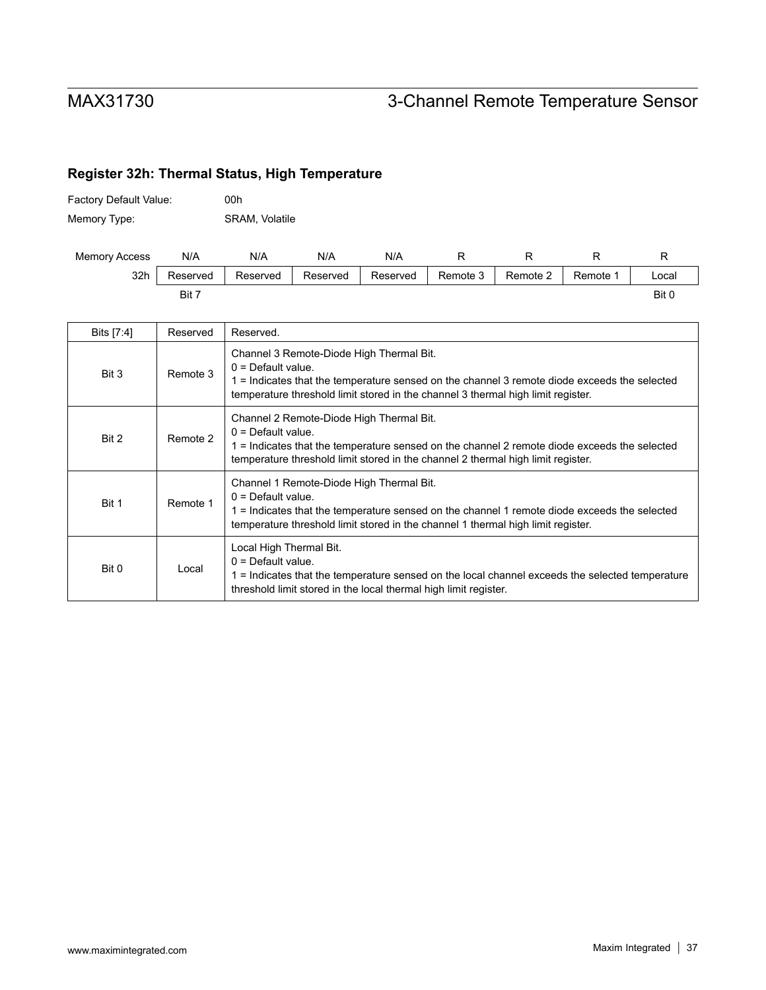## **Register 32h: Thermal Status, High Temperature**

| Factory Default Value: | 00h            |
|------------------------|----------------|
| Memory Type:           | SRAM, Volatile |

| <b>Memory Access</b> | N/A      | N/A      | N/A      | N/A      |          |          |          |       |
|----------------------|----------|----------|----------|----------|----------|----------|----------|-------|
| 32h                  | Reserved | Reserved | Reserved | Reserved | Remote 3 | Remote 2 | Remote 1 | ∟ocal |
|                      | Bit 7    |          |          |          |          |          |          | Bit 0 |

| Bits [7:4] | Reserved | Reserved.                                                                                                                                                                                                                                            |
|------------|----------|------------------------------------------------------------------------------------------------------------------------------------------------------------------------------------------------------------------------------------------------------|
| Bit 3      | Remote 3 | Channel 3 Remote-Diode High Thermal Bit.<br>$0 =$ Default value.<br>1 = Indicates that the temperature sensed on the channel 3 remote diode exceeds the selected<br>temperature threshold limit stored in the channel 3 thermal high limit register. |
| Bit 2      | Remote 2 | Channel 2 Remote-Diode High Thermal Bit.<br>$0 =$ Default value.<br>1 = Indicates that the temperature sensed on the channel 2 remote diode exceeds the selected<br>temperature threshold limit stored in the channel 2 thermal high limit register. |
| Bit 1      | Remote 1 | Channel 1 Remote-Diode High Thermal Bit.<br>$0 = Default value$<br>1 = Indicates that the temperature sensed on the channel 1 remote diode exceeds the selected<br>temperature threshold limit stored in the channel 1 thermal high limit register.  |
| Bit 0      | Local    | Local High Thermal Bit.<br>$0 =$ Default value.<br>1 = Indicates that the temperature sensed on the local channel exceeds the selected temperature<br>threshold limit stored in the local thermal high limit register.                               |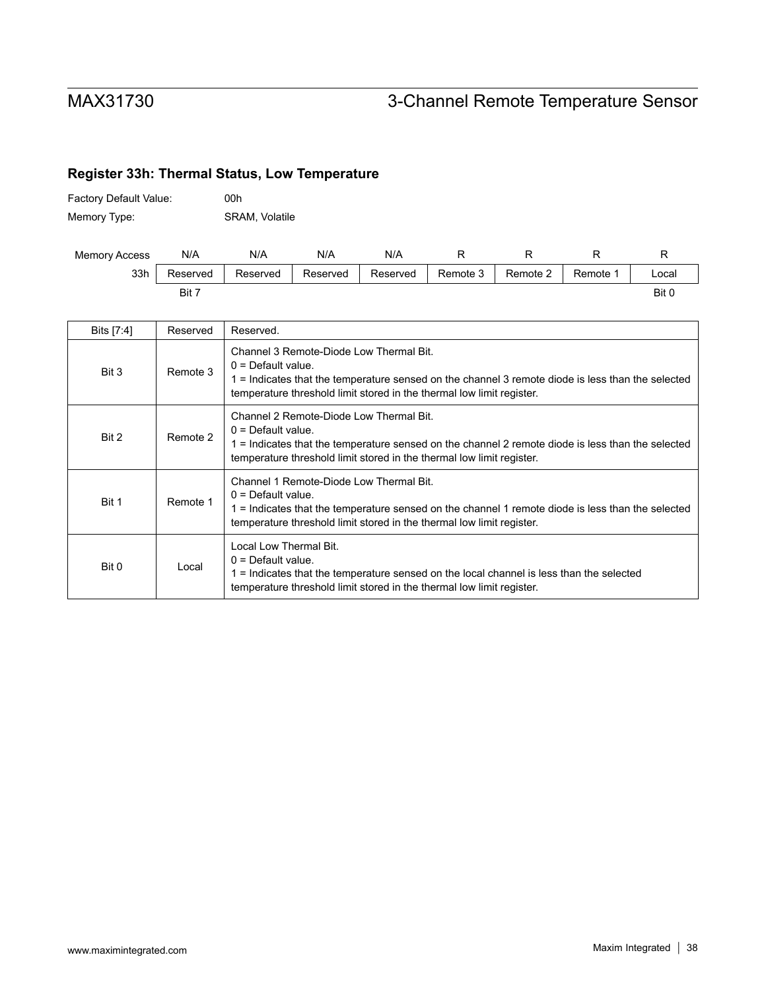## **Register 33h: Thermal Status, Low Temperature**

| <b>Factory Default Value:</b> | 00h            |
|-------------------------------|----------------|
| Memory Type:                  | SRAM, Volatile |

| <b>Memory Access</b> | N/A      | N/A      | N/A      | N/A      |          |          |          |       |
|----------------------|----------|----------|----------|----------|----------|----------|----------|-------|
| 33h                  | Reserved | Reserved | Reserved | Reserved | Remote 3 | Remote 2 | Remote 1 | .ocal |
|                      | Bit 7    |          |          |          |          |          |          | Bit 0 |

| Bits [7:4] | Reserved | Reserved.                                                                                                                                                                                                                                     |
|------------|----------|-----------------------------------------------------------------------------------------------------------------------------------------------------------------------------------------------------------------------------------------------|
| Bit 3      | Remote 3 | Channel 3 Remote-Diode Low Thermal Bit.<br>$0 =$ Default value.<br>1 = Indicates that the temperature sensed on the channel 3 remote diode is less than the selected<br>temperature threshold limit stored in the thermal low limit register. |
| Bit 2      | Remote 2 | Channel 2 Remote-Diode Low Thermal Bit.<br>$0 =$ Default value.<br>1 = Indicates that the temperature sensed on the channel 2 remote diode is less than the selected<br>temperature threshold limit stored in the thermal low limit register. |
| Bit 1      | Remote 1 | Channel 1 Remote-Diode Low Thermal Bit.<br>$0 =$ Default value.<br>1 = Indicates that the temperature sensed on the channel 1 remote diode is less than the selected<br>temperature threshold limit stored in the thermal low limit register. |
| Bit 0      | Local    | Local Low Thermal Bit.<br>$0 =$ Default value.<br>1 = Indicates that the temperature sensed on the local channel is less than the selected<br>temperature threshold limit stored in the thermal low limit register.                           |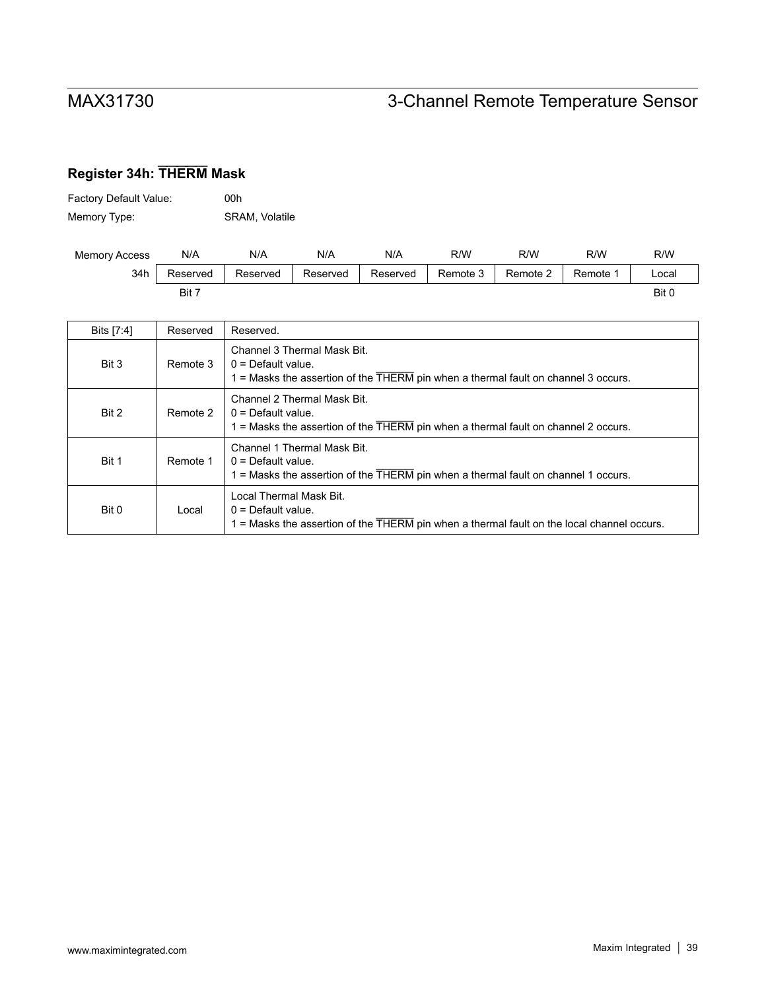# **Register 34h: THERM Mask**

| Factory Default Value: | 00h                   |
|------------------------|-----------------------|
| Memory Type:           | <b>SRAM, Volatile</b> |

| <b>Memory Access</b> | N/A      | N/A      | N/A      | N/A      | R/W      | R/W      | R/W      | R/W   |
|----------------------|----------|----------|----------|----------|----------|----------|----------|-------|
| 34h                  | Reserved | Reserved | Reserved | Reserved | Remote 3 | Remote 2 | Remote 1 | _ocal |
|                      | Bit 7    |          |          |          |          |          |          | Bit 0 |

| Bits [7:4] | Reserved | Reserved.                                                                                                                                                       |
|------------|----------|-----------------------------------------------------------------------------------------------------------------------------------------------------------------|
| Bit 3      | Remote 3 | Channel 3 Thermal Mask Bit.<br>$0 =$ Default value.<br>$1$ = Masks the assertion of the $\overline{\text{THERM}}$ pin when a thermal fault on channel 3 occurs. |
| Bit 2      | Remote 2 | Channel 2 Thermal Mask Bit.<br>$0 =$ Default value.<br>1 = Masks the assertion of the THERM pin when a thermal fault on channel 2 occurs.                       |
| Bit 1      | Remote 1 | Channel 1 Thermal Mask Bit.<br>$0 =$ Default value.<br>1 = Masks the assertion of the THERM pin when a thermal fault on channel 1 occurs.                       |
| Bit 0      | Local    | Local Thermal Mask Bit.<br>$0 =$ Default value.<br>1 = Masks the assertion of the THERM pin when a thermal fault on the local channel occurs.                   |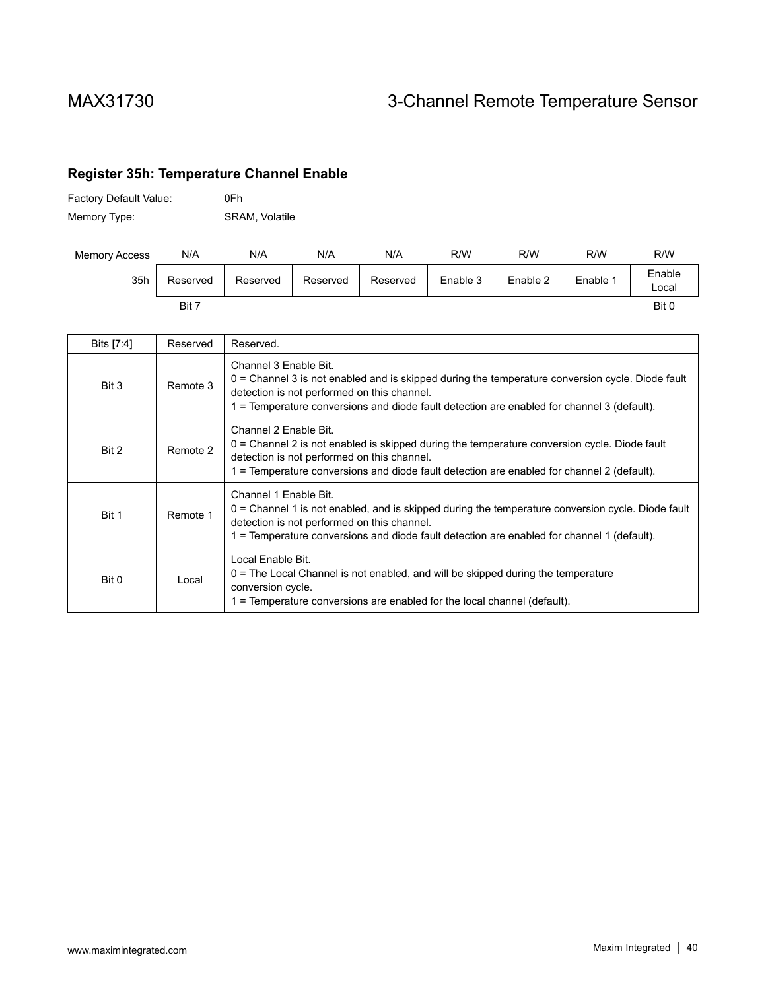## **Register 35h: Temperature Channel Enable**

| Factory Default Value: | 0Fh            |
|------------------------|----------------|
| Memory Type:           | SRAM, Volatile |

| <b>Memory Access</b> | N/A      | N/A      | N/A      | N/A      | R/W      | R/W      | R/W      | R/W             |
|----------------------|----------|----------|----------|----------|----------|----------|----------|-----------------|
| 35h                  | Reserved | Reserved | Reserved | Reserved | Enable 3 | Enable 2 | Enable 1 | Enable<br>Local |
|                      | Bit 7    |          |          |          |          |          |          | Bit 0           |

| Bits [7:4] | Reserved | Reserved.                                                                                                                                                                                                                                                                 |
|------------|----------|---------------------------------------------------------------------------------------------------------------------------------------------------------------------------------------------------------------------------------------------------------------------------|
| Bit 3      | Remote 3 | Channel 3 Enable Bit.<br>$0 =$ Channel 3 is not enabled and is skipped during the temperature conversion cycle. Diode fault<br>detection is not performed on this channel.<br>1 = Temperature conversions and diode fault detection are enabled for channel 3 (default).  |
| Bit 2      | Remote 2 | Channel 2 Enable Bit.<br>$0 =$ Channel 2 is not enabled is skipped during the temperature conversion cycle. Diode fault<br>detection is not performed on this channel.<br>1 = Temperature conversions and diode fault detection are enabled for channel 2 (default).      |
| Bit 1      | Remote 1 | Channel 1 Enable Bit.<br>$0 =$ Channel 1 is not enabled, and is skipped during the temperature conversion cycle. Diode fault<br>detection is not performed on this channel.<br>1 = Temperature conversions and diode fault detection are enabled for channel 1 (default). |
| Bit 0      | Local    | Local Enable Bit.<br>$0$ = The Local Channel is not enabled, and will be skipped during the temperature<br>conversion cycle.<br>1 = Temperature conversions are enabled for the local channel (default).                                                                  |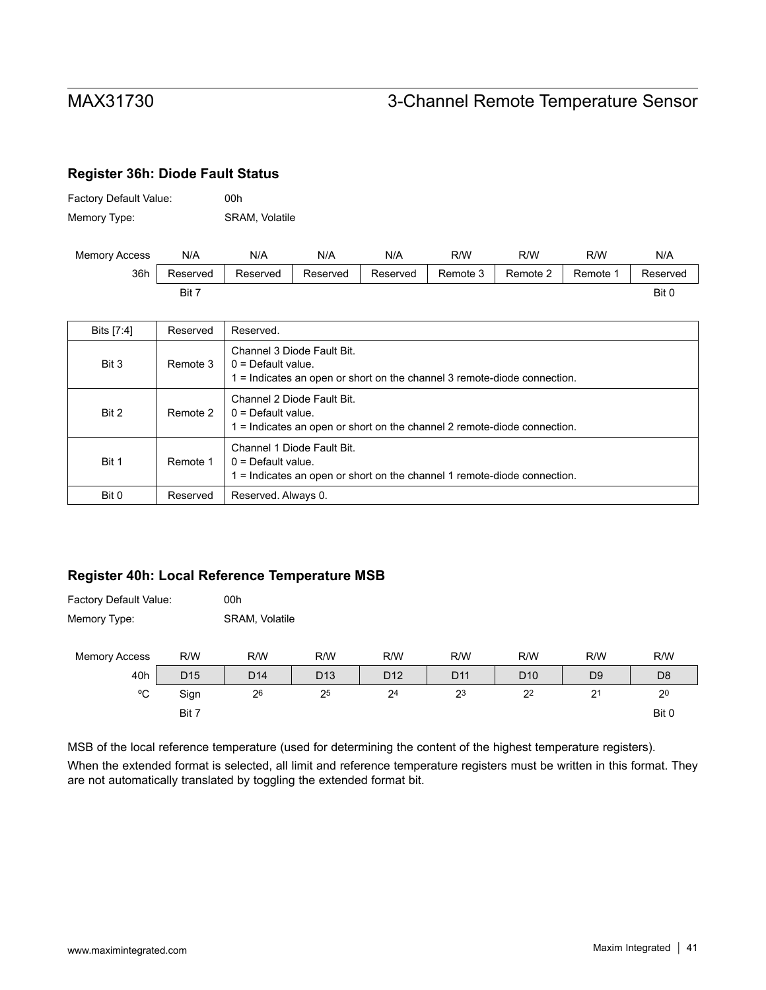### <span id="page-40-0"></span>**Register 36h: Diode Fault Status**

| Factory Default Value: | 00h                   |
|------------------------|-----------------------|
| Memory Type:           | <b>SRAM, Volatile</b> |

| <b>Memory Access</b> | N/A      | N/A      | N/A      | N/A      | R/W      | R/W      | R/W      | N/A      |
|----------------------|----------|----------|----------|----------|----------|----------|----------|----------|
| 36h                  | Reserved | Reserved | Reserved | Reserved | Remote 3 | Remote 2 | Remote 1 | Reserved |
|                      | Bit 7    |          |          |          |          |          |          | Bit 0    |

| Bits [7:4] | Reserved | Reserved.                                                                                                                        |
|------------|----------|----------------------------------------------------------------------------------------------------------------------------------|
| Bit 3      | Remote 3 | Channel 3 Diode Fault Bit.<br>$0 =$ Default value.<br>$1 =$ Indicates an open or short on the channel 3 remote-diode connection. |
| Bit 2      | Remote 2 | Channel 2 Diode Fault Bit.<br>$0 =$ Default value.<br>1 = Indicates an open or short on the channel 2 remote-diode connection.   |
| Bit 1      | Remote 1 | Channel 1 Diode Fault Bit.<br>$0 =$ Default value.<br>1 = Indicates an open or short on the channel 1 remote-diode connection.   |
| Bit 0      | Reserved | Reserved. Always 0.                                                                                                              |

### **Register 40h: Local Reference Temperature MSB**

| Factory Default Value: |                 | 00h             |                 |                 |                 |                 |                |                |  |
|------------------------|-----------------|-----------------|-----------------|-----------------|-----------------|-----------------|----------------|----------------|--|
| Memory Type:           |                 | SRAM, Volatile  |                 |                 |                 |                 |                |                |  |
| <b>Memory Access</b>   | R/W             | R/W             | R/W             | R/W             | R/W             | R/W             | R/W            | R/W            |  |
| 40h                    | D <sub>15</sub> | D <sub>14</sub> | D <sub>13</sub> | D <sub>12</sub> | D <sub>11</sub> | D <sub>10</sub> | D <sub>9</sub> | D <sub>8</sub> |  |
| °C                     | Sign            | 26              | 25              | 2 <sup>4</sup>  | 23              | 2 <sup>2</sup>  | 2 <sup>1</sup> | 2 <sup>0</sup> |  |
|                        | Bit 7           |                 |                 |                 |                 |                 |                | Bit 0          |  |

MSB of the local reference temperature (used for determining the content of the highest temperature registers). When the extended format is selected, all limit and reference temperature registers must be written in this format. They are not automatically translated by toggling the extended format bit.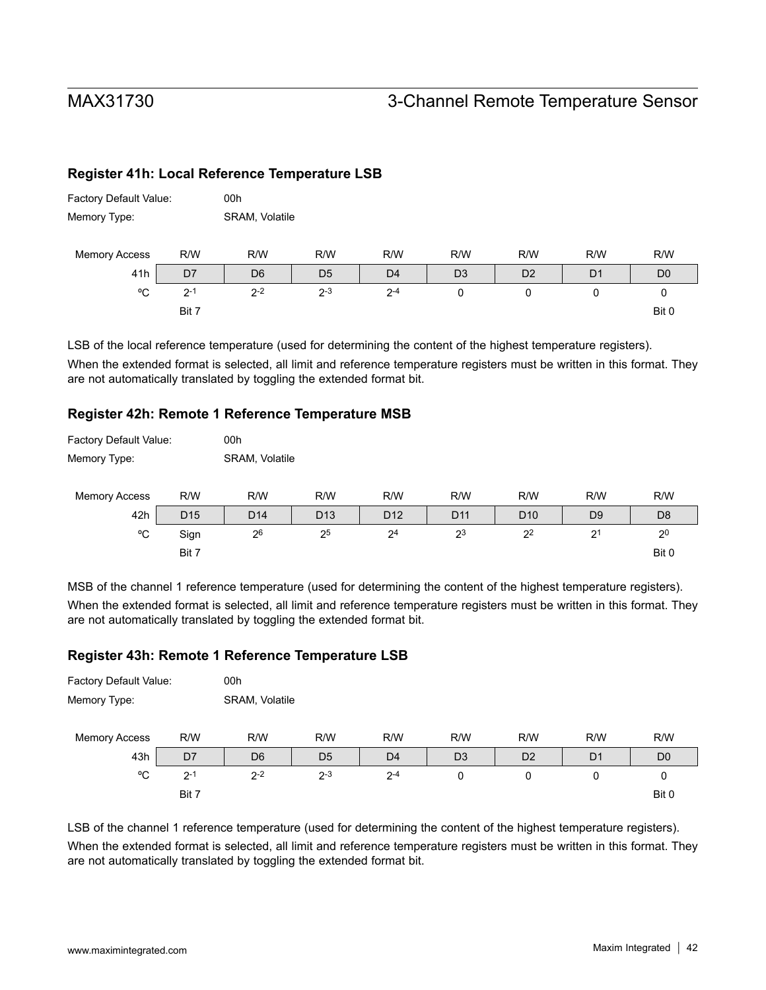Factory Default Value: 00h

## MAX31730 3-Channel Remote Temperature Sensor

### **Register 41h: Local Reference Temperature LSB**

| Memory Type:         | SRAM, Volatile |                |                |                |                |                |                |                |
|----------------------|----------------|----------------|----------------|----------------|----------------|----------------|----------------|----------------|
| <b>Memory Access</b> | R/W            | R/W            | R/W            | R/W            | R/W            | R/W            | R/W            | R/W            |
| 41h                  | D7             | D <sub>6</sub> | D <sub>5</sub> | D <sub>4</sub> | D <sub>3</sub> | D <sub>2</sub> | D <sub>1</sub> | D <sub>0</sub> |
| °C                   | $2 - 1$        | $2 - 2$        | $2 - 3$        | $2 - 4$        | 0              | 0              |                | U              |
|                      | Bit 7          |                |                |                |                |                |                | Bit 0          |

LSB of the local reference temperature (used for determining the content of the highest temperature registers). When the extended format is selected, all limit and reference temperature registers must be written in this format. They are not automatically translated by toggling the extended format bit.

#### **Register 42h: Remote 1 Reference Temperature MSB**

| Factory Default Value: |                 | 00h             |                 |                 |                 |                 |                |                |  |  |
|------------------------|-----------------|-----------------|-----------------|-----------------|-----------------|-----------------|----------------|----------------|--|--|
| Memory Type:           |                 | SRAM, Volatile  |                 |                 |                 |                 |                |                |  |  |
| <b>Memory Access</b>   | R/W             | R/W             | R/W             | R/W             | R/W             | R/W             | R/W            | R/W            |  |  |
| 42h                    | D <sub>15</sub> | D <sub>14</sub> | D <sub>13</sub> | D <sub>12</sub> | D <sub>11</sub> | D <sub>10</sub> | D <sub>9</sub> | D <sub>8</sub> |  |  |
| °C                     | Sign            | 26              | 25              | 2 <sup>4</sup>  | 2 <sup>3</sup>  | 2 <sup>2</sup>  | 2 <sup>1</sup> | 2 <sup>0</sup> |  |  |
|                        | Bit 7           |                 |                 |                 |                 |                 |                | Bit 0          |  |  |

MSB of the channel 1 reference temperature (used for determining the content of the highest temperature registers). When the extended format is selected, all limit and reference temperature registers must be written in this format. They are not automatically translated by toggling the extended format bit.

#### **Register 43h: Remote 1 Reference Temperature LSB**

| Factory Default Value: |                | 00h            |                |                |                |                |                |                |
|------------------------|----------------|----------------|----------------|----------------|----------------|----------------|----------------|----------------|
| Memory Type:           |                | SRAM, Volatile |                |                |                |                |                |                |
| <b>Memory Access</b>   | R/W            | R/W            | R/W            | R/W            | R/W            | R/W            | R/W            | R/W            |
| 43h                    | D <sub>7</sub> | D <sub>6</sub> | D <sub>5</sub> | D <sub>4</sub> | D <sub>3</sub> | D <sub>2</sub> | D <sub>1</sub> | D <sub>0</sub> |
| °C                     | $2 - 1$        | $2 - 2$        | $2 - 3$        | $2 - 4$        | 0              | 0              | 0              | 0              |
|                        | Bit 7          |                |                |                |                |                |                | Bit 0          |

LSB of the channel 1 reference temperature (used for determining the content of the highest temperature registers). When the extended format is selected, all limit and reference temperature registers must be written in this format. They are not automatically translated by toggling the extended format bit.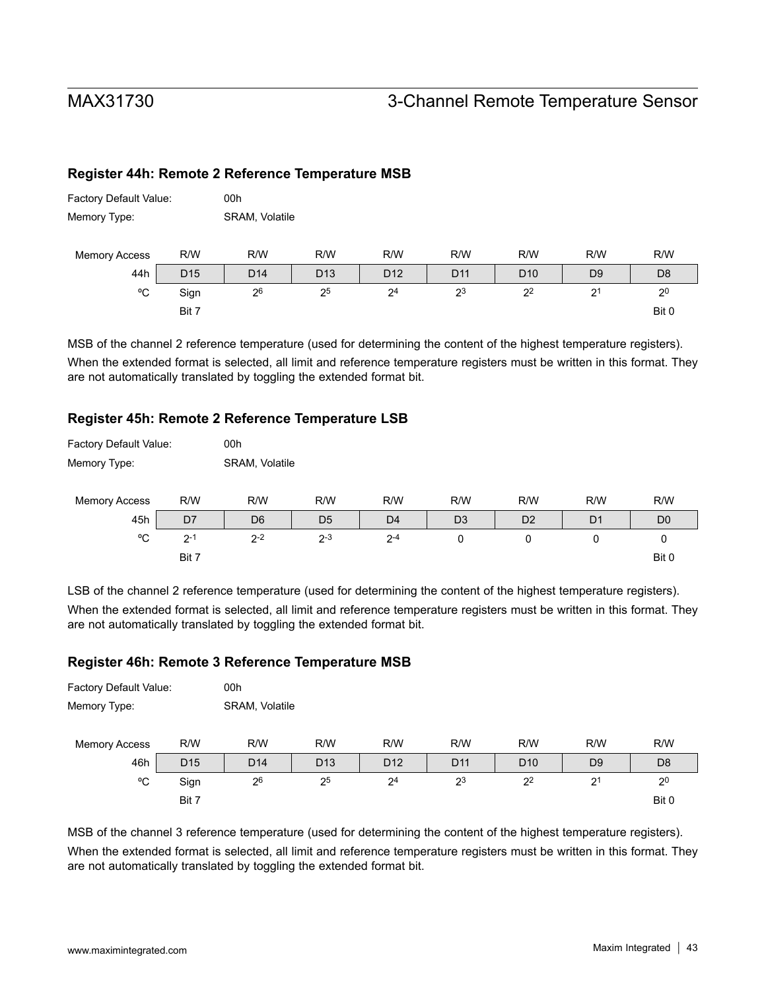### **Register 44h: Remote 2 Reference Temperature MSB**

| Factory Default Value: |                 | 00h             |                 |                 |                 |                 |                |                |  |  |  |
|------------------------|-----------------|-----------------|-----------------|-----------------|-----------------|-----------------|----------------|----------------|--|--|--|
| Memory Type:           |                 |                 | SRAM, Volatile  |                 |                 |                 |                |                |  |  |  |
| <b>Memory Access</b>   | R/W             | R/W             | R/W             | R/W             | R/W             | R/W             | R/W            | R/W            |  |  |  |
| 44h                    | D <sub>15</sub> | D <sub>14</sub> | D <sub>13</sub> | D <sub>12</sub> | D <sub>11</sub> | D <sub>10</sub> | D <sub>9</sub> | D <sub>8</sub> |  |  |  |
| °C                     | Sign            | 26              | 25              | 2 <sup>4</sup>  | 23              | 2 <sup>2</sup>  | 2 <sup>1</sup> | 2 <sup>0</sup> |  |  |  |
|                        | Bit 7           |                 |                 |                 |                 |                 |                | Bit 0          |  |  |  |

MSB of the channel 2 reference temperature (used for determining the content of the highest temperature registers). When the extended format is selected, all limit and reference temperature registers must be written in this format. They are not automatically translated by toggling the extended format bit.

#### **Register 45h: Remote 2 Reference Temperature LSB**

| Factory Default Value: |         | 00h            |                |                |                |                |                |                |  |  |
|------------------------|---------|----------------|----------------|----------------|----------------|----------------|----------------|----------------|--|--|
| Memory Type:           |         | SRAM, Volatile |                |                |                |                |                |                |  |  |
| <b>Memory Access</b>   | R/W     | R/W            | R/W            | R/W            | R/W            | R/W            | R/W            | R/W            |  |  |
| 45h                    | D7      | D <sub>6</sub> | D <sub>5</sub> | D <sub>4</sub> | D <sub>3</sub> | D <sub>2</sub> | D <sub>1</sub> | D <sub>0</sub> |  |  |
| °C                     | $2 - 1$ | $2 - 2$        | $2 - 3$        | $2 - 4$        | 0              | 0              | 0              | 0              |  |  |
|                        | Bit 7   |                |                |                |                |                |                | Bit 0          |  |  |

LSB of the channel 2 reference temperature (used for determining the content of the highest temperature registers). When the extended format is selected, all limit and reference temperature registers must be written in this format. They are not automatically translated by toggling the extended format bit.

#### **Register 46h: Remote 3 Reference Temperature MSB**

| Factory Default Value:<br>Memory Type: |                 | 00h<br>SRAM, Volatile |                 |                 |                 |                 |                |                |
|----------------------------------------|-----------------|-----------------------|-----------------|-----------------|-----------------|-----------------|----------------|----------------|
| <b>Memory Access</b>                   | R/W             | R/W                   | R/W             | R/W             | R/W             | R/W             | R/W            | R/W            |
| 46h                                    | D <sub>15</sub> | D <sub>14</sub>       | D <sub>13</sub> | D <sub>12</sub> | D <sub>11</sub> | D <sub>10</sub> | D <sub>9</sub> | D <sub>8</sub> |
| °C                                     | Sign            | 26                    | 25              | 2 <sup>4</sup>  | 23              | 2 <sup>2</sup>  | 2 <sup>1</sup> | 2 <sup>0</sup> |
|                                        | Bit 7           |                       |                 |                 |                 |                 |                | Bit 0          |

MSB of the channel 3 reference temperature (used for determining the content of the highest temperature registers). When the extended format is selected, all limit and reference temperature registers must be written in this format. They are not automatically translated by toggling the extended format bit.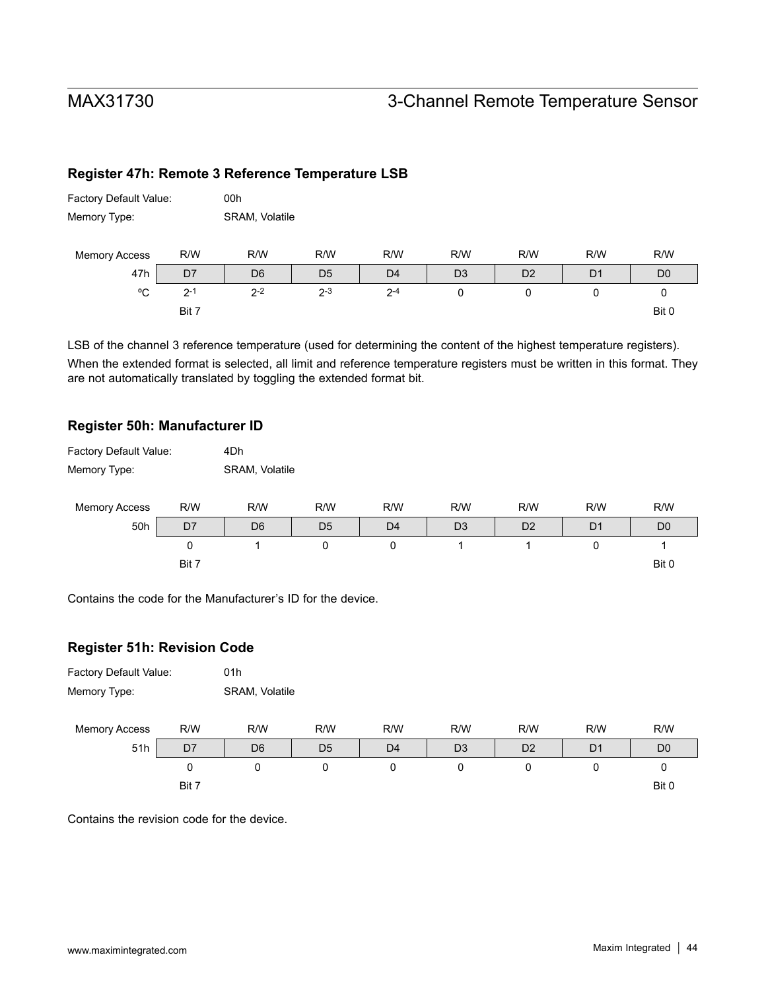### **Register 47h: Remote 3 Reference Temperature LSB**

| Factory Default Value: |         | 00h            |                |                |                |                |                |                |  |  |
|------------------------|---------|----------------|----------------|----------------|----------------|----------------|----------------|----------------|--|--|
| Memory Type:           |         | SRAM, Volatile |                |                |                |                |                |                |  |  |
| <b>Memory Access</b>   | R/W     | R/W            | R/W            | R/W            | R/W            | R/W            | R/W            | R/W            |  |  |
| 47h                    | D7      | D <sub>6</sub> | D <sub>5</sub> | D <sub>4</sub> | D <sub>3</sub> | D <sub>2</sub> | D <sub>1</sub> | D <sub>0</sub> |  |  |
| °C                     | $2 - 1$ | $2 - 2$        | $2 - 3$        | $2 - 4$        | 0              | 0              | 0              | 0              |  |  |
|                        | Bit 7   |                |                |                |                |                |                | Bit 0          |  |  |

LSB of the channel 3 reference temperature (used for determining the content of the highest temperature registers). When the extended format is selected, all limit and reference temperature registers must be written in this format. They are not automatically translated by toggling the extended format bit.

#### **Register 50h: Manufacturer ID**

| Factory Default Value: |       | 4Dh            |                |                |                |                |                |                |
|------------------------|-------|----------------|----------------|----------------|----------------|----------------|----------------|----------------|
| Memory Type:           |       | SRAM, Volatile |                |                |                |                |                |                |
|                        |       |                |                |                |                |                |                |                |
| <b>Memory Access</b>   | R/W   | R/W            | R/W            | R/W            | R/W            | R/W            | R/W            | R/W            |
| 50h                    | D7    | D <sub>6</sub> | D <sub>5</sub> | D <sub>4</sub> | D <sub>3</sub> | D <sub>2</sub> | D <sub>1</sub> | D <sub>0</sub> |
|                        | 0     |                | 0              | 0              |                |                | 0              |                |
|                        | Bit 7 |                |                |                |                |                |                | Bit 0          |

Contains the code for the Manufacturer's ID for the device.

#### **Register 51h: Revision Code**





Contains the revision code for the device.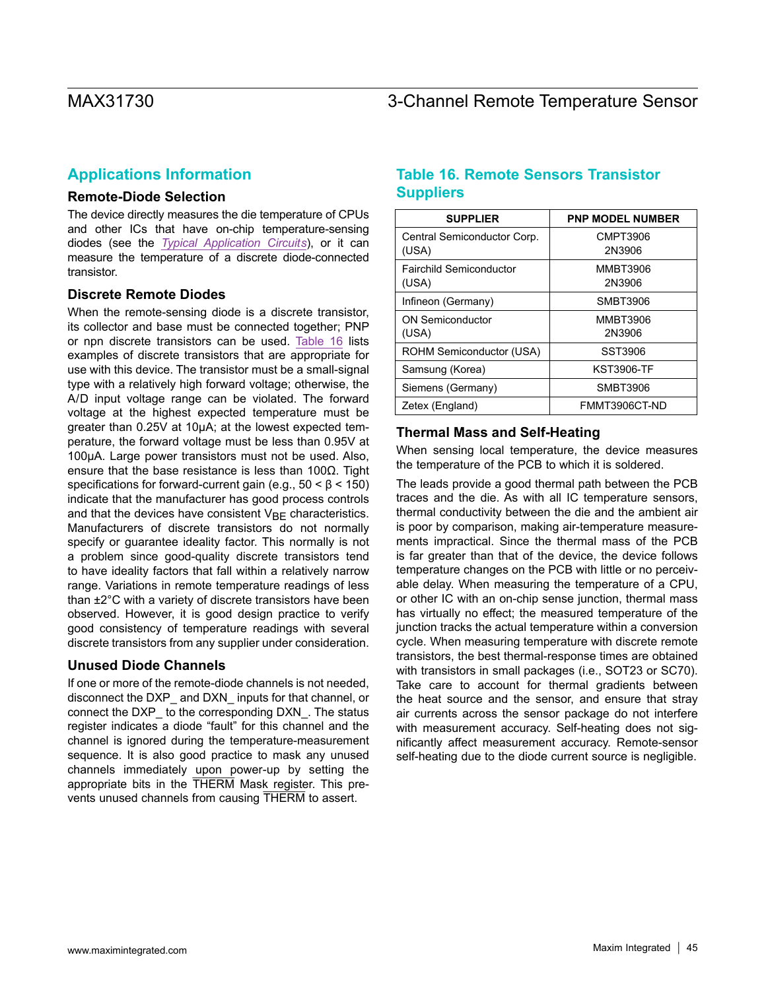### **Applications Information**

#### **Remote-Diode Selection**

The device directly measures the die temperature of CPUs and other ICs that have on-chip temperature-sensing diodes (see the *[Typical Application Circuits](#page-0-0)*), or it can measure the temperature of a discrete diode-connected transistor.

#### **Discrete Remote Diodes**

When the remote-sensing diode is a discrete transistor, its collector and base must be connected together; PNP or npn discrete transistors can be used. [Table 16](#page-44-0) lists examples of discrete transistors that are appropriate for use with this device. The transistor must be a small-signal type with a relatively high forward voltage; otherwise, the A/D input voltage range can be violated. The forward voltage at the highest expected temperature must be greater than 0.25V at 10µA; at the lowest expected temperature, the forward voltage must be less than 0.95V at 100µA. Large power transistors must not be used. Also, ensure that the base resistance is less than 100 $Ω$ . Tight specifications for forward-current gain (e.g.,  $50 < \beta < 150$ ) indicate that the manufacturer has good process controls and that the devices have consistent  $V_{BF}$  characteristics. Manufacturers of discrete transistors do not normally specify or guarantee ideality factor. This normally is not a problem since good-quality discrete transistors tend to have ideality factors that fall within a relatively narrow range. Variations in remote temperature readings of less than ±2°C with a variety of discrete transistors have been observed. However, it is good design practice to verify good consistency of temperature readings with several discrete transistors from any supplier under consideration.

#### **Unused Diode Channels**

If one or more of the remote-diode channels is not needed, disconnect the DXP\_ and DXN\_ inputs for that channel, or connect the DXP\_ to the corresponding DXN\_. The status register indicates a diode "fault" for this channel and the channel is ignored during the temperature-measurement sequence. It is also good practice to mask any unused channels immediately upon power-up by setting the appropriate bits in the THERM Mask register. This prevents unused channels from causing THERM to assert.

### <span id="page-44-0"></span>**Table 16. Remote Sensors Transistor Suppliers**

| <b>SUPPLIER</b>                         | <b>PNP MODEL NUMBER</b>   |
|-----------------------------------------|---------------------------|
| Central Semiconductor Corp.<br>(USA)    | CMPT3906<br>2N3906        |
| <b>Fairchild Semiconductor</b><br>(USA) | <b>MMBT3906</b><br>2N3906 |
| Infineon (Germany)                      | SMBT3906                  |
| <b>ON Semiconductor</b><br>(USA)        | <b>MMBT3906</b><br>2N3906 |
| ROHM Semiconductor (USA)                | SST3906                   |
| Samsung (Korea)                         | <b>KST3906-TF</b>         |
| Siemens (Germany)                       | SMBT3906                  |
| Zetex (England)                         | FMMT3906CT-ND             |

#### **Thermal Mass and Self-Heating**

When sensing local temperature, the device measures the temperature of the PCB to which it is soldered.

The leads provide a good thermal path between the PCB traces and the die. As with all IC temperature sensors, thermal conductivity between the die and the ambient air is poor by comparison, making air-temperature measurements impractical. Since the thermal mass of the PCB is far greater than that of the device, the device follows temperature changes on the PCB with little or no perceivable delay. When measuring the temperature of a CPU, or other IC with an on-chip sense junction, thermal mass has virtually no effect; the measured temperature of the junction tracks the actual temperature within a conversion cycle. When measuring temperature with discrete remote transistors, the best thermal-response times are obtained with transistors in small packages (i.e., SOT23 or SC70). Take care to account for thermal gradients between the heat source and the sensor, and ensure that stray air currents across the sensor package do not interfere with measurement accuracy. Self-heating does not significantly affect measurement accuracy. Remote-sensor self-heating due to the diode current source is negligible.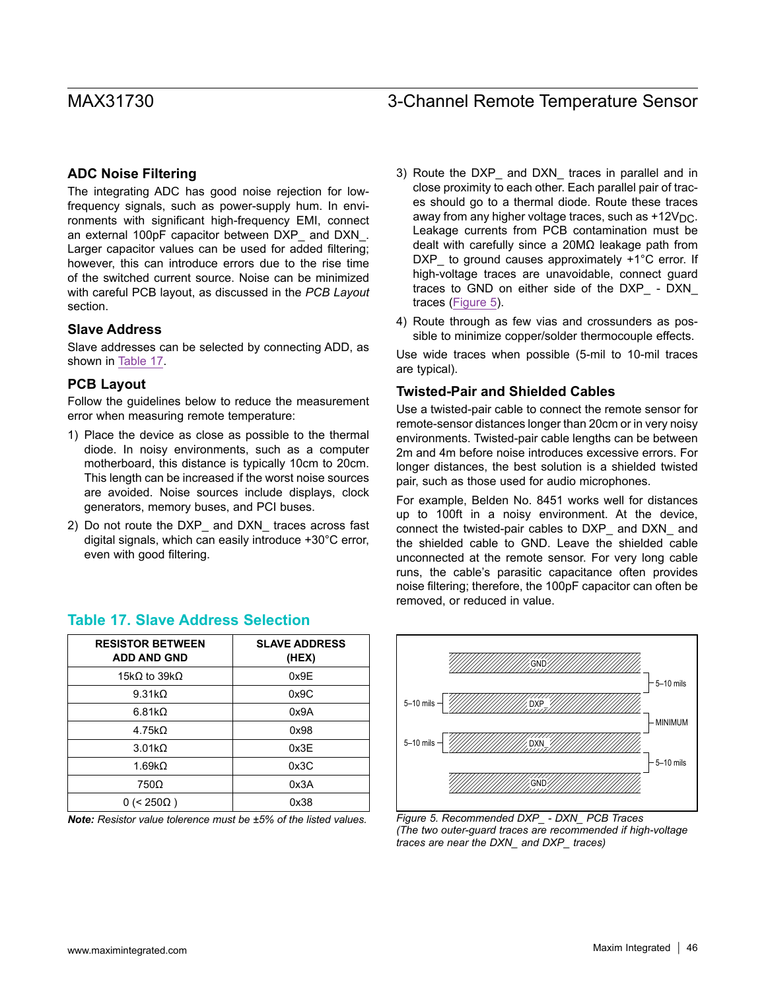#### **ADC Noise Filtering**

The integrating ADC has good noise rejection for lowfrequency signals, such as power-supply hum. In environments with significant high-frequency EMI, connect an external 100pF capacitor between DXP\_ and DXN\_. Larger capacitor values can be used for added filtering; however, this can introduce errors due to the rise time of the switched current source. Noise can be minimized with careful PCB layout, as discussed in the *PCB Layout* section.

#### **Slave Address**

Slave addresses can be selected by connecting ADD, as shown in [Table 17.](#page-45-0)

#### **PCB Layout**

Follow the guidelines below to reduce the measurement error when measuring remote temperature:

- 1) Place the device as close as possible to the thermal diode. In noisy environments, such as a computer motherboard, this distance is typically 10cm to 20cm. This length can be increased if the worst noise sources are avoided. Noise sources include displays, clock generators, memory buses, and PCI buses.
- 2) Do not route the DXP\_ and DXN\_ traces across fast digital signals, which can easily introduce +30°C error, even with good filtering.
	- **RESISTOR BETWEEN ADD AND GND SLAVE ADDRESS (HEX)**  $15k\Omega$  to  $39k\Omega$  0x9E  $9.31k\Omega$  0x9C  $6.81k\Omega$  0x9A  $4.75k\Omega$  0x98  $3.01k\Omega$  0x3E  $1.69k\Omega$  0x3C  $750\Omega$  0x3A  $0$  (< 250 $\Omega$ ) 0x38

### <span id="page-45-0"></span>**Table 17. Slave Address Selection**

*Note: Resistor value tolerence must be ±5% of the listed values. Figure 5. Recommended DXP\_ - DXN\_ PCB Traces*

- 3) Route the DXP\_ and DXN\_ traces in parallel and in close proximity to each other. Each parallel pair of traces should go to a thermal diode. Route these traces away from any higher voltage traces, such as  $+12V_{\text{DC}}$ . Leakage currents from PCB contamination must be dealt with carefully since a 20MΩ leakage path from DXP\_ to ground causes approximately +1°C error. If high-voltage traces are unavoidable, connect guard traces to GND on either side of the DXP\_ - DXN\_ traces [\(Figure 5](#page-45-1)).
- 4) Route through as few vias and crossunders as possible to minimize copper/solder thermocouple effects.

Use wide traces when possible (5-mil to 10-mil traces are typical).

#### **Twisted-Pair and Shielded Cables**

Use a twisted-pair cable to connect the remote sensor for remote-sensor distances longer than 20cm or in very noisy environments. Twisted-pair cable lengths can be between 2m and 4m before noise introduces excessive errors. For longer distances, the best solution is a shielded twisted pair, such as those used for audio microphones.

For example, Belden No. 8451 works well for distances up to 100ft in a noisy environment. At the device, connect the twisted-pair cables to DXP\_ and DXN\_ and the shielded cable to GND. Leave the shielded cable unconnected at the remote sensor. For very long cable runs, the cable's parasitic capacitance often provides noise filtering; therefore, the 100pF capacitor can often be removed, or reduced in value.

<span id="page-45-1"></span>

*(The two outer-guard traces are recommended if high-voltage traces are near the DXN\_ and DXP\_ traces)*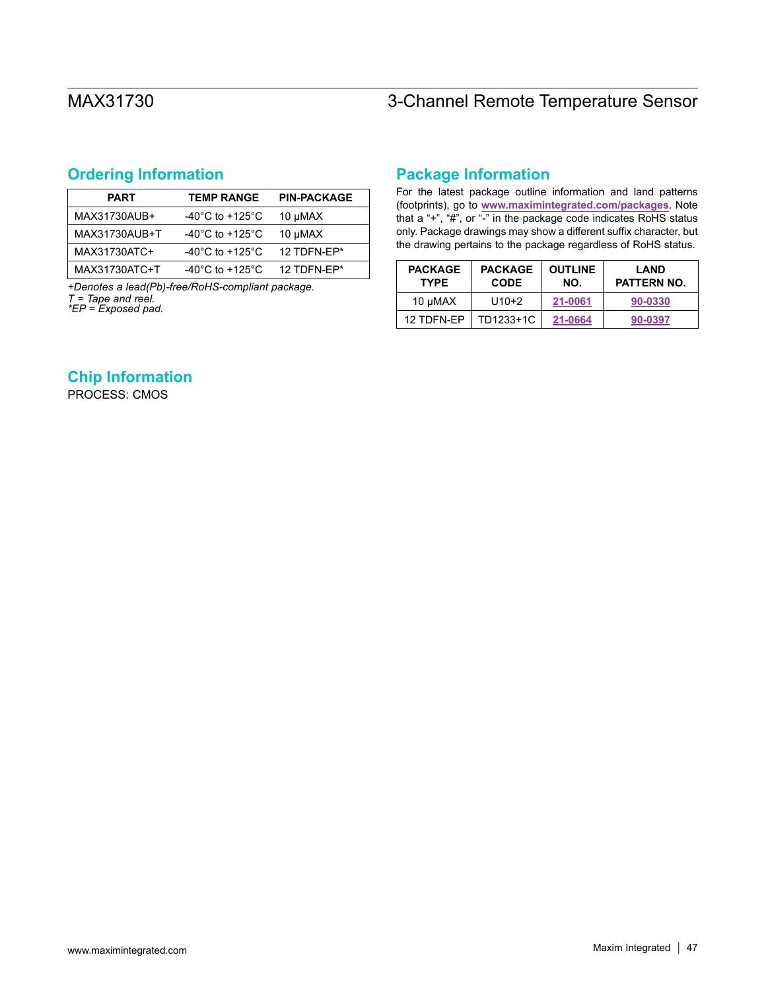## <span id="page-46-0"></span>**Ordering Information**

| <b>PART</b>   | <b>TEMP RANGE</b>                     | <b>PIN-PACKAGE</b> |
|---------------|---------------------------------------|--------------------|
| MAX31730AUB+  | -40 $^{\circ}$ C to +125 $^{\circ}$ C | 10 µMAX            |
| MAX31730AUB+T | -40 $^{\circ}$ C to +125 $^{\circ}$ C | 10 µMAX            |
| MAX31730ATC+  | -40 $^{\circ}$ C to +125 $^{\circ}$ C | 12 TDFN-FP*        |
| MAX31730ATC+T | -40 $^{\circ}$ C to +125 $^{\circ}$ C | 12 TDFN-FP*        |

*+Denotes a lead(Pb)-free/RoHS-compliant package. T = Tape and reel. \*EP = Exposed pad.*

## **Package Information**

For the latest package outline information and land patterns (footprints), go to **[www.maximintegrated.com/packages](http://www.maximintegrated.com/packages)**. Note that a "+", "#", or "-" in the package code indicates RoHS status only. Package drawings may show a different suffix character, but the drawing pertains to the package regardless of RoHS status.

| <b>PACKAGE</b><br><b>TYPE</b> | <b>PACKAGE</b><br><b>CODE</b> | <b>OUTLINE</b><br>NO. | <b>LAND</b><br>PATTERN NO. |
|-------------------------------|-------------------------------|-----------------------|----------------------------|
| 10 µMAX                       | $U10+2$                       | 21-0061               | 90-0330                    |
| 12 TDFN-FP                    | TD1233+1C                     | 21-0664               | 90-0397                    |

### **Chip Information**

PROCESS: CMOS